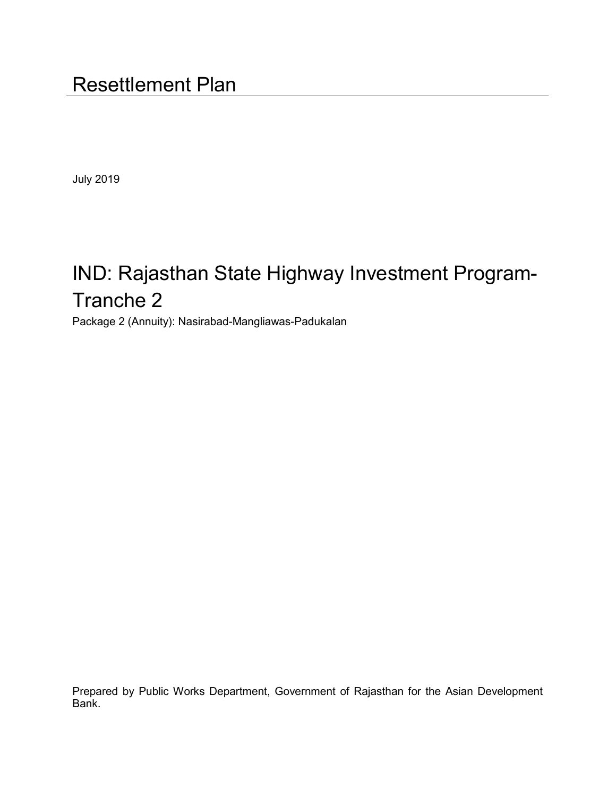July 2019

# IND: Rajasthan State Highway Investment Program-Tranche 2

Package 2 (Annuity): Nasirabad-Mangliawas-Padukalan

Prepared by Public Works Department, Government of Rajasthan for the Asian Development Bank.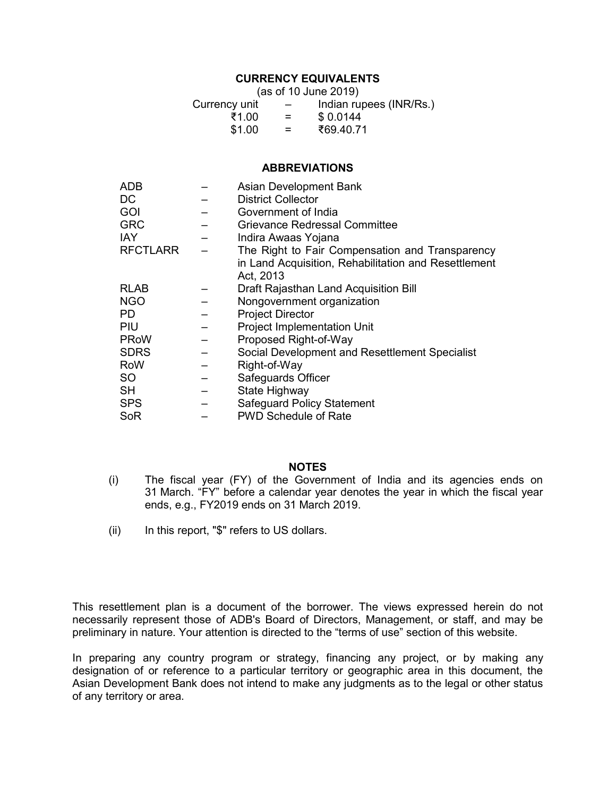# **CURRENCY EQUIVALENTS**

|        | (as of 10 June 2019) |               |
|--------|----------------------|---------------|
| v unit |                      | Indian runges |

| Currency unit | $\overline{\phantom{m}}$ | Indian rupees (INR/Rs.) |
|---------------|--------------------------|-------------------------|
| ₹1.00         | $=$                      | \$0.0144                |
| \$1.00        | $=$                      | ₹69.40.71               |

#### **ABBREVIATIONS**

| ADB             | Asian Development Bank                               |
|-----------------|------------------------------------------------------|
| DC              | <b>District Collector</b>                            |
| GOI             | Government of India                                  |
| <b>GRC</b>      | Grievance Redressal Committee                        |
| <b>IAY</b>      | Indira Awaas Yojana                                  |
| <b>RFCTLARR</b> | The Right to Fair Compensation and Transparency      |
|                 | in Land Acquisition, Rehabilitation and Resettlement |
|                 | Act, 2013                                            |
| <b>RLAB</b>     | Draft Rajasthan Land Acquisition Bill                |
| <b>NGO</b>      | Nongovernment organization                           |
| PD.             | <b>Project Director</b>                              |
| PIU             | <b>Project Implementation Unit</b>                   |
| <b>PRoW</b>     | Proposed Right-of-Way                                |
| <b>SDRS</b>     | Social Development and Resettlement Specialist       |
| <b>RoW</b>      | Right-of-Way                                         |
| SO.             | Safeguards Officer                                   |
| SH              | State Highway                                        |
| <b>SPS</b>      | <b>Safeguard Policy Statement</b>                    |
| SoR             | <b>PWD Schedule of Rate</b>                          |

#### **NOTES**

- (i) The fiscal year (FY) of the Government of India and its agencies ends on 31 March. "FY" before a calendar year denotes the year in which the fiscal year ends, e.g., FY2019 ends on 31 March 2019.
- (ii) In this report, "\$" refers to US dollars.

This resettlement plan is a document of the borrower. The views expressed herein do not necessarily represent those of ADB's Board of Directors, Management, or staff, and may be preliminary in nature. Your attention is directed to the "terms of use" section of this website.

In preparing any country program or strategy, financing any project, or by making any designation of or reference to a particular territory or geographic area in this document, the Asian Development Bank does not intend to make any judgments as to the legal or other status of any territory or area.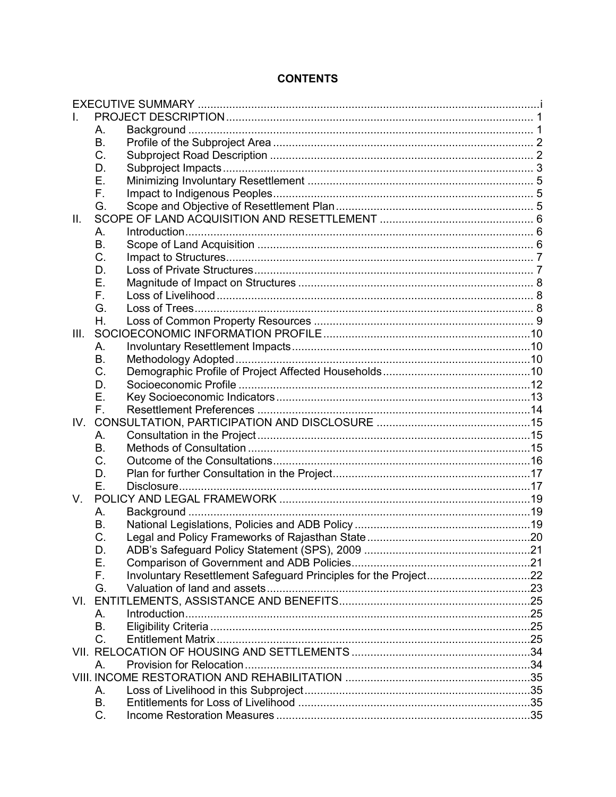# **CONTENTS**

|      | Α.          |                                                                 |  |
|------|-------------|-----------------------------------------------------------------|--|
|      | B.          |                                                                 |  |
|      | C.          |                                                                 |  |
|      | D.          |                                                                 |  |
|      | Ε.          |                                                                 |  |
|      | F.          |                                                                 |  |
|      | G.          |                                                                 |  |
| II.  |             |                                                                 |  |
|      | Α.          |                                                                 |  |
|      | <b>B.</b>   |                                                                 |  |
|      | C.          |                                                                 |  |
|      | D.          |                                                                 |  |
|      | Е.          |                                                                 |  |
|      | F.          |                                                                 |  |
|      | G.          |                                                                 |  |
|      | Η.          |                                                                 |  |
| III. |             |                                                                 |  |
|      | Α.          |                                                                 |  |
|      | Β.          |                                                                 |  |
|      | C.          |                                                                 |  |
|      | D.          |                                                                 |  |
|      | Е.          |                                                                 |  |
|      | $F_{\perp}$ |                                                                 |  |
|      |             |                                                                 |  |
|      | А.          |                                                                 |  |
|      | В.          |                                                                 |  |
|      | C.          |                                                                 |  |
|      | D.          |                                                                 |  |
|      | Е.          |                                                                 |  |
| V.   |             |                                                                 |  |
|      | А.          |                                                                 |  |
|      | Β.          |                                                                 |  |
|      | C.          |                                                                 |  |
|      | D.<br>Ε.    |                                                                 |  |
|      |             |                                                                 |  |
|      | F.          | Involuntary Resettlement Safeguard Principles for the Project22 |  |
|      | G.          |                                                                 |  |
|      |             |                                                                 |  |
|      | $A_{\cdot}$ |                                                                 |  |
|      | В.<br>C.    |                                                                 |  |
|      |             |                                                                 |  |
|      |             |                                                                 |  |
|      | $A_{\cdot}$ |                                                                 |  |
|      |             |                                                                 |  |
|      | А.<br>B.    |                                                                 |  |
|      | C.          |                                                                 |  |
|      |             |                                                                 |  |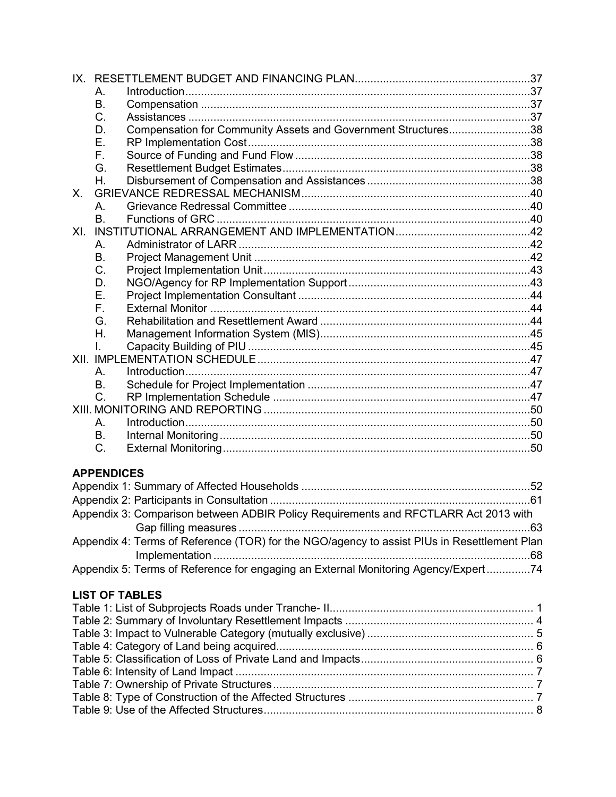|         | А.                |                                                                                             |  |
|---------|-------------------|---------------------------------------------------------------------------------------------|--|
|         | В.                |                                                                                             |  |
|         | C.                |                                                                                             |  |
|         | D.                | Compensation for Community Assets and Government Structures38                               |  |
|         | Ε.                |                                                                                             |  |
|         | F.                |                                                                                             |  |
|         | G.                |                                                                                             |  |
|         | Η.                |                                                                                             |  |
| $X_{-}$ |                   |                                                                                             |  |
|         | Α.                |                                                                                             |  |
|         | <b>B.</b>         |                                                                                             |  |
| XL      |                   |                                                                                             |  |
|         | А.                |                                                                                             |  |
|         | B.                |                                                                                             |  |
|         | C.                |                                                                                             |  |
|         | D.                |                                                                                             |  |
|         | Ε.                |                                                                                             |  |
|         | F.                |                                                                                             |  |
|         | G.                |                                                                                             |  |
|         | Η.                |                                                                                             |  |
|         | L.                |                                                                                             |  |
|         |                   |                                                                                             |  |
|         | A.                |                                                                                             |  |
|         | <b>B.</b>         |                                                                                             |  |
|         | C.                |                                                                                             |  |
|         |                   |                                                                                             |  |
|         | Α.                |                                                                                             |  |
|         | <b>B.</b>         |                                                                                             |  |
|         | $C_{\cdot}$       |                                                                                             |  |
|         |                   |                                                                                             |  |
|         | <b>APPENDICES</b> |                                                                                             |  |
|         |                   |                                                                                             |  |
|         |                   |                                                                                             |  |
|         |                   | Appendix 3: Comparison between ADBIR Policy Requirements and RFCTLARR Act 2013 with         |  |
|         |                   |                                                                                             |  |
|         |                   | Appendix 4: Terms of Reference (TOR) for the NGO/agency to assist PIUs in Resettlement Plan |  |
|         |                   |                                                                                             |  |

# **LIST OF TABLES**

Appendix 5: Terms of Reference for engaging an External Monitoring Agency/Expert ..............74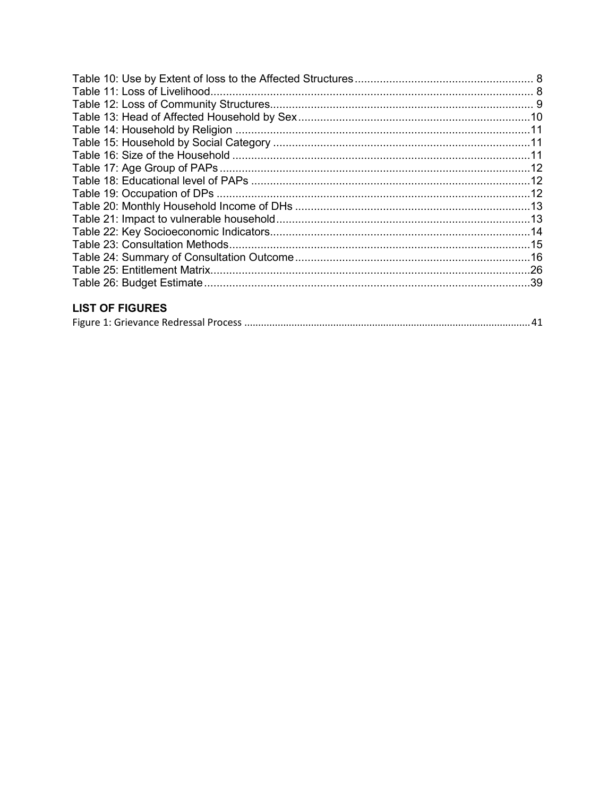# **LIST OF FIGURES**

|--|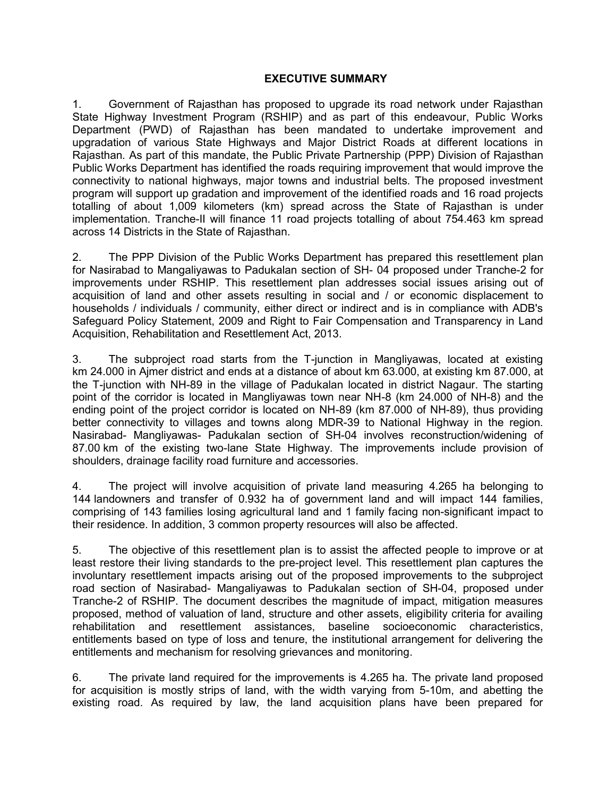#### **EXECUTIVE SUMMARY**

<span id="page-6-0"></span>1. Government of Rajasthan has proposed to upgrade its road network under Rajasthan State Highway Investment Program (RSHIP) and as part of this endeavour, Public Works Department (PWD) of Rajasthan has been mandated to undertake improvement and upgradation of various State Highways and Major District Roads at different locations in Rajasthan. As part of this mandate, the Public Private Partnership (PPP) Division of Rajasthan Public Works Department has identified the roads requiring improvement that would improve the connectivity to national highways, major towns and industrial belts. The proposed investment program will support up gradation and improvement of the identified roads and 16 road projects totalling of about 1,009 kilometers (km) spread across the State of Rajasthan is under implementation. Tranche-II will finance 11 road projects totalling of about 754.463 km spread across 14 Districts in the State of Rajasthan.

2. The PPP Division of the Public Works Department has prepared this resettlement plan for Nasirabad to Mangaliyawas to Padukalan section of SH- 04 proposed under Tranche-2 for improvements under RSHIP. This resettlement plan addresses social issues arising out of acquisition of land and other assets resulting in social and / or economic displacement to households / individuals / community, either direct or indirect and is in compliance with ADB's Safeguard Policy Statement, 2009 and Right to Fair Compensation and Transparency in Land Acquisition, Rehabilitation and Resettlement Act, 2013.

3. The subproject road starts from the T-junction in Mangliyawas, located at existing km 24.000 in Ajmer district and ends at a distance of about km 63.000, at existing km 87.000, at the T-junction with NH-89 in the village of Padukalan located in district Nagaur. The starting point of the corridor is located in Mangliyawas town near NH-8 (km 24.000 of NH-8) and the ending point of the project corridor is located on NH-89 (km 87.000 of NH-89), thus providing better connectivity to villages and towns along MDR-39 to National Highway in the region. Nasirabad- Mangliyawas- Padukalan section of SH-04 involves reconstruction/widening of 87.00 km of the existing two-lane State Highway. The improvements include provision of shoulders, drainage facility road furniture and accessories.

4. The project will involve acquisition of private land measuring 4.265 ha belonging to 144 landowners and transfer of 0.932 ha of government land and will impact 144 families, comprising of 143 families losing agricultural land and 1 family facing non-significant impact to their residence. In addition, 3 common property resources will also be affected.

5. The objective of this resettlement plan is to assist the affected people to improve or at least restore their living standards to the pre-project level. This resettlement plan captures the involuntary resettlement impacts arising out of the proposed improvements to the subproject road section of Nasirabad- Mangaliyawas to Padukalan section of SH-04, proposed under Tranche-2 of RSHIP. The document describes the magnitude of impact, mitigation measures proposed, method of valuation of land, structure and other assets, eligibility criteria for availing rehabilitation and resettlement assistances, baseline socioeconomic characteristics, entitlements based on type of loss and tenure, the institutional arrangement for delivering the entitlements and mechanism for resolving grievances and monitoring.

6. The private land required for the improvements is 4.265 ha. The private land proposed for acquisition is mostly strips of land, with the width varying from 5-10m, and abetting the existing road. As required by law, the land acquisition plans have been prepared for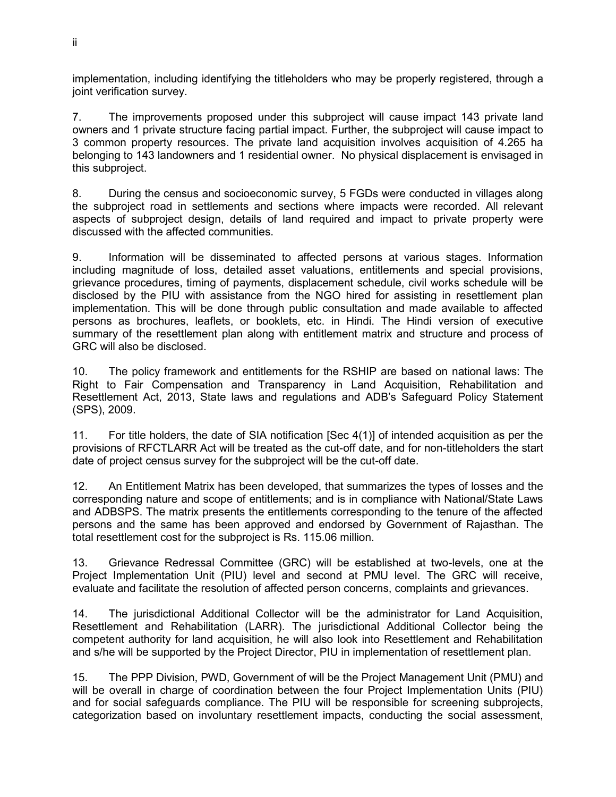implementation, including identifying the titleholders who may be properly registered, through a joint verification survey.

7. The improvements proposed under this subproject will cause impact 143 private land owners and 1 private structure facing partial impact. Further, the subproject will cause impact to 3 common property resources. The private land acquisition involves acquisition of 4.265 ha belonging to 143 landowners and 1 residential owner. No physical displacement is envisaged in this subproject.

8. During the census and socioeconomic survey, 5 FGDs were conducted in villages along the subproject road in settlements and sections where impacts were recorded. All relevant aspects of subproject design, details of land required and impact to private property were discussed with the affected communities.

9. Information will be disseminated to affected persons at various stages. Information including magnitude of loss, detailed asset valuations, entitlements and special provisions, grievance procedures, timing of payments, displacement schedule, civil works schedule will be disclosed by the PIU with assistance from the NGO hired for assisting in resettlement plan implementation. This will be done through public consultation and made available to affected persons as brochures, leaflets, or booklets, etc. in Hindi. The Hindi version of executive summary of the resettlement plan along with entitlement matrix and structure and process of GRC will also be disclosed.

10. The policy framework and entitlements for the RSHIP are based on national laws: The Right to Fair Compensation and Transparency in Land Acquisition, Rehabilitation and Resettlement Act, 2013, State laws and regulations and ADB's Safeguard Policy Statement (SPS), 2009.

11. For title holders, the date of SIA notification [Sec 4(1)] of intended acquisition as per the provisions of RFCTLARR Act will be treated as the cut-off date, and for non-titleholders the start date of project census survey for the subproject will be the cut-off date.

12. An Entitlement Matrix has been developed, that summarizes the types of losses and the corresponding nature and scope of entitlements; and is in compliance with National/State Laws and ADBSPS. The matrix presents the entitlements corresponding to the tenure of the affected persons and the same has been approved and endorsed by Government of Rajasthan. The total resettlement cost for the subproject is Rs. 115.06 million.

13. Grievance Redressal Committee (GRC) will be established at two-levels, one at the Project Implementation Unit (PIU) level and second at PMU level. The GRC will receive, evaluate and facilitate the resolution of affected person concerns, complaints and grievances.

14. The jurisdictional Additional Collector will be the administrator for Land Acquisition, Resettlement and Rehabilitation (LARR). The jurisdictional Additional Collector being the competent authority for land acquisition, he will also look into Resettlement and Rehabilitation and s/he will be supported by the Project Director, PIU in implementation of resettlement plan.

15. The PPP Division, PWD, Government of will be the Project Management Unit (PMU) and will be overall in charge of coordination between the four Project Implementation Units (PIU) and for social safeguards compliance. The PIU will be responsible for screening subprojects, categorization based on involuntary resettlement impacts, conducting the social assessment,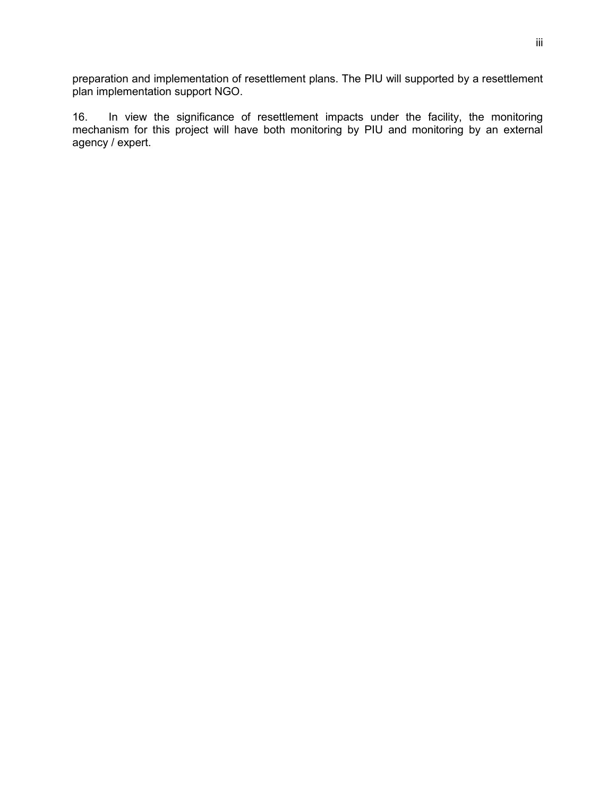preparation and implementation of resettlement plans. The PIU will supported by a resettlement plan implementation support NGO.

16. In view the significance of resettlement impacts under the facility, the monitoring mechanism for this project will have both monitoring by PIU and monitoring by an external agency / expert.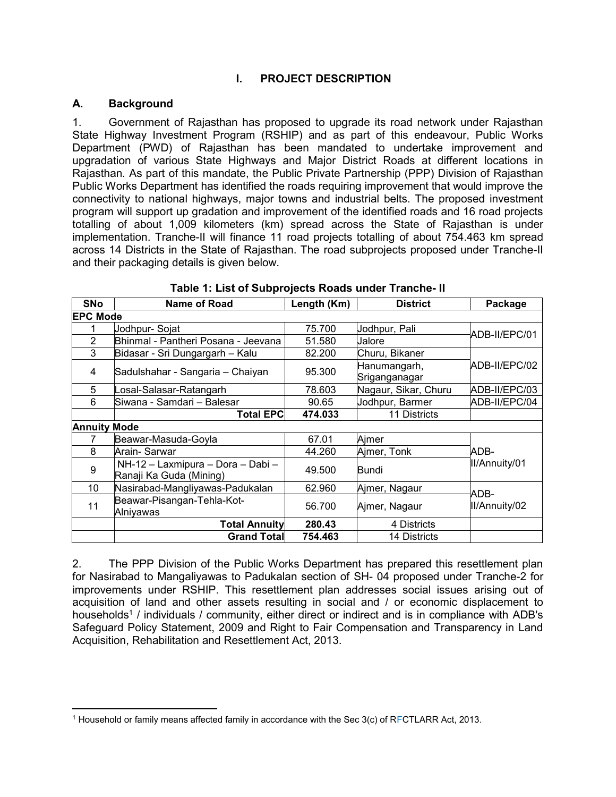# **I. PROJECT DESCRIPTION**

# <span id="page-10-1"></span><span id="page-10-0"></span>**A. Background**

 $\overline{a}$ 

1. Government of Rajasthan has proposed to upgrade its road network under Rajasthan State Highway Investment Program (RSHIP) and as part of this endeavour, Public Works Department (PWD) of Rajasthan has been mandated to undertake improvement and upgradation of various State Highways and Major District Roads at different locations in Rajasthan. As part of this mandate, the Public Private Partnership (PPP) Division of Rajasthan Public Works Department has identified the roads requiring improvement that would improve the connectivity to national highways, major towns and industrial belts. The proposed investment program will support up gradation and improvement of the identified roads and 16 road projects totalling of about 1,009 kilometers (km) spread across the State of Rajasthan is under implementation. Tranche-II will finance 11 road projects totalling of about 754.463 km spread across 14 Districts in the State of Rajasthan. The road subprojects proposed under Tranche-II and their packaging details is given below.

<span id="page-10-2"></span>

| <b>SNo</b>          | <b>Name of Road</b>                                          | Length (Km) | <b>District</b>               | Package       |
|---------------------|--------------------------------------------------------------|-------------|-------------------------------|---------------|
| <b>EPC Mode</b>     |                                                              |             |                               |               |
|                     | Jodhpur-Sojat                                                | 75.700      | Jodhpur, Pali                 | ADB-II/EPC/01 |
| $\overline{2}$      | Bhinmal - Pantheri Posana - Jeevana                          | 51.580      | Jalore                        |               |
| 3                   | Bidasar - Sri Dungargarh - Kalu                              | 82.200      | Churu, Bikaner                |               |
| 4                   | Sadulshahar - Sangaria - Chaiyan                             | 95.300      | Hanumangarh,<br>Sriganganagar | ADB-II/EPC/02 |
| 5                   | Losal-Salasar-Ratangarh                                      | 78.603      | Nagaur, Sikar, Churu          | ADB-II/EPC/03 |
| 6                   | Siwana - Samdari - Balesar                                   | 90.65       | Jodhpur, Barmer               | ADB-II/EPC/04 |
|                     | <b>Total EPC</b>                                             | 474.033     | 11 Districts                  |               |
| <b>Annuity Mode</b> |                                                              |             |                               |               |
|                     | Beawar-Masuda-Goyla                                          | 67.01       | Aimer                         |               |
| 8                   | Arain- Sarwar                                                | 44.260      | Ajmer, Tonk                   | ADB-          |
| 9                   | NH-12 - Laxmipura - Dora - Dabi -<br>Ranaji Ka Guda (Mining) | 49.500      | <b>Bundi</b>                  | II/Annuity/01 |
| 10                  | Nasirabad-Mangliyawas-Padukalan                              | 62.960      | Ajmer, Nagaur                 | ADB-          |
| 11                  | Beawar-Pisangan-Tehla-Kot-<br>Alniyawas                      | 56.700      | Ajmer, Nagaur                 | II/Annuity/02 |
|                     | <b>Total Annuity</b>                                         | 280.43      | 4 Districts                   |               |
|                     | <b>Grand Totall</b>                                          | 754.463     | 14 Districts                  |               |

# **Table 1: List of Subprojects Roads under Tranche- II**

2. The PPP Division of the Public Works Department has prepared this resettlement plan for Nasirabad to Mangaliyawas to Padukalan section of SH- 04 proposed under Tranche-2 for improvements under RSHIP. This resettlement plan addresses social issues arising out of acquisition of land and other assets resulting in social and / or economic displacement to households<sup>1</sup> / individuals / community, either direct or indirect and is in compliance with ADB's Safeguard Policy Statement, 2009 and Right to Fair Compensation and Transparency in Land Acquisition, Rehabilitation and Resettlement Act, 2013.

 $^1$  Household or family means affected family in accordance with the Sec 3(c) of RFCTLARR Act, 2013.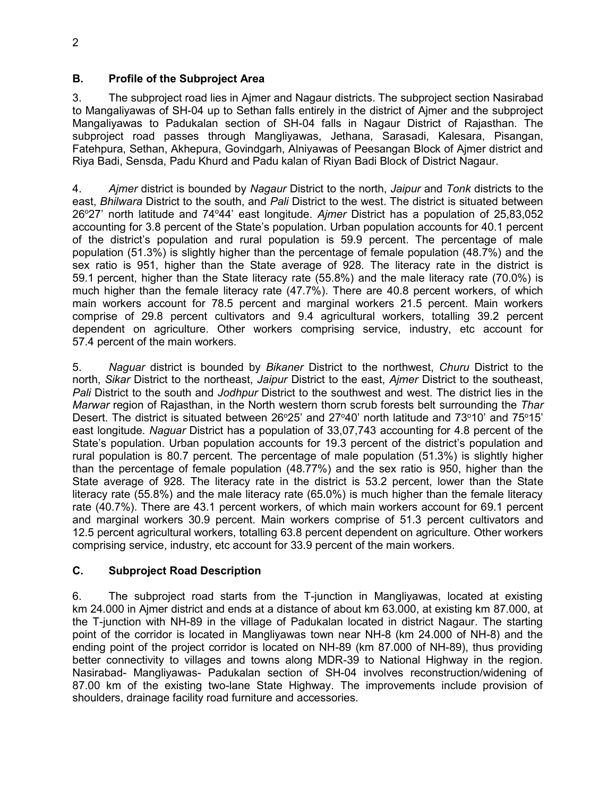# <span id="page-11-0"></span>**B. Profile of the Subproject Area**

3. The subproject road lies in Ajmer and Nagaur districts. The subproject section Nasirabad to Mangaliyawas of SH-04 up to Sethan falls entirely in the district of Ajmer and the subproject Mangaliyawas to Padukalan section of SH-04 falls in Nagaur District of Rajasthan. The subproject road passes through Mangliyawas, Jethana, Sarasadi, Kalesara, Pisangan, Fatehpura, Sethan, Akhepura, Govindgarh, Alniyawas of Peesangan Block of Ajmer district and Riya Badi, Sensda, Padu Khurd and Padu kalan of Riyan Badi Block of District Nagaur.

4. *Ajmer* district is bounded by *Nagaur* District to the north, *Jaipur* and *Tonk* districts to the east, *Bhilwara* District to the south, and *Pali* District to the west. The district is situated between 26°27' north latitude and 74°44' east longitude. *Ajmer* District has a population of 25,83,052 accounting for 3.8 percent of the State's population. Urban population accounts for 40.1 percent of the district's population and rural population is 59.9 percent. The percentage of male population (51.3%) is slightly higher than the percentage of female population (48.7%) and the sex ratio is 951, higher than the State average of 928. The literacy rate in the district is 59.1 percent, higher than the State literacy rate (55.8%) and the male literacy rate (70.0%) is much higher than the female literacy rate (47.7%). There are 40.8 percent workers, of which main workers account for 78.5 percent and marginal workers 21.5 percent. Main workers comprise of 29.8 percent cultivators and 9.4 agricultural workers, totalling 39.2 percent dependent on agriculture. Other workers comprising service, industry, etc account for 57.4 percent of the main workers.

5. *Naguar* district is bounded by *Bikaner* District to the northwest, *Churu* District to the north, *Sikar* District to the northeast, *Jaipur* District to the east, *Ajmer* District to the southeast, *Pali* District to the south and *Jodhpur* District to the southwest and west. The district lies in the *Marwar* region of Rajasthan, in the North western thorn scrub forests belt surrounding the *Thar*  Desert. The district is situated between 26°25' and 27°40' north latitude and 73°10' and 75°15' east longitude. *Naguar* District has a population of 33,07,743 accounting for 4.8 percent of the State's population. Urban population accounts for 19.3 percent of the district's population and rural population is 80.7 percent. The percentage of male population (51.3%) is slightly higher than the percentage of female population (48.77%) and the sex ratio is 950, higher than the State average of 928. The literacy rate in the district is 53.2 percent, lower than the State literacy rate (55.8%) and the male literacy rate (65.0%) is much higher than the female literacy rate (40.7%). There are 43.1 percent workers, of which main workers account for 69.1 percent and marginal workers 30.9 percent. Main workers comprise of 51.3 percent cultivators and 12.5 percent agricultural workers, totalling 63.8 percent dependent on agriculture. Other workers comprising service, industry, etc account for 33.9 percent of the main workers.

# <span id="page-11-1"></span>**C. Subproject Road Description**

6. The subproject road starts from the T-junction in Mangliyawas, located at existing km 24.000 in Ajmer district and ends at a distance of about km 63.000, at existing km 87.000, at the T-junction with NH-89 in the village of Padukalan located in district Nagaur. The starting point of the corridor is located in Mangliyawas town near NH-8 (km 24.000 of NH-8) and the ending point of the project corridor is located on NH-89 (km 87.000 of NH-89), thus providing better connectivity to villages and towns along MDR-39 to National Highway in the region. Nasirabad- Mangliyawas- Padukalan section of SH-04 involves reconstruction/widening of 87.00 km of the existing two-lane State Highway. The improvements include provision of shoulders, drainage facility road furniture and accessories.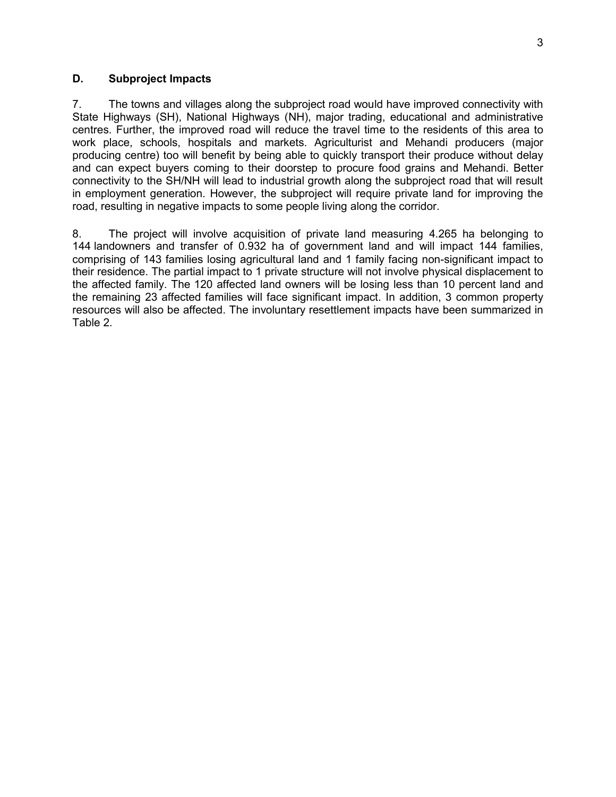#### <span id="page-12-0"></span>**D. Subproject Impacts**

7. The towns and villages along the subproject road would have improved connectivity with State Highways (SH), National Highways (NH), major trading, educational and administrative centres. Further, the improved road will reduce the travel time to the residents of this area to work place, schools, hospitals and markets. Agriculturist and Mehandi producers (major producing centre) too will benefit by being able to quickly transport their produce without delay and can expect buyers coming to their doorstep to procure food grains and Mehandi. Better connectivity to the SH/NH will lead to industrial growth along the subproject road that will result in employment generation. However, the subproject will require private land for improving the road, resulting in negative impacts to some people living along the corridor.

<span id="page-12-1"></span>8. The project will involve acquisition of private land measuring 4.265 ha belonging to 144 landowners and transfer of 0.932 ha of government land and will impact 144 families, comprising of 143 families losing agricultural land and 1 family facing non-significant impact to their residence. The partial impact to 1 private structure will not involve physical displacement to the affected family. The 120 affected land owners will be losing less than 10 percent land and the remaining 23 affected families will face significant impact. In addition, 3 common property resources will also be affected. The involuntary resettlement impacts have been summarized in Table 2.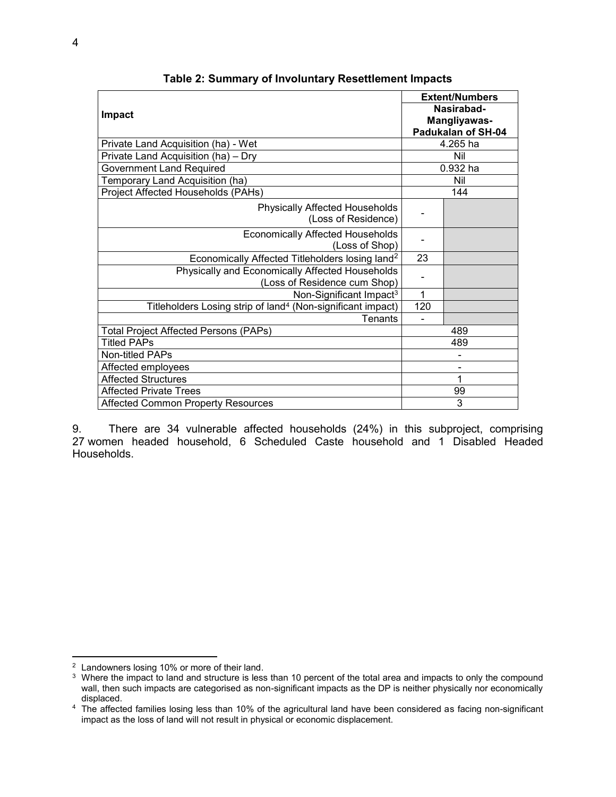|                                                                         |             | <b>Extent/Numbers</b>      |  |
|-------------------------------------------------------------------------|-------------|----------------------------|--|
| Impact                                                                  |             | Nasirabad-<br>Mangliyawas- |  |
|                                                                         |             | Padukalan of SH-04         |  |
| Private Land Acquisition (ha) - Wet                                     |             | 4.265 ha                   |  |
| Private Land Acquisition (ha) - Dry                                     |             | Nil                        |  |
| <b>Government Land Required</b>                                         |             | $0.932$ ha                 |  |
| Temporary Land Acquisition (ha)                                         |             | Nil                        |  |
| Project Affected Households (PAHs)                                      |             | 144                        |  |
| Physically Affected Households                                          |             |                            |  |
| (Loss of Residence)                                                     |             |                            |  |
| <b>Economically Affected Households</b>                                 |             |                            |  |
| (Loss of Shop)                                                          |             |                            |  |
| Economically Affected Titleholders losing land <sup>2</sup>             | 23          |                            |  |
| Physically and Economically Affected Households                         |             |                            |  |
| (Loss of Residence cum Shop)                                            |             |                            |  |
| Non-Significant Impact <sup>3</sup>                                     | $\mathbf 1$ |                            |  |
| Titleholders Losing strip of land <sup>4</sup> (Non-significant impact) | 120         |                            |  |
| <b>Tenants</b>                                                          |             |                            |  |
| <b>Total Project Affected Persons (PAPs)</b>                            |             | 489                        |  |
| <b>Titled PAPs</b>                                                      |             | 489                        |  |
| <b>Non-titled PAPs</b>                                                  |             |                            |  |
| Affected employees                                                      |             |                            |  |
| <b>Affected Structures</b>                                              |             | 1                          |  |
| <b>Affected Private Trees</b>                                           |             | 99                         |  |
| <b>Affected Common Property Resources</b>                               |             | 3                          |  |

**Table 2: Summary of Involuntary Resettlement Impacts**

<span id="page-13-0"></span>9. There are 34 vulnerable affected households (24%) in this subproject, comprising 27 women headed household, 6 Scheduled Caste household and 1 Disabled Headed Households.

 $\overline{a}$ 

<sup>&</sup>lt;sup>2</sup> Landowners losing 10% or more of their land.

<sup>&</sup>lt;sup>3</sup> Where the impact to land and structure is less than 10 percent of the total area and impacts to only the compound wall, then such impacts are categorised as non-significant impacts as the DP is neither physically nor economically displaced.

<sup>4</sup> The affected families losing less than 10% of the agricultural land have been considered as facing non-significant impact as the loss of land will not result in physical or economic displacement.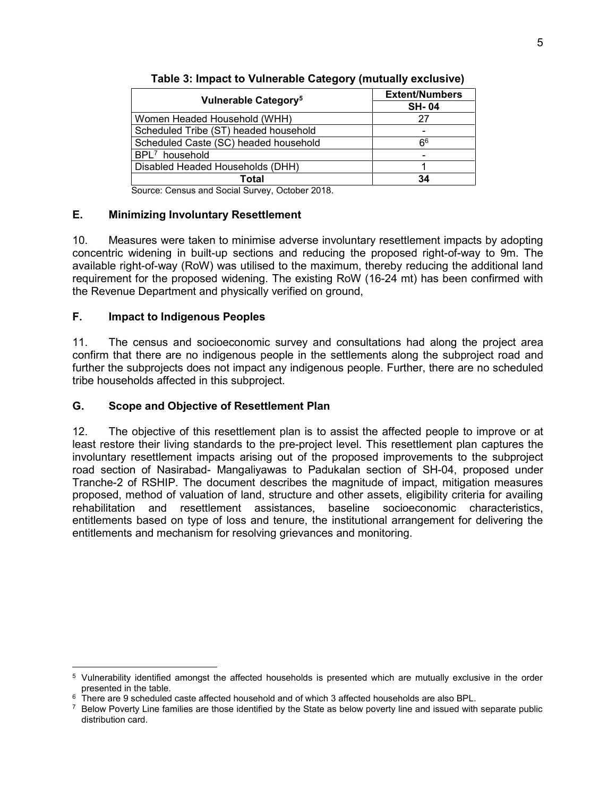| Vulnerable Category <sup>5</sup>      | <b>Extent/Numbers</b> |  |
|---------------------------------------|-----------------------|--|
|                                       | <b>SH-04</b>          |  |
| Women Headed Household (WHH)          | 27                    |  |
| Scheduled Tribe (ST) headed household |                       |  |
| Scheduled Caste (SC) headed household | հ6                    |  |
| BPL <sup>7</sup> household            |                       |  |
| Disabled Headed Households (DHH)      |                       |  |
| Total                                 | 34                    |  |

**Table 3: Impact to Vulnerable Category (mutually exclusive)** 

Source: Census and Social Survey, October 2018.

# <span id="page-14-0"></span>**E. Minimizing Involuntary Resettlement**

10. Measures were taken to minimise adverse involuntary resettlement impacts by adopting concentric widening in built-up sections and reducing the proposed right-of-way to 9m. The available right-of-way (RoW) was utilised to the maximum, thereby reducing the additional land requirement for the proposed widening. The existing RoW (16-24 mt) has been confirmed with the Revenue Department and physically verified on ground,

# <span id="page-14-1"></span>**F. Impact to Indigenous Peoples**

 $\overline{a}$ 

11. The census and socioeconomic survey and consultations had along the project area confirm that there are no indigenous people in the settlements along the subproject road and further the subprojects does not impact any indigenous people. Further, there are no scheduled tribe households affected in this subproject.

# <span id="page-14-2"></span>**G. Scope and Objective of Resettlement Plan**

12. The objective of this resettlement plan is to assist the affected people to improve or at least restore their living standards to the pre-project level. This resettlement plan captures the involuntary resettlement impacts arising out of the proposed improvements to the subproject road section of Nasirabad- Mangaliyawas to Padukalan section of SH-04, proposed under Tranche-2 of RSHIP. The document describes the magnitude of impact, mitigation measures proposed, method of valuation of land, structure and other assets, eligibility criteria for availing rehabilitation and resettlement assistances, baseline socioeconomic characteristics, entitlements based on type of loss and tenure, the institutional arrangement for delivering the entitlements and mechanism for resolving grievances and monitoring.

<sup>&</sup>lt;sup>5</sup> Vulnerability identified amongst the affected households is presented which are mutually exclusive in the order presented in the table.

 $^6\,$  There are 9 scheduled caste affected household and of which 3 affected households are also BPL.

 $7$  Below Poverty Line families are those identified by the State as below poverty line and issued with separate public distribution card.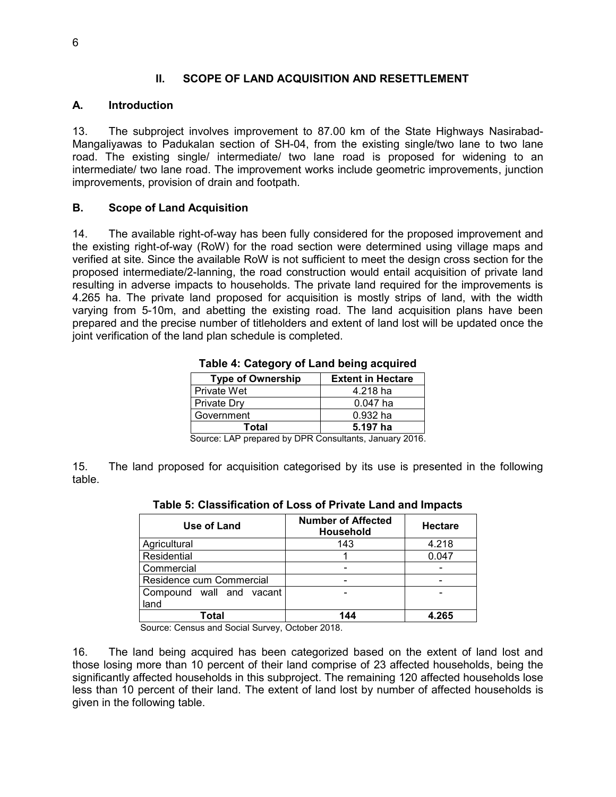# **II. SCOPE OF LAND ACQUISITION AND RESETTLEMENT**

# <span id="page-15-1"></span><span id="page-15-0"></span>**A. Introduction**

13. The subproject involves improvement to 87.00 km of the State Highways Nasirabad-Mangaliyawas to Padukalan section of SH-04, from the existing single/two lane to two lane road. The existing single/ intermediate/ two lane road is proposed for widening to an intermediate/ two lane road. The improvement works include geometric improvements, junction improvements, provision of drain and footpath.

# <span id="page-15-2"></span>**B. Scope of Land Acquisition**

14. The available right-of-way has been fully considered for the proposed improvement and the existing right-of-way (RoW) for the road section were determined using village maps and verified at site. Since the available RoW is not sufficient to meet the design cross section for the proposed intermediate/2-lanning, the road construction would entail acquisition of private land resulting in adverse impacts to households. The private land required for the improvements is 4.265 ha. The private land proposed for acquisition is mostly strips of land, with the width varying from 5-10m, and abetting the existing road. The land acquisition plans have been prepared and the precise number of titleholders and extent of land lost will be updated once the joint verification of the land plan schedule is completed.

| rable 4. Category or Land being acquired             |            |  |
|------------------------------------------------------|------------|--|
| <b>Type of Ownership</b><br><b>Extent in Hectare</b> |            |  |
| l Private Wet                                        | 4.218 ha   |  |
| <b>Private Dry</b>                                   | $0.047$ ha |  |
| Government                                           | $0.932$ ha |  |
| Total<br>5.197 ha                                    |            |  |
|                                                      |            |  |

**Table 4: Category of Land being acquired** 

Source: LAP prepared by DPR Consultants, January 2016.

<span id="page-15-4"></span><span id="page-15-3"></span>15. The land proposed for acquisition categorised by its use is presented in the following table.

| Use of Land              | <b>Number of Affected</b><br><b>Household</b> | <b>Hectare</b> |  |
|--------------------------|-----------------------------------------------|----------------|--|
| Agricultural             | 143                                           | 4.218          |  |
| Residential              |                                               | 0.047          |  |
| Commercial               |                                               |                |  |
| Residence cum Commercial |                                               |                |  |
| Compound wall and vacant |                                               |                |  |
| land                     |                                               |                |  |
| Total                    | 144                                           |                |  |

# **Table 5: Classification of Loss of Private Land and Impacts**

Source: Census and Social Survey, October 2018.

16. The land being acquired has been categorized based on the extent of land lost and those losing more than 10 percent of their land comprise of 23 affected households, being the significantly affected households in this subproject. The remaining 120 affected households lose less than 10 percent of their land. The extent of land lost by number of affected households is given in the following table.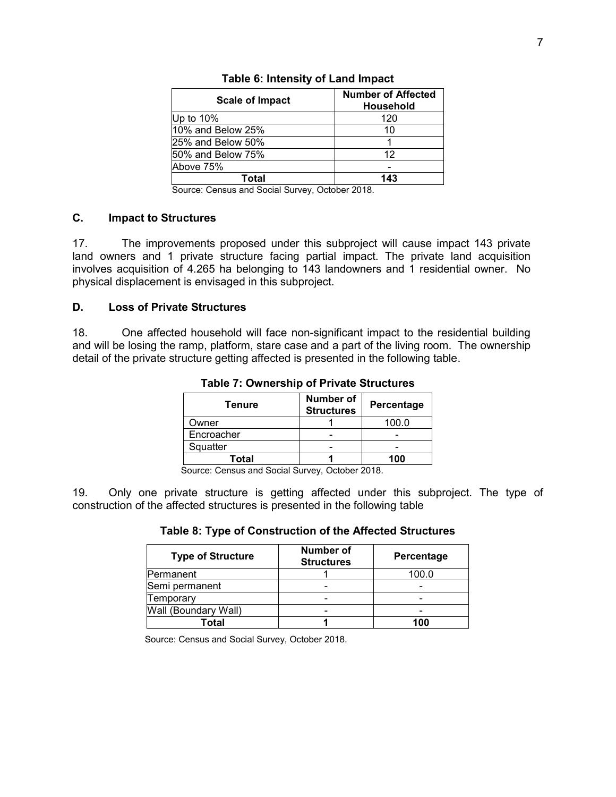<span id="page-16-2"></span>

| <b>Scale of Impact</b> | <b>Number of Affected</b><br><b>Household</b> |
|------------------------|-----------------------------------------------|
| Up to 10%              | 120                                           |
| 10% and Below 25%      | 10                                            |
| 25% and Below 50%      |                                               |
| 50% and Below 75%      | 12                                            |
| Above 75%              |                                               |
| Total                  | 143                                           |

#### **Table 6: Intensity of Land Impact**

Source: Census and Social Survey, October 2018.

# <span id="page-16-0"></span>**C. Impact to Structures**

17. The improvements proposed under this subproject will cause impact 143 private land owners and 1 private structure facing partial impact. The private land acquisition involves acquisition of 4.265 ha belonging to 143 landowners and 1 residential owner. No physical displacement is envisaged in this subproject.

#### <span id="page-16-1"></span>**D. Loss of Private Structures**

<span id="page-16-3"></span>18. One affected household will face non-significant impact to the residential building and will be losing the ramp, platform, stare case and a part of the living room. The ownership detail of the private structure getting affected is presented in the following table.

| Tenure     | <b>Number of</b><br><b>Structures</b> | Percentage |  |
|------------|---------------------------------------|------------|--|
| Owner      |                                       | 100.0      |  |
| Encroacher |                                       |            |  |
| Squatter   |                                       |            |  |
| Total      |                                       | 100        |  |

**Table 7: Ownership of Private Structures** 

Source: Census and Social Survey, October 2018.

<span id="page-16-4"></span>19. Only one private structure is getting affected under this subproject. The type of construction of the affected structures is presented in the following table

#### **Table 8: Type of Construction of the Affected Structures**

| <b>Type of Structure</b> | Number of<br><b>Structures</b> | Percentage |
|--------------------------|--------------------------------|------------|
| Permanent                |                                | 100.0      |
| Semi permanent           |                                |            |
| Temporary                |                                |            |
| Wall (Boundary Wall)     |                                |            |
| Total                    |                                | 100        |

Source: Census and Social Survey, October 2018.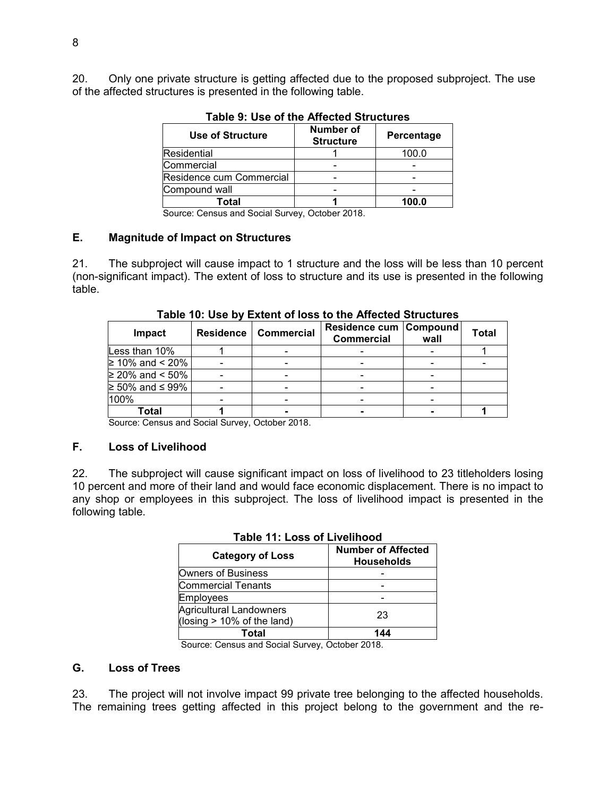<span id="page-17-3"></span>20. Only one private structure is getting affected due to the proposed subproject. The use of the affected structures is presented in the following table.

| <b>Use of Structure</b>                      | Number of<br><b>Structure</b> | Percentage |  |  |
|----------------------------------------------|-------------------------------|------------|--|--|
| Residential                                  |                               | 100.0      |  |  |
| Commercial                                   |                               |            |  |  |
| Residence cum Commercial                     |                               |            |  |  |
| Compound wall                                |                               |            |  |  |
| Total                                        |                               | 100.0      |  |  |
| $\overline{\phantom{a}}$<br>$\sim$<br>$\sim$ | $\sim$ $\sim$                 |            |  |  |

**Table 9: Use of the Affected Structures** 

Source: Census and Social Survey, October 2018.

#### <span id="page-17-0"></span>**E. Magnitude of Impact on Structures**

21. The subproject will cause impact to 1 structure and the loss will be less than 10 percent (non-significant impact). The extent of loss to structure and its use is presented in the following table.

<span id="page-17-4"></span>

| <b>Impact</b>          | <b>Residence</b> | <b>Commercial</b> | Residence cum<br><b>Commercial</b> | Compound<br>wall | <b>Total</b> |
|------------------------|------------------|-------------------|------------------------------------|------------------|--------------|
| Less than 10%          |                  |                   |                                    |                  |              |
| ≥ 10% and < 20%        |                  |                   |                                    |                  |              |
| ≥ 20% and < 50% $\mid$ |                  |                   | $\overline{\phantom{0}}$           |                  |              |
| ≥ 50% and ≤ 99%        |                  |                   |                                    |                  |              |
| 100%                   |                  |                   | -                                  |                  |              |
| Total                  |                  |                   |                                    |                  |              |

**Table 10: Use by Extent of loss to the Affected Structures**

Source: Census and Social Survey, October 2018.

#### <span id="page-17-1"></span>**F. Loss of Livelihood**

<span id="page-17-5"></span>22. The subproject will cause significant impact on loss of livelihood to 23 titleholders losing 10 percent and more of their land and would face economic displacement. There is no impact to any shop or employees in this subproject. The loss of livelihood impact is presented in the following table.

| <b>Category of Loss</b>                                         | <b>Number of Affected</b><br><b>Households</b> |  |  |
|-----------------------------------------------------------------|------------------------------------------------|--|--|
| Owners of Business                                              |                                                |  |  |
| Commercial Tenants                                              |                                                |  |  |
| <b>Employees</b>                                                |                                                |  |  |
| <b>Agricultural Landowners</b><br>(losing $> 10\%$ of the land) | 23                                             |  |  |
| Total                                                           | 144                                            |  |  |

#### **Table 11: Loss of Livelihood**

Source: Census and Social Survey, October 2018.

#### <span id="page-17-2"></span>**G. Loss of Trees**

23. The project will not involve impact 99 private tree belonging to the affected households. The remaining trees getting affected in this project belong to the government and the re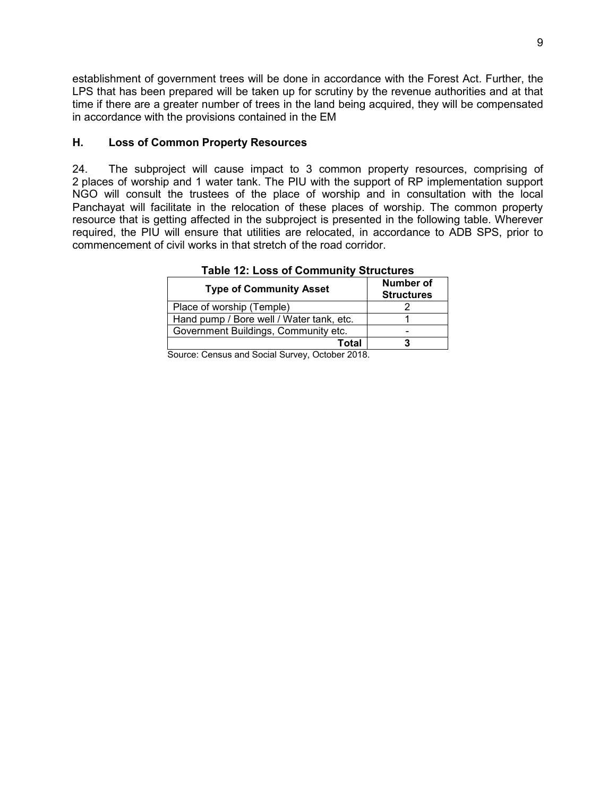establishment of government trees will be done in accordance with the Forest Act. Further, the LPS that has been prepared will be taken up for scrutiny by the revenue authorities and at that time if there are a greater number of trees in the land being acquired, they will be compensated in accordance with the provisions contained in the EM

# <span id="page-18-0"></span>**H. Loss of Common Property Resources**

24. The subproject will cause impact to 3 common property resources, comprising of 2 places of worship and 1 water tank. The PIU with the support of RP implementation support NGO will consult the trustees of the place of worship and in consultation with the local Panchayat will facilitate in the relocation of these places of worship. The common property resource that is getting affected in the subproject is presented in the following table. Wherever required, the PIU will ensure that utilities are relocated, in accordance to ADB SPS, prior to commencement of civil works in that stretch of the road corridor.

<span id="page-18-1"></span>

| <b>Structures</b> |
|-------------------|
|                   |
|                   |
|                   |
|                   |
|                   |

**Table 12: Loss of Community Structures**

Source: Census and Social Survey, October 2018.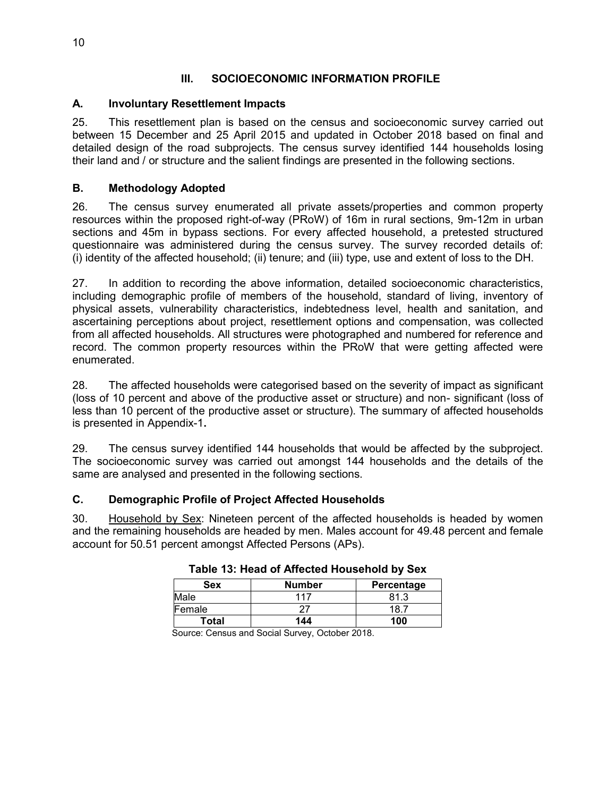# **III. SOCIOECONOMIC INFORMATION PROFILE**

# <span id="page-19-1"></span><span id="page-19-0"></span>**A. Involuntary Resettlement Impacts**

25. This resettlement plan is based on the census and socioeconomic survey carried out between 15 December and 25 April 2015 and updated in October 2018 based on final and detailed design of the road subprojects. The census survey identified 144 households losing their land and / or structure and the salient findings are presented in the following sections.

# <span id="page-19-2"></span>**B. Methodology Adopted**

26. The census survey enumerated all private assets/properties and common property resources within the proposed right-of-way (PRoW) of 16m in rural sections, 9m-12m in urban sections and 45m in bypass sections. For every affected household, a pretested structured questionnaire was administered during the census survey. The survey recorded details of: (i) identity of the affected household; (ii) tenure; and (iii) type, use and extent of loss to the DH.

27. In addition to recording the above information, detailed socioeconomic characteristics, including demographic profile of members of the household, standard of living, inventory of physical assets, vulnerability characteristics, indebtedness level, health and sanitation, and ascertaining perceptions about project, resettlement options and compensation, was collected from all affected households. All structures were photographed and numbered for reference and record. The common property resources within the PRoW that were getting affected were enumerated.

28. The affected households were categorised based on the severity of impact as significant (loss of 10 percent and above of the productive asset or structure) and non- significant (loss of less than 10 percent of the productive asset or structure). The summary of affected households is presented in Appendix-1**.**

29. The census survey identified 144 households that would be affected by the subproject. The socioeconomic survey was carried out amongst 144 households and the details of the same are analysed and presented in the following sections.

# <span id="page-19-3"></span>**C. Demographic Profile of Project Affected Households**

<span id="page-19-4"></span>30. Household by Sex: Nineteen percent of the affected households is headed by women and the remaining households are headed by men. Males account for 49.48 percent and female account for 50.51 percent amongst Affected Persons (APs).

| Sex          | <b>Number</b> | Percentage |  |
|--------------|---------------|------------|--|
| Male         | 117           | 81.3       |  |
| Female       |               | 18.7       |  |
| <b>Total</b> | 144           | 100        |  |

Source: Census and Social Survey, October 2018.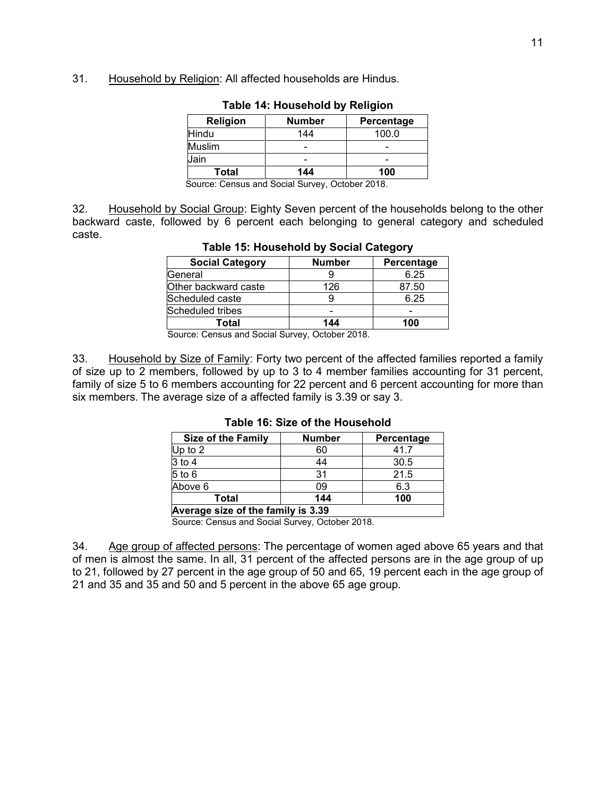<span id="page-20-0"></span>31. Household by Religion: All affected households are Hindus.

| <b>Religion</b> | <b>Number</b> | Percentage |  |
|-----------------|---------------|------------|--|
| Hindu           | 144           | 100.0      |  |
| <b>Muslim</b>   |               |            |  |
| Jain            |               |            |  |
| Total           | 144           | 100        |  |

|  |  |  |  |  | Table 14: Household by Religion |
|--|--|--|--|--|---------------------------------|
|--|--|--|--|--|---------------------------------|

Source: Census and Social Survey, October 2018.

<span id="page-20-1"></span>32. Household by Social Group: Eighty Seven percent of the households belong to the other backward caste, followed by 6 percent each belonging to general category and scheduled caste.

| <b>Social Category</b>     | <b>Number</b> | Percentage |  |
|----------------------------|---------------|------------|--|
| General                    |               | 6.25       |  |
| Other backward caste       | 126           | 87.50      |  |
| Scheduled caste            |               | 6.25       |  |
| Scheduled tribes           |               |            |  |
| Total                      | 144           | 100        |  |
| $\sim$<br>$\sim$<br>$\sim$ | <u>.</u><br>  |            |  |

**Table 15: Household by Social Category** 

Source: Census and Social Survey, October 2018.

<span id="page-20-2"></span>33. Household by Size of Family: Forty two percent of the affected families reported a family of size up to 2 members, followed by up to 3 to 4 member families accounting for 31 percent, family of size 5 to 6 members accounting for 22 percent and 6 percent accounting for more than six members. The average size of a affected family is 3.39 or say 3.

| <b>Size of the Family</b>          | <b>Number</b> | Percentage |  |  |  |
|------------------------------------|---------------|------------|--|--|--|
| Up to $2$                          | 60            | 41.7       |  |  |  |
| $3$ to $4$                         | 44            | 30.5       |  |  |  |
| $5$ to $6$                         | 31            | 21.5       |  |  |  |
| Above 6                            | 09            | 6.3        |  |  |  |
| 144<br>100<br>Total                |               |            |  |  |  |
| Average size of the family is 3.39 |               |            |  |  |  |

#### **Table 16: Size of the Household**

Source: Census and Social Survey, October 2018.

34. Age group of affected persons: The percentage of women aged above 65 years and that of men is almost the same. In all, 31 percent of the affected persons are in the age group of up to 21, followed by 27 percent in the age group of 50 and 65, 19 percent each in the age group of 21 and 35 and 35 and 50 and 5 percent in the above 65 age group.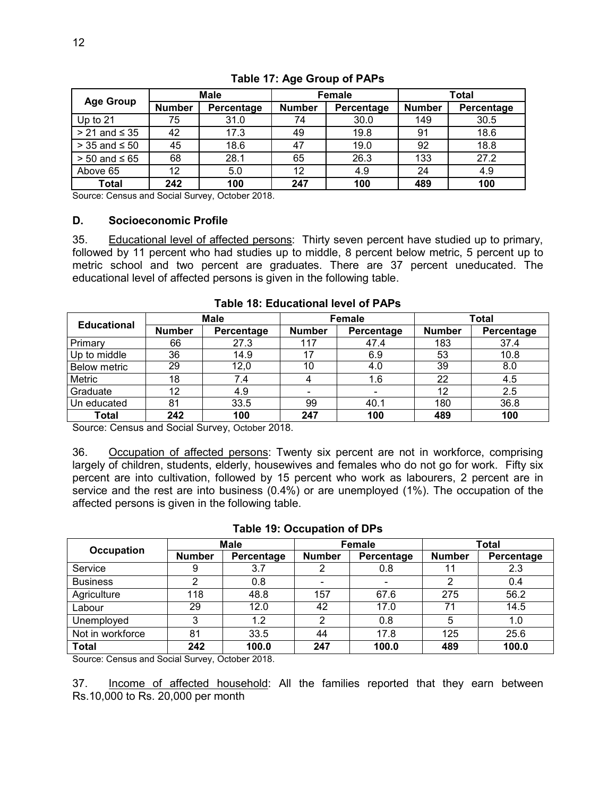<span id="page-21-1"></span>

| <b>Age Group</b>     | <b>Male</b>   |            | <b>Female</b> |            | Total         |            |
|----------------------|---------------|------------|---------------|------------|---------------|------------|
|                      | <b>Number</b> | Percentage | <b>Number</b> | Percentage | <b>Number</b> | Percentage |
| Up to 21             | 75            | 31.0       | 74            | 30.0       | 149           | 30.5       |
| $> 21$ and $\leq 35$ | 42            | 17.3       | 49            | 19.8       | 91            | 18.6       |
| $>$ 35 and $\leq$ 50 | 45            | 18.6       | 47            | 19.0       | 92            | 18.8       |
| $> 50$ and ≤ 65      | 68            | 28.1       | 65            | 26.3       | 133           | 27.2       |
| Above 65             | 12            | 5.0        | 12            | 4.9        | 24            | 4.9        |
| <b>Total</b>         | 242           | 100        | 247           | 100        | 489           | 100        |

## **Table 17: Age Group of PAPs**

Source: Census and Social Survey, October 2018.

#### <span id="page-21-0"></span>**D. Socioeconomic Profile**

35. Educational level of affected persons: Thirty seven percent have studied up to primary, followed by 11 percent who had studies up to middle, 8 percent below metric, 5 percent up to metric school and two percent are graduates. There are 37 percent uneducated. The educational level of affected persons is given in the following table.

<span id="page-21-2"></span>

| <b>Educational</b>  | Male          |            | Female        |            | <b>Total</b>  |            |
|---------------------|---------------|------------|---------------|------------|---------------|------------|
|                     | <b>Number</b> | Percentage | <b>Number</b> | Percentage | <b>Number</b> | Percentage |
| Primary             | 66            | 27.3       | 117           | 47.4       | 183           | 37.4       |
| Up to middle        | 36            | 14.9       | 17            | 6.9        | 53            | 10.8       |
| <b>Below metric</b> | 29            | 12,0       | 10            | 4.0        | 39            | 8.0        |
| Metric              | 18            | 7.4        |               | 1.6        | 22            | 4.5        |
| Graduate            | 12            | 4.9        | ۰             |            | 12            | 2.5        |
| Un educated         | 81            | 33.5       | 99            | 40.1       | 180           | 36.8       |
| Total               | 242           | 100        | 247           | 100        | 489           | 100        |

#### **Table 18: Educational level of PAPs**

Source: Census and Social Survey, October 2018.

36. Occupation of affected persons: Twenty six percent are not in workforce, comprising largely of children, students, elderly, housewives and females who do not go for work. Fifty six percent are into cultivation, followed by 15 percent who work as labourers, 2 percent are in service and the rest are into business (0.4%) or are unemployed (1%). The occupation of the affected persons is given in the following table.

<span id="page-21-3"></span>

|                   | Male          |            | <b>Female</b> |            | <b>Total</b>  |            |
|-------------------|---------------|------------|---------------|------------|---------------|------------|
| <b>Occupation</b> | <b>Number</b> | Percentage | <b>Number</b> | Percentage | <b>Number</b> | Percentage |
| Service           | 9             | 3.7        |               | 0.8        |               | 2.3        |
| <b>Business</b>   | ⌒             | 0.8        |               |            | っ             | 0.4        |
| Agriculture       | 118           | 48.8       | 157           | 67.6       | 275           | 56.2       |
| Labour            | 29            | 12.0       | 42            | 17.0       | 71            | 14.5       |
| Unemployed        | 3             | 1.2        | ◠             | 0.8        | 5             | 1.0        |
| Not in workforce  | 81            | 33.5       | 44            | 17.8       | 125           | 25.6       |
| Total             | 242           | 100.0      | 247           | 100.0      | 489           | 100.0      |

#### **Table 19: Occupation of DPs**

Source: Census and Social Survey, October 2018.

37. Income of affected household: All the families reported that they earn between Rs.10,000 to Rs. 20,000 per month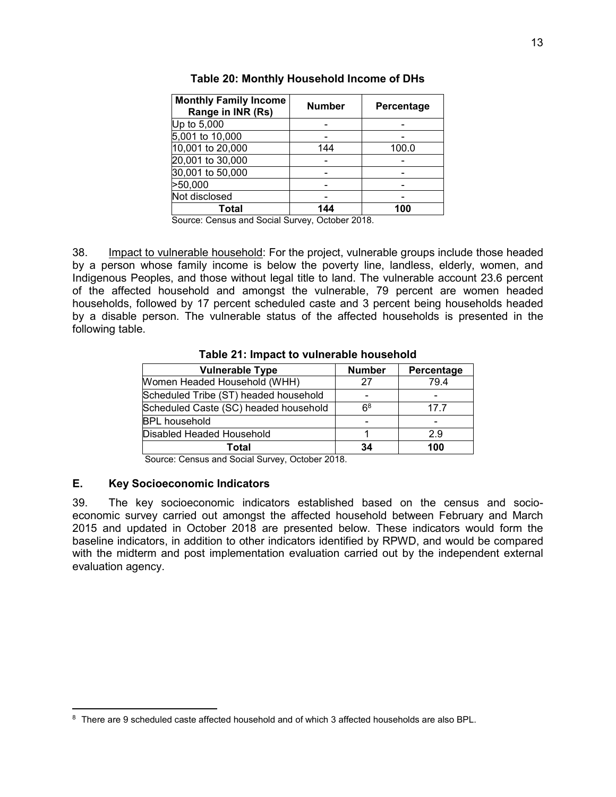<span id="page-22-1"></span>

| <b>Monthly Family Income</b><br>Range in INR (Rs) | <b>Number</b> | Percentage |
|---------------------------------------------------|---------------|------------|
| Up to 5,000                                       |               |            |
| 5,001 to 10,000                                   |               |            |
| 10,001 to 20,000                                  | 144           | 100.0      |
| 20,001 to 30,000                                  |               |            |
| 30,001 to 50,000                                  |               |            |
| >50,000                                           |               |            |
| Not disclosed                                     |               |            |
| Total                                             | 144           | 100        |

**Table 20: Monthly Household Income of DHs** 

Source: Census and Social Survey, October 2018.

38. Impact to vulnerable household: For the project, vulnerable groups include those headed by a person whose family income is below the poverty line, landless, elderly, women, and Indigenous Peoples, and those without legal title to land. The vulnerable account 23.6 percent of the affected household and amongst the vulnerable, 79 percent are women headed households, followed by 17 percent scheduled caste and 3 percent being households headed by a disable person. The vulnerable status of the affected households is presented in the following table.

<span id="page-22-2"></span>

| <b>Vulnerable Type</b>                | <b>Number</b>            | Percentage |
|---------------------------------------|--------------------------|------------|
| Women Headed Household (WHH)          | 27                       | 79.4       |
| Scheduled Tribe (ST) headed household |                          |            |
| Scheduled Caste (SC) headed household | 6 <sup>8</sup>           | 17.7       |
| <b>BPL</b> household                  | $\overline{\phantom{0}}$ |            |
| Disabled Headed Household             |                          | 2.9        |
| Total                                 | 34                       | 100        |

**Table 21: Impact to vulnerable household** 

Source: Census and Social Survey, October 2018.

# <span id="page-22-0"></span>**E. Key Socioeconomic Indicators**

 $\overline{a}$ 

39. The key socioeconomic indicators established based on the census and socioeconomic survey carried out amongst the affected household between February and March 2015 and updated in October 2018 are presented below. These indicators would form the baseline indicators, in addition to other indicators identified by RPWD, and would be compared with the midterm and post implementation evaluation carried out by the independent external evaluation agency.

 $^{\rm 8}$  There are 9 scheduled caste affected household and of which 3 affected households are also BPL.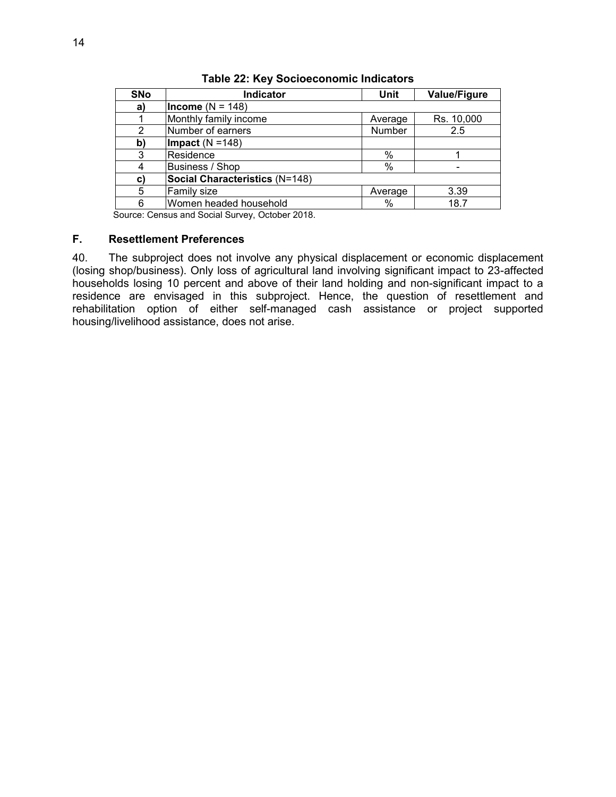<span id="page-23-1"></span>

| <b>SNo</b> | <b>Indicator</b>               | <b>Unit</b> | <b>Value/Figure</b> |  |  |
|------------|--------------------------------|-------------|---------------------|--|--|
| a)         | Income ( $N = 148$ )           |             |                     |  |  |
|            | Monthly family income          | Average     | Rs. 10,000          |  |  |
| 2          | Number of earners              | Number      | 2.5                 |  |  |
| b)         | Impact $(N = 148)$             |             |                     |  |  |
| 3          | <b>Residence</b>               | %           |                     |  |  |
|            | Business / Shop                | %           |                     |  |  |
| C)         | Social Characteristics (N=148) |             |                     |  |  |
| 5          | <b>Family size</b>             | Average     | 3.39                |  |  |
| 6          | Women headed household         | %           | 18.7                |  |  |

**Table 22: Key Socioeconomic Indicators** 

Source: Census and Social Survey, October 2018.

#### <span id="page-23-0"></span>**F. Resettlement Preferences**

40. The subproject does not involve any physical displacement or economic displacement (losing shop/business). Only loss of agricultural land involving significant impact to 23-affected households losing 10 percent and above of their land holding and non-significant impact to a residence are envisaged in this subproject. Hence, the question of resettlement and rehabilitation option of either self-managed cash assistance or project supported housing/livelihood assistance, does not arise.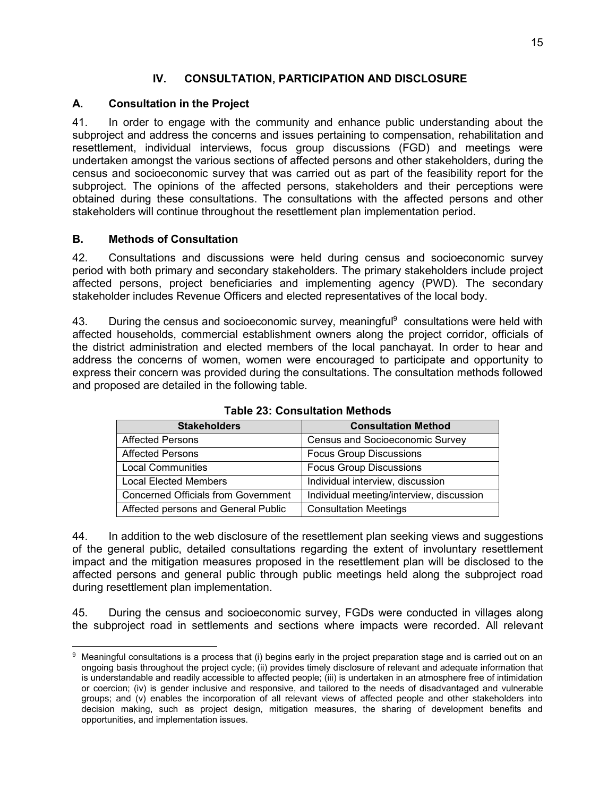# **IV. CONSULTATION, PARTICIPATION AND DISCLOSURE**

# <span id="page-24-1"></span><span id="page-24-0"></span>**A. Consultation in the Project**

41. In order to engage with the community and enhance public understanding about the subproject and address the concerns and issues pertaining to compensation, rehabilitation and resettlement, individual interviews, focus group discussions (FGD) and meetings were undertaken amongst the various sections of affected persons and other stakeholders, during the census and socioeconomic survey that was carried out as part of the feasibility report for the subproject. The opinions of the affected persons, stakeholders and their perceptions were obtained during these consultations. The consultations with the affected persons and other stakeholders will continue throughout the resettlement plan implementation period.

# <span id="page-24-2"></span>**B. Methods of Consultation**

l

42. Consultations and discussions were held during census and socioeconomic survey period with both primary and secondary stakeholders. The primary stakeholders include project affected persons, project beneficiaries and implementing agency (PWD). The secondary stakeholder includes Revenue Officers and elected representatives of the local body.

43. During the census and socioeconomic survey, meaningful<sup>9</sup> consultations were held with affected households, commercial establishment owners along the project corridor, officials of the district administration and elected members of the local panchayat. In order to hear and address the concerns of women, women were encouraged to participate and opportunity to express their concern was provided during the consultations. The consultation methods followed and proposed are detailed in the following table.

<span id="page-24-3"></span>

| <b>Stakeholders</b>                        | <b>Consultation Method</b>               |
|--------------------------------------------|------------------------------------------|
| <b>Affected Persons</b>                    | <b>Census and Socioeconomic Survey</b>   |
| <b>Affected Persons</b>                    | <b>Focus Group Discussions</b>           |
| <b>Local Communities</b>                   | <b>Focus Group Discussions</b>           |
| <b>Local Elected Members</b>               | Individual interview, discussion         |
| <b>Concerned Officials from Government</b> | Individual meeting/interview, discussion |
| Affected persons and General Public        | <b>Consultation Meetings</b>             |

**Table 23: Consultation Methods** 

44. In addition to the web disclosure of the resettlement plan seeking views and suggestions of the general public, detailed consultations regarding the extent of involuntary resettlement impact and the mitigation measures proposed in the resettlement plan will be disclosed to the affected persons and general public through public meetings held along the subproject road during resettlement plan implementation.

45. During the census and socioeconomic survey, FGDs were conducted in villages along the subproject road in settlements and sections where impacts were recorded. All relevant

 $^9\,$  Meaningful consultations is a process that (i) begins early in the project preparation stage and is carried out on an ongoing basis throughout the project cycle; (ii) provides timely disclosure of relevant and adequate information that is understandable and readily accessible to affected people; (iii) is undertaken in an atmosphere free of intimidation or coercion; (iv) is gender inclusive and responsive, and tailored to the needs of disadvantaged and vulnerable groups; and (v) enables the incorporation of all relevant views of affected people and other stakeholders into decision making, such as project design, mitigation measures, the sharing of development benefits and opportunities, and implementation issues.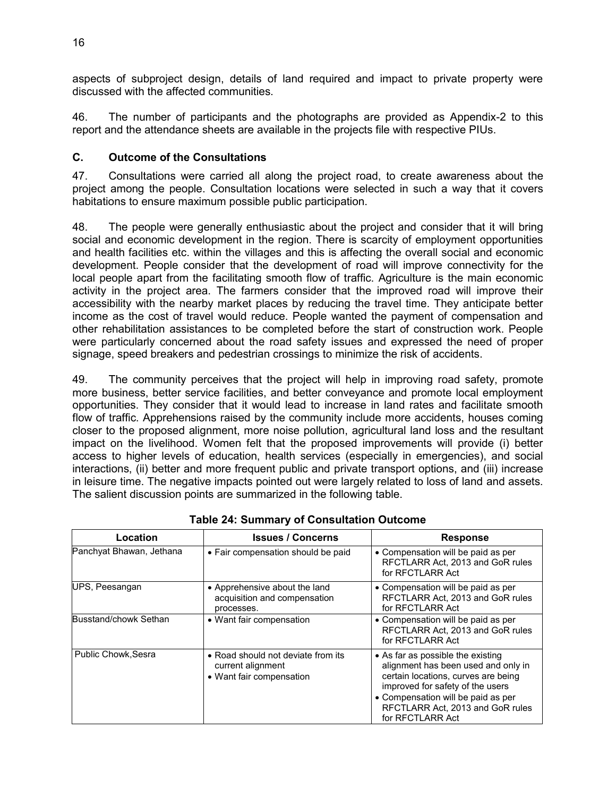aspects of subproject design, details of land required and impact to private property were discussed with the affected communities.

46. The number of participants and the photographs are provided as Appendix-2 to this report and the attendance sheets are available in the projects file with respective PIUs.

# <span id="page-25-0"></span>**C. Outcome of the Consultations**

47. Consultations were carried all along the project road, to create awareness about the project among the people. Consultation locations were selected in such a way that it covers habitations to ensure maximum possible public participation.

48. The people were generally enthusiastic about the project and consider that it will bring social and economic development in the region. There is scarcity of employment opportunities and health facilities etc. within the villages and this is affecting the overall social and economic development. People consider that the development of road will improve connectivity for the local people apart from the facilitating smooth flow of traffic. Agriculture is the main economic activity in the project area. The farmers consider that the improved road will improve their accessibility with the nearby market places by reducing the travel time. They anticipate better income as the cost of travel would reduce. People wanted the payment of compensation and other rehabilitation assistances to be completed before the start of construction work. People were particularly concerned about the road safety issues and expressed the need of proper signage, speed breakers and pedestrian crossings to minimize the risk of accidents.

49. The community perceives that the project will help in improving road safety, promote more business, better service facilities, and better conveyance and promote local employment opportunities. They consider that it would lead to increase in land rates and facilitate smooth flow of traffic. Apprehensions raised by the community include more accidents, houses coming closer to the proposed alignment, more noise pollution, agricultural land loss and the resultant impact on the livelihood. Women felt that the proposed improvements will provide (i) better access to higher levels of education, health services (especially in emergencies), and social interactions, (ii) better and more frequent public and private transport options, and (iii) increase in leisure time. The negative impacts pointed out were largely related to loss of land and assets. The salient discussion points are summarized in the following table.

<span id="page-25-1"></span>

| Location                   | <b>Issues / Concerns</b>                                                            | <b>Response</b>                                                                                                                                                                                                                                   |
|----------------------------|-------------------------------------------------------------------------------------|---------------------------------------------------------------------------------------------------------------------------------------------------------------------------------------------------------------------------------------------------|
| Panchyat Bhawan, Jethana   | • Fair compensation should be paid                                                  | • Compensation will be paid as per<br>RFCTLARR Act, 2013 and GoR rules<br>for RFCTLARR Act                                                                                                                                                        |
| UPS, Peesangan             | • Apprehensive about the land<br>acquisition and compensation<br>processes.         | • Compensation will be paid as per<br>RFCTLARR Act, 2013 and GoR rules<br>for RFCTLARR Act                                                                                                                                                        |
| Busstand/chowk Sethan      | • Want fair compensation                                                            | • Compensation will be paid as per<br>RFCTLARR Act. 2013 and GoR rules<br>for RFCTLARR Act                                                                                                                                                        |
| <b>Public Chowk, Sesra</b> | • Road should not deviate from its<br>current alignment<br>• Want fair compensation | • As far as possible the existing<br>alignment has been used and only in<br>certain locations, curves are being<br>improved for safety of the users<br>• Compensation will be paid as per<br>RFCTLARR Act, 2013 and GoR rules<br>for RFCTLARR Act |

**Table 24: Summary of Consultation Outcome**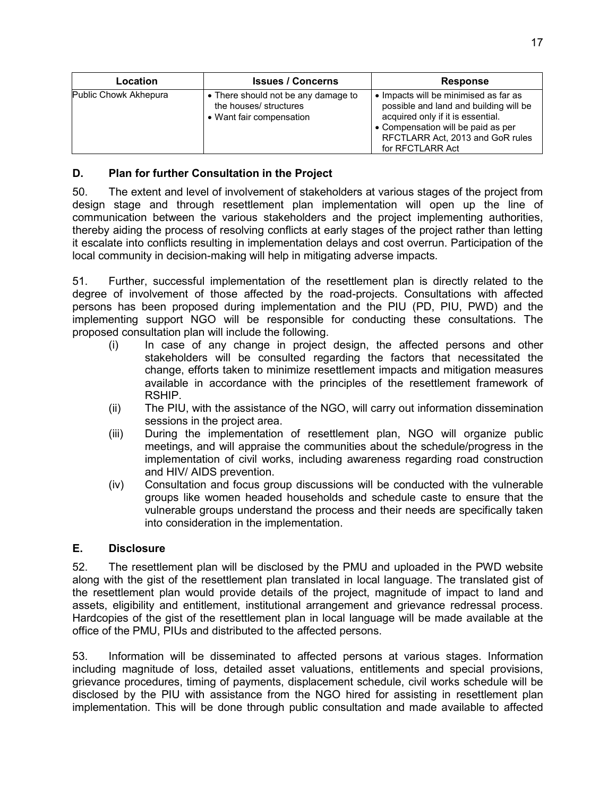| Location              | <b>Issues / Concerns</b>                                                                  | <b>Response</b>                                                                                                                                                                                                    |
|-----------------------|-------------------------------------------------------------------------------------------|--------------------------------------------------------------------------------------------------------------------------------------------------------------------------------------------------------------------|
| Public Chowk Akhepura | • There should not be any damage to<br>the houses/ structures<br>• Want fair compensation | • Impacts will be minimised as far as<br>possible and land and building will be<br>acquired only if it is essential.<br>• Compensation will be paid as per<br>RFCTLARR Act, 2013 and GoR rules<br>for RFCTLARR Act |

# <span id="page-26-0"></span>**D. Plan for further Consultation in the Project**

50. The extent and level of involvement of stakeholders at various stages of the project from design stage and through resettlement plan implementation will open up the line of communication between the various stakeholders and the project implementing authorities, thereby aiding the process of resolving conflicts at early stages of the project rather than letting it escalate into conflicts resulting in implementation delays and cost overrun. Participation of the local community in decision-making will help in mitigating adverse impacts.

51. Further, successful implementation of the resettlement plan is directly related to the degree of involvement of those affected by the road-projects. Consultations with affected persons has been proposed during implementation and the PIU (PD, PIU, PWD) and the implementing support NGO will be responsible for conducting these consultations. The proposed consultation plan will include the following.

- (i) In case of any change in project design, the affected persons and other stakeholders will be consulted regarding the factors that necessitated the change, efforts taken to minimize resettlement impacts and mitigation measures available in accordance with the principles of the resettlement framework of RSHIP.
- (ii) The PIU, with the assistance of the NGO, will carry out information dissemination sessions in the project area.
- (iii) During the implementation of resettlement plan, NGO will organize public meetings, and will appraise the communities about the schedule/progress in the implementation of civil works, including awareness regarding road construction and HIV/ AIDS prevention.
- (iv) Consultation and focus group discussions will be conducted with the vulnerable groups like women headed households and schedule caste to ensure that the vulnerable groups understand the process and their needs are specifically taken into consideration in the implementation.

# <span id="page-26-1"></span>**E. Disclosure**

52. The resettlement plan will be disclosed by the PMU and uploaded in the PWD website along with the gist of the resettlement plan translated in local language. The translated gist of the resettlement plan would provide details of the project, magnitude of impact to land and assets, eligibility and entitlement, institutional arrangement and grievance redressal process. Hardcopies of the gist of the resettlement plan in local language will be made available at the office of the PMU, PIUs and distributed to the affected persons.

53. Information will be disseminated to affected persons at various stages. Information including magnitude of loss, detailed asset valuations, entitlements and special provisions, grievance procedures, timing of payments, displacement schedule, civil works schedule will be disclosed by the PIU with assistance from the NGO hired for assisting in resettlement plan implementation. This will be done through public consultation and made available to affected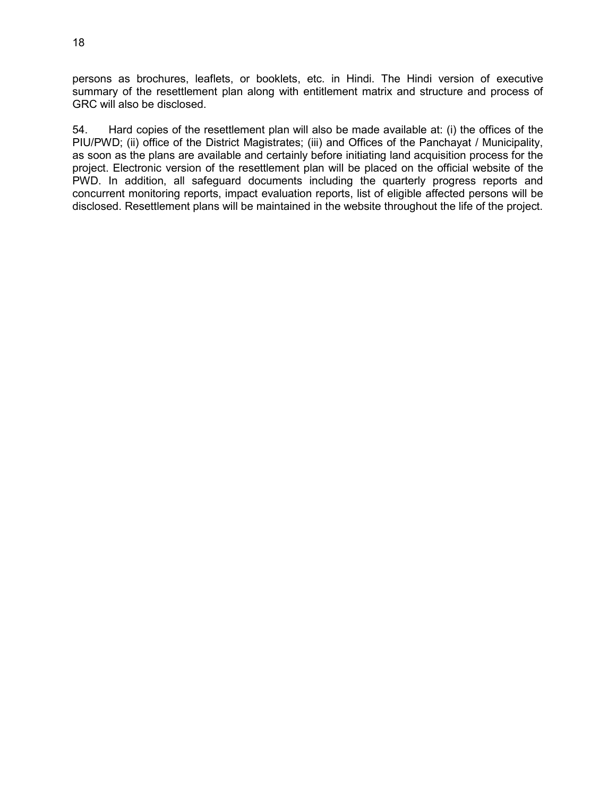persons as brochures, leaflets, or booklets, etc. in Hindi. The Hindi version of executive summary of the resettlement plan along with entitlement matrix and structure and process of GRC will also be disclosed.

54. Hard copies of the resettlement plan will also be made available at: (i) the offices of the PIU/PWD; (ii) office of the District Magistrates; (iii) and Offices of the Panchayat / Municipality, as soon as the plans are available and certainly before initiating land acquisition process for the project. Electronic version of the resettlement plan will be placed on the official website of the PWD. In addition, all safeguard documents including the quarterly progress reports and concurrent monitoring reports, impact evaluation reports, list of eligible affected persons will be disclosed. Resettlement plans will be maintained in the website throughout the life of the project.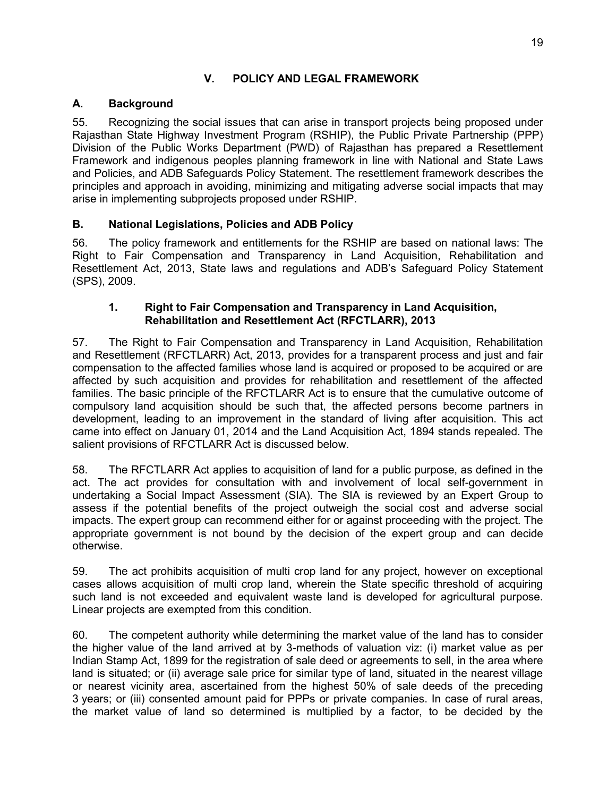# **V. POLICY AND LEGAL FRAMEWORK**

# <span id="page-28-1"></span><span id="page-28-0"></span>**A. Background**

55. Recognizing the social issues that can arise in transport projects being proposed under Rajasthan State Highway Investment Program (RSHIP), the Public Private Partnership (PPP) Division of the Public Works Department (PWD) of Rajasthan has prepared a Resettlement Framework and indigenous peoples planning framework in line with National and State Laws and Policies, and ADB Safeguards Policy Statement. The resettlement framework describes the principles and approach in avoiding, minimizing and mitigating adverse social impacts that may arise in implementing subprojects proposed under RSHIP.

# <span id="page-28-2"></span>**B. National Legislations, Policies and ADB Policy**

56. The policy framework and entitlements for the RSHIP are based on national laws: The Right to Fair Compensation and Transparency in Land Acquisition, Rehabilitation and Resettlement Act, 2013, State laws and regulations and ADB's Safeguard Policy Statement (SPS), 2009.

# **1. Right to Fair Compensation and Transparency in Land Acquisition, Rehabilitation and Resettlement Act (RFCTLARR), 2013**

57. The Right to Fair Compensation and Transparency in Land Acquisition, Rehabilitation and Resettlement (RFCTLARR) Act, 2013, provides for a transparent process and just and fair compensation to the affected families whose land is acquired or proposed to be acquired or are affected by such acquisition and provides for rehabilitation and resettlement of the affected families. The basic principle of the RFCTLARR Act is to ensure that the cumulative outcome of compulsory land acquisition should be such that, the affected persons become partners in development, leading to an improvement in the standard of living after acquisition. This act came into effect on January 01, 2014 and the Land Acquisition Act, 1894 stands repealed. The salient provisions of RFCTLARR Act is discussed below.

58. The RFCTLARR Act applies to acquisition of land for a public purpose, as defined in the act. The act provides for consultation with and involvement of local self-government in undertaking a Social Impact Assessment (SIA). The SIA is reviewed by an Expert Group to assess if the potential benefits of the project outweigh the social cost and adverse social impacts. The expert group can recommend either for or against proceeding with the project. The appropriate government is not bound by the decision of the expert group and can decide otherwise.

59. The act prohibits acquisition of multi crop land for any project, however on exceptional cases allows acquisition of multi crop land, wherein the State specific threshold of acquiring such land is not exceeded and equivalent waste land is developed for agricultural purpose. Linear projects are exempted from this condition.

60. The competent authority while determining the market value of the land has to consider the higher value of the land arrived at by 3-methods of valuation viz: (i) market value as per Indian Stamp Act, 1899 for the registration of sale deed or agreements to sell, in the area where land is situated; or (ii) average sale price for similar type of land, situated in the nearest village or nearest vicinity area, ascertained from the highest 50% of sale deeds of the preceding 3 years; or (iii) consented amount paid for PPPs or private companies. In case of rural areas, the market value of land so determined is multiplied by a factor, to be decided by the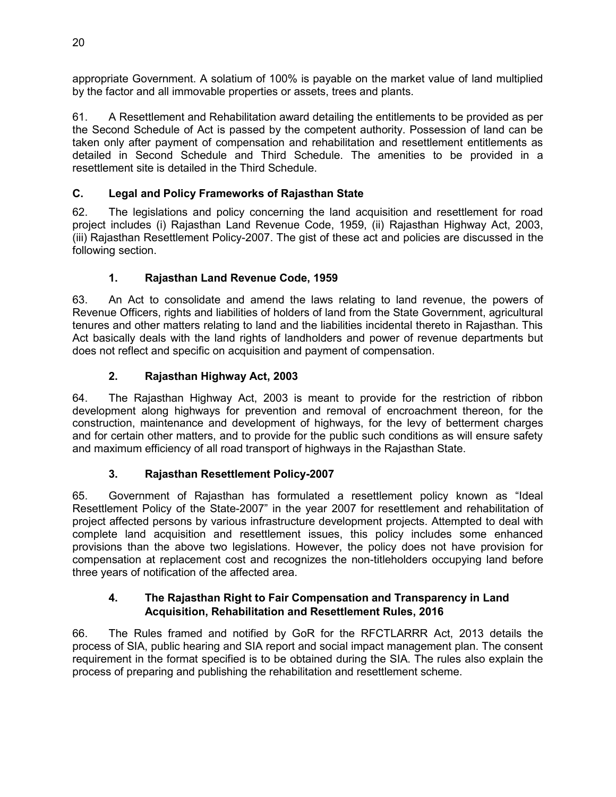appropriate Government. A solatium of 100% is payable on the market value of land multiplied by the factor and all immovable properties or assets, trees and plants.

61. A Resettlement and Rehabilitation award detailing the entitlements to be provided as per the Second Schedule of Act is passed by the competent authority. Possession of land can be taken only after payment of compensation and rehabilitation and resettlement entitlements as detailed in Second Schedule and Third Schedule. The amenities to be provided in a resettlement site is detailed in the Third Schedule.

# <span id="page-29-0"></span>**C. Legal and Policy Frameworks of Rajasthan State**

62. The legislations and policy concerning the land acquisition and resettlement for road project includes (i) Rajasthan Land Revenue Code, 1959, (ii) Rajasthan Highway Act, 2003, (iii) Rajasthan Resettlement Policy-2007. The gist of these act and policies are discussed in the following section.

# **1. Rajasthan Land Revenue Code, 1959**

63. An Act to consolidate and amend the laws relating to land revenue, the powers of Revenue Officers, rights and liabilities of holders of land from the State Government, agricultural tenures and other matters relating to land and the liabilities incidental thereto in Rajasthan. This Act basically deals with the land rights of landholders and power of revenue departments but does not reflect and specific on acquisition and payment of compensation.

# **2. Rajasthan Highway Act, 2003**

64. The Rajasthan Highway Act, 2003 is meant to provide for the restriction of ribbon development along highways for prevention and removal of encroachment thereon, for the construction, maintenance and development of highways, for the levy of betterment charges and for certain other matters, and to provide for the public such conditions as will ensure safety and maximum efficiency of all road transport of highways in the Rajasthan State.

# **3. Rajasthan Resettlement Policy-2007**

65. Government of Rajasthan has formulated a resettlement policy known as "Ideal Resettlement Policy of the State-2007" in the year 2007 for resettlement and rehabilitation of project affected persons by various infrastructure development projects. Attempted to deal with complete land acquisition and resettlement issues, this policy includes some enhanced provisions than the above two legislations. However, the policy does not have provision for compensation at replacement cost and recognizes the non-titleholders occupying land before three years of notification of the affected area.

# **4. The Rajasthan Right to Fair Compensation and Transparency in Land Acquisition, Rehabilitation and Resettlement Rules, 2016**

66. The Rules framed and notified by GoR for the RFCTLARRR Act, 2013 details the process of SIA, public hearing and SIA report and social impact management plan. The consent requirement in the format specified is to be obtained during the SIA. The rules also explain the process of preparing and publishing the rehabilitation and resettlement scheme.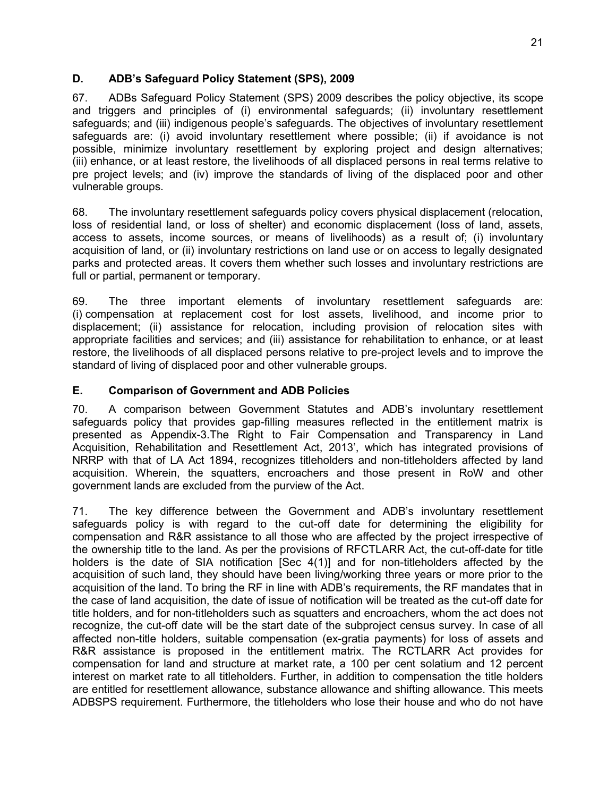# <span id="page-30-0"></span>**D. ADB's Safeguard Policy Statement (SPS), 2009**

67. ADBs Safeguard Policy Statement (SPS) 2009 describes the policy objective, its scope and triggers and principles of (i) environmental safeguards; (ii) involuntary resettlement safeguards; and (iii) indigenous people's safeguards. The objectives of involuntary resettlement safeguards are: (i) avoid involuntary resettlement where possible; (ii) if avoidance is not possible, minimize involuntary resettlement by exploring project and design alternatives; (iii) enhance, or at least restore, the livelihoods of all displaced persons in real terms relative to pre project levels; and (iv) improve the standards of living of the displaced poor and other vulnerable groups.

68. The involuntary resettlement safeguards policy covers physical displacement (relocation, loss of residential land, or loss of shelter) and economic displacement (loss of land, assets, access to assets, income sources, or means of livelihoods) as a result of; (i) involuntary acquisition of land, or (ii) involuntary restrictions on land use or on access to legally designated parks and protected areas. It covers them whether such losses and involuntary restrictions are full or partial, permanent or temporary.

69. The three important elements of involuntary resettlement safeguards are: (i) compensation at replacement cost for lost assets, livelihood, and income prior to displacement; (ii) assistance for relocation, including provision of relocation sites with appropriate facilities and services; and (iii) assistance for rehabilitation to enhance, or at least restore, the livelihoods of all displaced persons relative to pre-project levels and to improve the standard of living of displaced poor and other vulnerable groups.

# <span id="page-30-1"></span>**E. Comparison of Government and ADB Policies**

70. A comparison between Government Statutes and ADB's involuntary resettlement safeguards policy that provides gap-filling measures reflected in the entitlement matrix is presented as Appendix-3.The Right to Fair Compensation and Transparency in Land Acquisition, Rehabilitation and Resettlement Act, 2013', which has integrated provisions of NRRP with that of LA Act 1894, recognizes titleholders and non-titleholders affected by land acquisition. Wherein, the squatters, encroachers and those present in RoW and other government lands are excluded from the purview of the Act.

71. The key difference between the Government and ADB's involuntary resettlement safeguards policy is with regard to the cut-off date for determining the eligibility for compensation and R&R assistance to all those who are affected by the project irrespective of the ownership title to the land. As per the provisions of RFCTLARR Act, the cut-off-date for title holders is the date of SIA notification [Sec 4(1)] and for non-titleholders affected by the acquisition of such land, they should have been living/working three years or more prior to the acquisition of the land. To bring the RF in line with ADB's requirements, the RF mandates that in the case of land acquisition, the date of issue of notification will be treated as the cut-off date for title holders, and for non-titleholders such as squatters and encroachers, whom the act does not recognize, the cut-off date will be the start date of the subproject census survey. In case of all affected non-title holders, suitable compensation (ex-gratia payments) for loss of assets and R&R assistance is proposed in the entitlement matrix. The RCTLARR Act provides for compensation for land and structure at market rate, a 100 per cent solatium and 12 percent interest on market rate to all titleholders. Further, in addition to compensation the title holders are entitled for resettlement allowance, substance allowance and shifting allowance. This meets ADBSPS requirement. Furthermore, the titleholders who lose their house and who do not have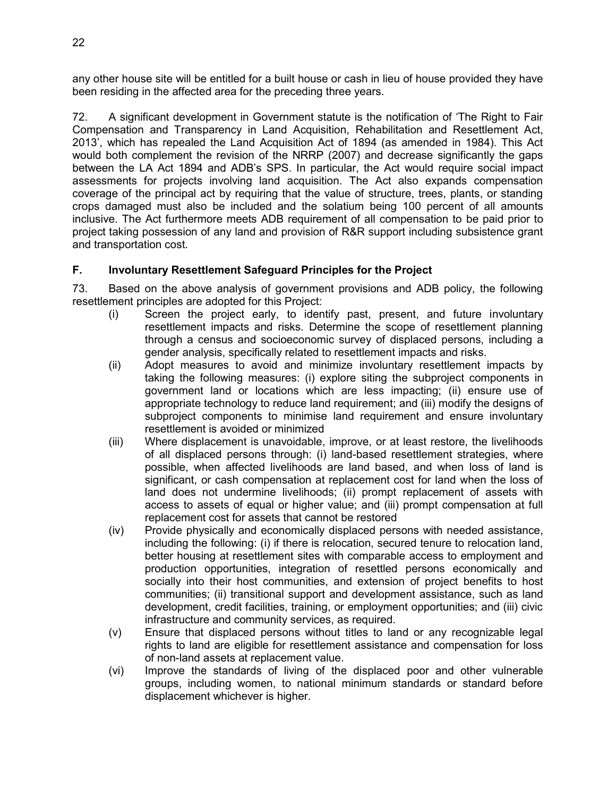any other house site will be entitled for a built house or cash in lieu of house provided they have been residing in the affected area for the preceding three years.

72. A significant development in Government statute is the notification of 'The Right to Fair Compensation and Transparency in Land Acquisition, Rehabilitation and Resettlement Act, 2013', which has repealed the Land Acquisition Act of 1894 (as amended in 1984). This Act would both complement the revision of the NRRP (2007) and decrease significantly the gaps between the LA Act 1894 and ADB's SPS. In particular, the Act would require social impact assessments for projects involving land acquisition. The Act also expands compensation coverage of the principal act by requiring that the value of structure, trees, plants, or standing crops damaged must also be included and the solatium being 100 percent of all amounts inclusive. The Act furthermore meets ADB requirement of all compensation to be paid prior to project taking possession of any land and provision of R&R support including subsistence grant and transportation cost.

# <span id="page-31-0"></span>**F. Involuntary Resettlement Safeguard Principles for the Project**

73. Based on the above analysis of government provisions and ADB policy, the following resettlement principles are adopted for this Project:

- (i) Screen the project early, to identify past, present, and future involuntary resettlement impacts and risks. Determine the scope of resettlement planning through a census and socioeconomic survey of displaced persons, including a gender analysis, specifically related to resettlement impacts and risks.
- (ii) Adopt measures to avoid and minimize involuntary resettlement impacts by taking the following measures: (i) explore siting the subproject components in government land or locations which are less impacting; (ii) ensure use of appropriate technology to reduce land requirement; and (iii) modify the designs of subproject components to minimise land requirement and ensure involuntary resettlement is avoided or minimized
- (iii) Where displacement is unavoidable, improve, or at least restore, the livelihoods of all displaced persons through: (i) land-based resettlement strategies, where possible, when affected livelihoods are land based, and when loss of land is significant, or cash compensation at replacement cost for land when the loss of land does not undermine livelihoods; (ii) prompt replacement of assets with access to assets of equal or higher value; and (iii) prompt compensation at full replacement cost for assets that cannot be restored
- (iv) Provide physically and economically displaced persons with needed assistance, including the following: (i) if there is relocation, secured tenure to relocation land, better housing at resettlement sites with comparable access to employment and production opportunities, integration of resettled persons economically and socially into their host communities, and extension of project benefits to host communities; (ii) transitional support and development assistance, such as land development, credit facilities, training, or employment opportunities; and (iii) civic infrastructure and community services, as required.
- (v) Ensure that displaced persons without titles to land or any recognizable legal rights to land are eligible for resettlement assistance and compensation for loss of non-land assets at replacement value.
- (vi) Improve the standards of living of the displaced poor and other vulnerable groups, including women, to national minimum standards or standard before displacement whichever is higher.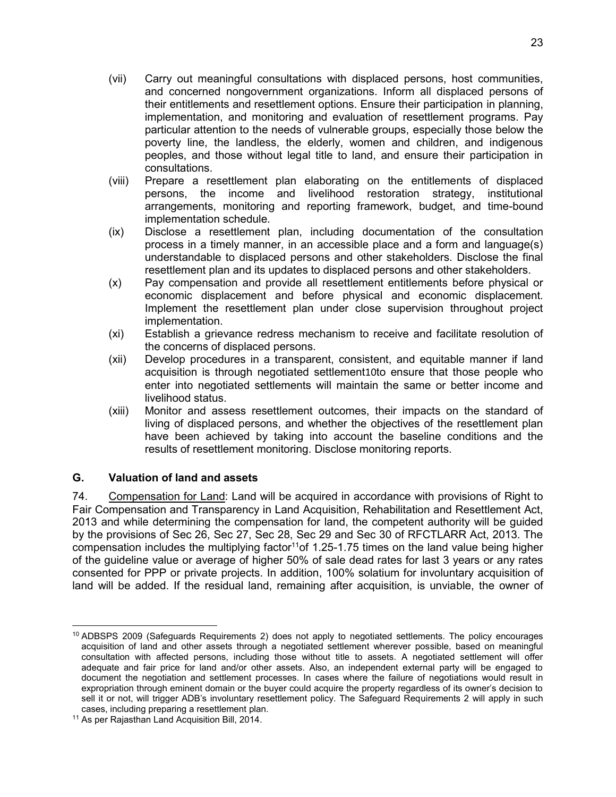- (vii) Carry out meaningful consultations with displaced persons, host communities, and concerned nongovernment organizations. Inform all displaced persons of their entitlements and resettlement options. Ensure their participation in planning, implementation, and monitoring and evaluation of resettlement programs. Pay particular attention to the needs of vulnerable groups, especially those below the poverty line, the landless, the elderly, women and children, and indigenous peoples, and those without legal title to land, and ensure their participation in consultations.
- (viii) Prepare a resettlement plan elaborating on the entitlements of displaced persons, the income and livelihood restoration strategy, institutional arrangements, monitoring and reporting framework, budget, and time-bound implementation schedule.
- (ix) Disclose a resettlement plan, including documentation of the consultation process in a timely manner, in an accessible place and a form and language(s) understandable to displaced persons and other stakeholders. Disclose the final resettlement plan and its updates to displaced persons and other stakeholders.
- (x) Pay compensation and provide all resettlement entitlements before physical or economic displacement and before physical and economic displacement. Implement the resettlement plan under close supervision throughout project implementation.
- (xi) Establish a grievance redress mechanism to receive and facilitate resolution of the concerns of displaced persons.
- (xii) Develop procedures in a transparent, consistent, and equitable manner if land acquisition is through negotiated settlement10to ensure that those people who enter into negotiated settlements will maintain the same or better income and livelihood status.
- (xiii) Monitor and assess resettlement outcomes, their impacts on the standard of living of displaced persons, and whether the objectives of the resettlement plan have been achieved by taking into account the baseline conditions and the results of resettlement monitoring. Disclose monitoring reports.

# <span id="page-32-0"></span>**G. Valuation of land and assets**

74. Compensation for Land: Land will be acquired in accordance with provisions of Right to Fair Compensation and Transparency in Land Acquisition, Rehabilitation and Resettlement Act, 2013 and while determining the compensation for land, the competent authority will be guided by the provisions of Sec 26, Sec 27, Sec 28, Sec 29 and Sec 30 of RFCTLARR Act, 2013. The compensation includes the multiplying factor<sup>11</sup>of 1.25-1.75 times on the land value being higher of the guideline value or average of higher 50% of sale dead rates for last 3 years or any rates consented for PPP or private projects. In addition, 100% solatium for involuntary acquisition of land will be added. If the residual land, remaining after acquisition, is unviable, the owner of

l <sup>10</sup> ADBSPS 2009 (Safeguards Requirements 2) does not apply to negotiated settlements. The policy encourages acquisition of land and other assets through a negotiated settlement wherever possible, based on meaningful consultation with affected persons, including those without title to assets. A negotiated settlement will offer adequate and fair price for land and/or other assets. Also, an independent external party will be engaged to document the negotiation and settlement processes. In cases where the failure of negotiations would result in expropriation through eminent domain or the buyer could acquire the property regardless of its owner's decision to sell it or not, will trigger ADB's involuntary resettlement policy. The Safeguard Requirements 2 will apply in such cases, including preparing a resettlement plan.

<sup>11</sup> As per Rajasthan Land Acquisition Bill, 2014.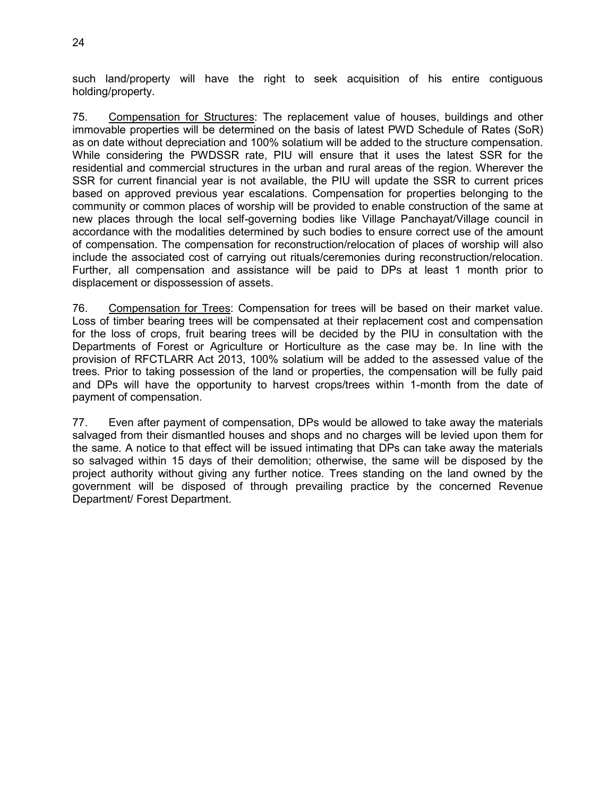such land/property will have the right to seek acquisition of his entire contiguous holding/property.

75. Compensation for Structures: The replacement value of houses, buildings and other immovable properties will be determined on the basis of latest PWD Schedule of Rates (SoR) as on date without depreciation and 100% solatium will be added to the structure compensation. While considering the PWDSSR rate, PIU will ensure that it uses the latest SSR for the residential and commercial structures in the urban and rural areas of the region. Wherever the SSR for current financial year is not available, the PIU will update the SSR to current prices based on approved previous year escalations. Compensation for properties belonging to the community or common places of worship will be provided to enable construction of the same at new places through the local self-governing bodies like Village Panchayat/Village council in accordance with the modalities determined by such bodies to ensure correct use of the amount of compensation. The compensation for reconstruction/relocation of places of worship will also include the associated cost of carrying out rituals/ceremonies during reconstruction/relocation. Further, all compensation and assistance will be paid to DPs at least 1 month prior to displacement or dispossession of assets.

76. Compensation for Trees: Compensation for trees will be based on their market value. Loss of timber bearing trees will be compensated at their replacement cost and compensation for the loss of crops, fruit bearing trees will be decided by the PIU in consultation with the Departments of Forest or Agriculture or Horticulture as the case may be. In line with the provision of RFCTLARR Act 2013, 100% solatium will be added to the assessed value of the trees. Prior to taking possession of the land or properties, the compensation will be fully paid and DPs will have the opportunity to harvest crops/trees within 1-month from the date of payment of compensation.

77. Even after payment of compensation, DPs would be allowed to take away the materials salvaged from their dismantled houses and shops and no charges will be levied upon them for the same. A notice to that effect will be issued intimating that DPs can take away the materials so salvaged within 15 days of their demolition; otherwise, the same will be disposed by the project authority without giving any further notice. Trees standing on the land owned by the government will be disposed of through prevailing practice by the concerned Revenue Department/ Forest Department.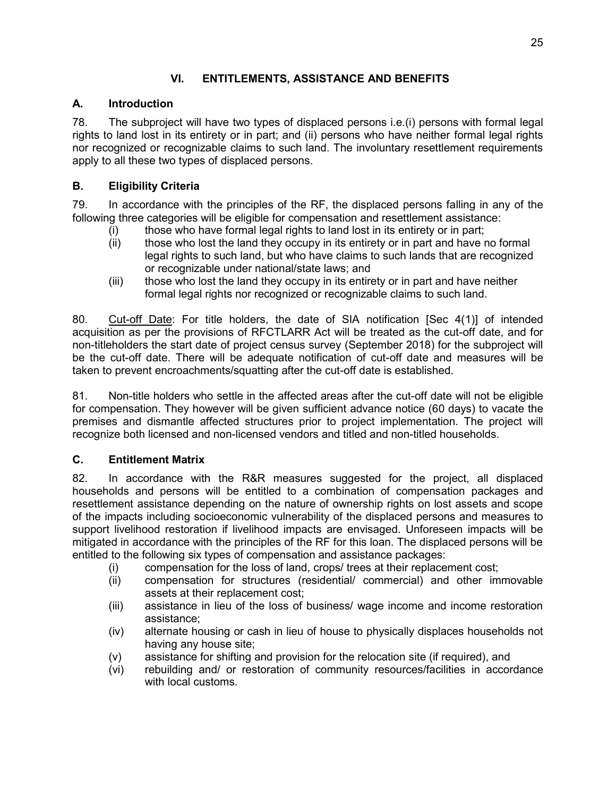# **VI. ENTITLEMENTS, ASSISTANCE AND BENEFITS**

# <span id="page-34-1"></span><span id="page-34-0"></span>**A. Introduction**

78. The subproject will have two types of displaced persons i.e.(i) persons with formal legal rights to land lost in its entirety or in part; and (ii) persons who have neither formal legal rights nor recognized or recognizable claims to such land. The involuntary resettlement requirements apply to all these two types of displaced persons.

# <span id="page-34-2"></span>**B. Eligibility Criteria**

79. In accordance with the principles of the RF, the displaced persons falling in any of the following three categories will be eligible for compensation and resettlement assistance:

- (i) those who have formal legal rights to land lost in its entirety or in part;
- (ii) those who lost the land they occupy in its entirety or in part and have no formal legal rights to such land, but who have claims to such lands that are recognized or recognizable under national/state laws; and
- (iii) those who lost the land they occupy in its entirety or in part and have neither formal legal rights nor recognized or recognizable claims to such land.

80. Cut-off Date: For title holders, the date of SIA notification [Sec 4(1)] of intended acquisition as per the provisions of RFCTLARR Act will be treated as the cut-off date, and for non-titleholders the start date of project census survey (September 2018) for the subproject will be the cut-off date. There will be adequate notification of cut-off date and measures will be taken to prevent encroachments/squatting after the cut-off date is established.

81. Non-title holders who settle in the affected areas after the cut-off date will not be eligible for compensation. They however will be given sufficient advance notice (60 days) to vacate the premises and dismantle affected structures prior to project implementation. The project will recognize both licensed and non-licensed vendors and titled and non-titled households.

# <span id="page-34-3"></span>**C. Entitlement Matrix**

82. In accordance with the R&R measures suggested for the project, all displaced households and persons will be entitled to a combination of compensation packages and resettlement assistance depending on the nature of ownership rights on lost assets and scope of the impacts including socioeconomic vulnerability of the displaced persons and measures to support livelihood restoration if livelihood impacts are envisaged. Unforeseen impacts will be mitigated in accordance with the principles of the RF for this loan. The displaced persons will be entitled to the following six types of compensation and assistance packages:

- (i) compensation for the loss of land, crops/ trees at their replacement cost;
- (ii) compensation for structures (residential/ commercial) and other immovable assets at their replacement cost;
- (iii) assistance in lieu of the loss of business/ wage income and income restoration assistance;
- (iv) alternate housing or cash in lieu of house to physically displaces households not having any house site;
- (v) assistance for shifting and provision for the relocation site (if required), and
- (vi) rebuilding and/ or restoration of community resources/facilities in accordance with local customs.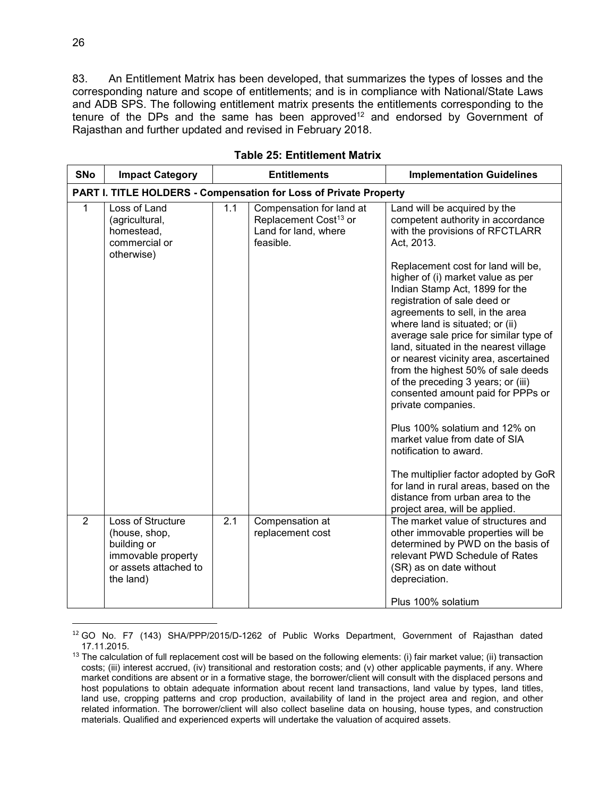83. An Entitlement Matrix has been developed, that summarizes the types of losses and the corresponding nature and scope of entitlements; and is in compliance with National/State Laws and ADB SPS. The following entitlement matrix presents the entitlements corresponding to the tenure of the DPs and the same has been approved<sup>12</sup> and endorsed by Government of Rajasthan and further updated and revised in February 2018.

<span id="page-35-0"></span>

| <b>SNo</b>     | <b>Impact Category</b>                                                                                        | <b>Entitlements</b>                                               |                                                                                                    | <b>Implementation Guidelines</b>                                                                                                                                                                                                                                                                                                                                                                                                                                                                                                                                                                                                                                                                                                                                                                                                                           |  |
|----------------|---------------------------------------------------------------------------------------------------------------|-------------------------------------------------------------------|----------------------------------------------------------------------------------------------------|------------------------------------------------------------------------------------------------------------------------------------------------------------------------------------------------------------------------------------------------------------------------------------------------------------------------------------------------------------------------------------------------------------------------------------------------------------------------------------------------------------------------------------------------------------------------------------------------------------------------------------------------------------------------------------------------------------------------------------------------------------------------------------------------------------------------------------------------------------|--|
|                |                                                                                                               | PART I. TITLE HOLDERS - Compensation for Loss of Private Property |                                                                                                    |                                                                                                                                                                                                                                                                                                                                                                                                                                                                                                                                                                                                                                                                                                                                                                                                                                                            |  |
| 1              | Loss of Land<br>(agricultural,<br>homestead,<br>commercial or<br>otherwise)                                   | 1.1                                                               | Compensation for land at<br>Replacement Cost <sup>13</sup> or<br>Land for land, where<br>feasible. | Land will be acquired by the<br>competent authority in accordance<br>with the provisions of RFCTLARR<br>Act, 2013.<br>Replacement cost for land will be,<br>higher of (i) market value as per<br>Indian Stamp Act, 1899 for the<br>registration of sale deed or<br>agreements to sell, in the area<br>where land is situated; or (ii)<br>average sale price for similar type of<br>land, situated in the nearest village<br>or nearest vicinity area, ascertained<br>from the highest 50% of sale deeds<br>of the preceding 3 years; or (iii)<br>consented amount paid for PPPs or<br>private companies.<br>Plus 100% solatium and 12% on<br>market value from date of SIA<br>notification to award.<br>The multiplier factor adopted by GoR<br>for land in rural areas, based on the<br>distance from urban area to the<br>project area, will be applied. |  |
| $\overline{2}$ | Loss of Structure<br>(house, shop,<br>building or<br>immovable property<br>or assets attached to<br>the land) | $\overline{2.1}$                                                  | Compensation at<br>replacement cost                                                                | The market value of structures and<br>other immovable properties will be<br>determined by PWD on the basis of<br>relevant PWD Schedule of Rates<br>(SR) as on date without<br>depreciation.<br>Plus 100% solatium                                                                                                                                                                                                                                                                                                                                                                                                                                                                                                                                                                                                                                          |  |

**Table 25: Entitlement Matrix** 

 $\overline{a}$ 

<sup>12</sup> GO No. F7 (143) SHA/PPP/2015/D-1262 of Public Works Department, Government of Rajasthan dated 17.11.2015.

 $13$  The calculation of full replacement cost will be based on the following elements: (i) fair market value; (ii) transaction costs; (iii) interest accrued, (iv) transitional and restoration costs; and (v) other applicable payments, if any. Where market conditions are absent or in a formative stage, the borrower/client will consult with the displaced persons and host populations to obtain adequate information about recent land transactions, land value by types, land titles, land use, cropping patterns and crop production, availability of land in the project area and region, and other related information. The borrower/client will also collect baseline data on housing, house types, and construction materials. Qualified and experienced experts will undertake the valuation of acquired assets.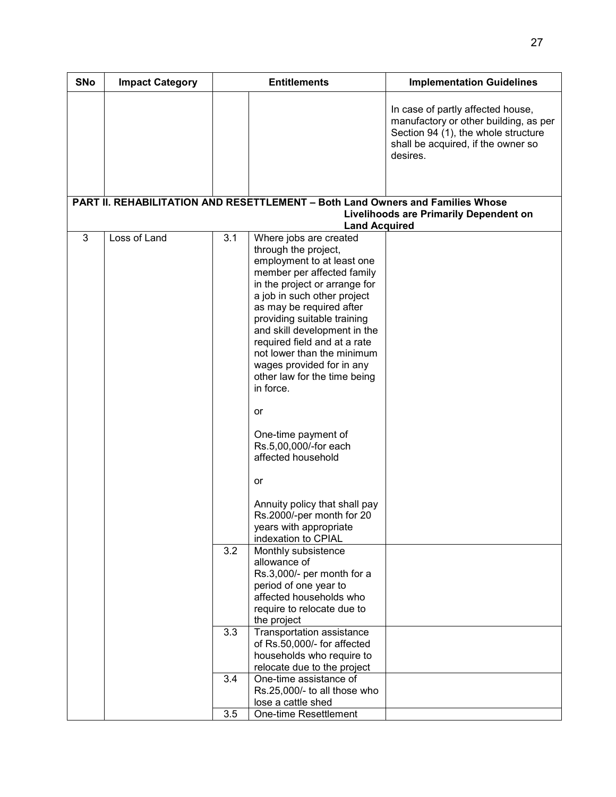| <b>SNo</b> | <b>Impact Category</b> |     | <b>Entitlements</b>                                                                                                                                                                                                                                                                                                                                                                                                                                                                                                                                                                     | <b>Implementation Guidelines</b>                                                                                                                                    |
|------------|------------------------|-----|-----------------------------------------------------------------------------------------------------------------------------------------------------------------------------------------------------------------------------------------------------------------------------------------------------------------------------------------------------------------------------------------------------------------------------------------------------------------------------------------------------------------------------------------------------------------------------------------|---------------------------------------------------------------------------------------------------------------------------------------------------------------------|
|            |                        |     |                                                                                                                                                                                                                                                                                                                                                                                                                                                                                                                                                                                         | In case of partly affected house,<br>manufactory or other building, as per<br>Section 94 (1), the whole structure<br>shall be acquired, if the owner so<br>desires. |
|            |                        |     | PART II. REHABILITATION AND RESETTLEMENT - Both Land Owners and Families Whose                                                                                                                                                                                                                                                                                                                                                                                                                                                                                                          |                                                                                                                                                                     |
|            |                        |     |                                                                                                                                                                                                                                                                                                                                                                                                                                                                                                                                                                                         | <b>Livelihoods are Primarily Dependent on</b>                                                                                                                       |
|            |                        |     | <b>Land Acquired</b>                                                                                                                                                                                                                                                                                                                                                                                                                                                                                                                                                                    |                                                                                                                                                                     |
| 3          | Loss of Land           | 3.1 | Where jobs are created<br>through the project,<br>employment to at least one<br>member per affected family<br>in the project or arrange for<br>a job in such other project<br>as may be required after<br>providing suitable training<br>and skill development in the<br>required field and at a rate<br>not lower than the minimum<br>wages provided for in any<br>other law for the time being<br>in force.<br>or<br>One-time payment of<br>Rs.5,00,000/-for each<br>affected household<br>or<br>Annuity policy that shall pay<br>Rs.2000/-per month for 20<br>years with appropriate |                                                                                                                                                                     |
|            |                        | 3.2 | indexation to CPIAL<br>Monthly subsistence<br>allowance of<br>Rs.3,000/- per month for a<br>period of one year to<br>affected households who<br>require to relocate due to<br>the project                                                                                                                                                                                                                                                                                                                                                                                               |                                                                                                                                                                     |
|            |                        | 3.3 | Transportation assistance                                                                                                                                                                                                                                                                                                                                                                                                                                                                                                                                                               |                                                                                                                                                                     |
|            |                        |     | of Rs.50,000/- for affected<br>households who require to                                                                                                                                                                                                                                                                                                                                                                                                                                                                                                                                |                                                                                                                                                                     |
|            |                        |     | relocate due to the project                                                                                                                                                                                                                                                                                                                                                                                                                                                                                                                                                             |                                                                                                                                                                     |
|            |                        | 3.4 | One-time assistance of<br>Rs.25,000/- to all those who<br>lose a cattle shed                                                                                                                                                                                                                                                                                                                                                                                                                                                                                                            |                                                                                                                                                                     |
|            |                        | 3.5 | One-time Resettlement                                                                                                                                                                                                                                                                                                                                                                                                                                                                                                                                                                   |                                                                                                                                                                     |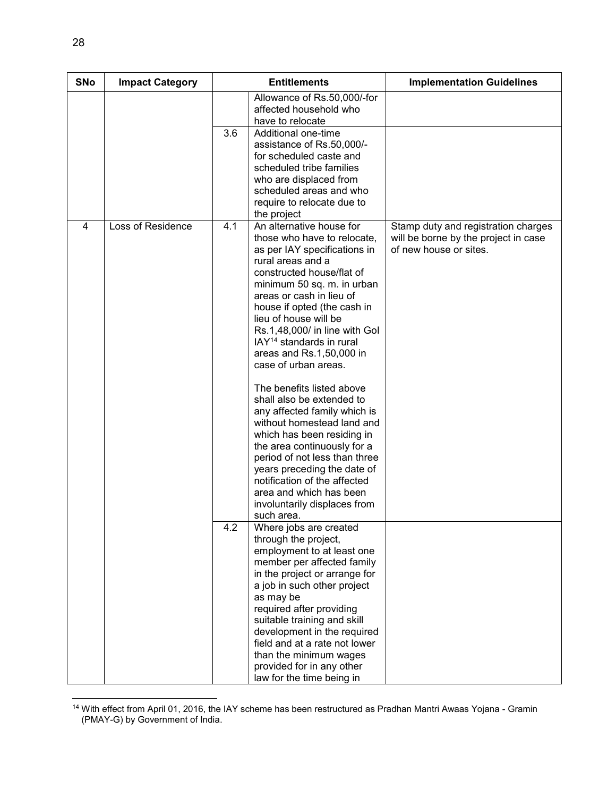| <b>SNo</b> | <b>Impact Category</b> | <b>Entitlements</b>                                                                                                                                                                                                                                                                                                                                                                                                                                                                                                                                                                                                                                                                                                                                           | <b>Implementation Guidelines</b>                                                                      |
|------------|------------------------|---------------------------------------------------------------------------------------------------------------------------------------------------------------------------------------------------------------------------------------------------------------------------------------------------------------------------------------------------------------------------------------------------------------------------------------------------------------------------------------------------------------------------------------------------------------------------------------------------------------------------------------------------------------------------------------------------------------------------------------------------------------|-------------------------------------------------------------------------------------------------------|
|            |                        | Allowance of Rs.50,000/-for<br>affected household who<br>have to relocate                                                                                                                                                                                                                                                                                                                                                                                                                                                                                                                                                                                                                                                                                     |                                                                                                       |
|            |                        | 3.6<br>Additional one-time<br>assistance of Rs.50,000/-<br>for scheduled caste and<br>scheduled tribe families<br>who are displaced from<br>scheduled areas and who<br>require to relocate due to<br>the project                                                                                                                                                                                                                                                                                                                                                                                                                                                                                                                                              |                                                                                                       |
| 4          | Loss of Residence      | An alternative house for<br>4.1<br>those who have to relocate,<br>as per IAY specifications in<br>rural areas and a<br>constructed house/flat of<br>minimum 50 sq. m. in urban<br>areas or cash in lieu of<br>house if opted (the cash in<br>lieu of house will be<br>Rs.1,48,000/ in line with Gol<br>IAY <sup>14</sup> standards in rural<br>areas and Rs.1,50,000 in<br>case of urban areas.<br>The benefits listed above<br>shall also be extended to<br>any affected family which is<br>without homestead land and<br>which has been residing in<br>the area continuously for a<br>period of not less than three<br>years preceding the date of<br>notification of the affected<br>area and which has been<br>involuntarily displaces from<br>such area. | Stamp duty and registration charges<br>will be borne by the project in case<br>of new house or sites. |
|            |                        | 4.2<br>Where jobs are created<br>through the project,<br>employment to at least one<br>member per affected family<br>in the project or arrange for<br>a job in such other project<br>as may be<br>required after providing<br>suitable training and skill<br>development in the required<br>field and at a rate not lower                                                                                                                                                                                                                                                                                                                                                                                                                                     |                                                                                                       |
|            |                        | than the minimum wages<br>provided for in any other<br>law for the time being in                                                                                                                                                                                                                                                                                                                                                                                                                                                                                                                                                                                                                                                                              |                                                                                                       |

<sup>14</sup> With effect from April 01, 2016, the IAY scheme has been restructured as Pradhan Mantri Awaas Yojana - Gramin (PMAY-G) by Government of India.

l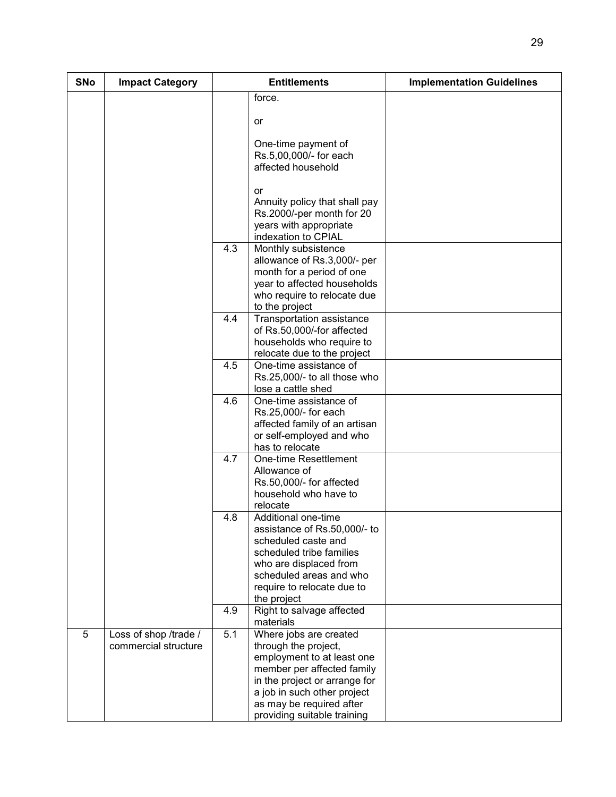| <b>SNo</b> | <b>Impact Category</b>                        |     | <b>Entitlements</b>                                                                                                                                                                                      | <b>Implementation Guidelines</b> |
|------------|-----------------------------------------------|-----|----------------------------------------------------------------------------------------------------------------------------------------------------------------------------------------------------------|----------------------------------|
|            |                                               |     | force.                                                                                                                                                                                                   |                                  |
|            |                                               |     | or                                                                                                                                                                                                       |                                  |
|            |                                               |     | One-time payment of<br>Rs.5,00,000/- for each<br>affected household                                                                                                                                      |                                  |
|            |                                               |     | or<br>Annuity policy that shall pay<br>Rs.2000/-per month for 20<br>years with appropriate<br>indexation to CPIAL                                                                                        |                                  |
|            |                                               | 4.3 | Monthly subsistence<br>allowance of Rs.3,000/- per<br>month for a period of one<br>year to affected households<br>who require to relocate due<br>to the project                                          |                                  |
|            |                                               | 4.4 | Transportation assistance<br>of Rs.50,000/-for affected<br>households who require to<br>relocate due to the project                                                                                      |                                  |
|            |                                               | 4.5 | One-time assistance of<br>Rs.25,000/- to all those who<br>lose a cattle shed                                                                                                                             |                                  |
|            |                                               | 4.6 | One-time assistance of<br>Rs.25,000/- for each<br>affected family of an artisan<br>or self-employed and who<br>has to relocate                                                                           |                                  |
|            |                                               | 4.7 | One-time Resettlement<br>Allowance of<br>Rs.50,000/- for affected<br>household who have to<br>relocate                                                                                                   |                                  |
|            |                                               | 4.8 | Additional one-time<br>assistance of Rs.50,000/- to<br>scheduled caste and<br>scheduled tribe families<br>who are displaced from<br>scheduled areas and who<br>require to relocate due to<br>the project |                                  |
|            |                                               | 4.9 | Right to salvage affected<br>materials                                                                                                                                                                   |                                  |
| 5          | Loss of shop /trade /<br>commercial structure | 5.1 | Where jobs are created<br>through the project,<br>employment to at least one<br>member per affected family<br>in the project or arrange for<br>a job in such other project                               |                                  |
|            |                                               |     | as may be required after<br>providing suitable training                                                                                                                                                  |                                  |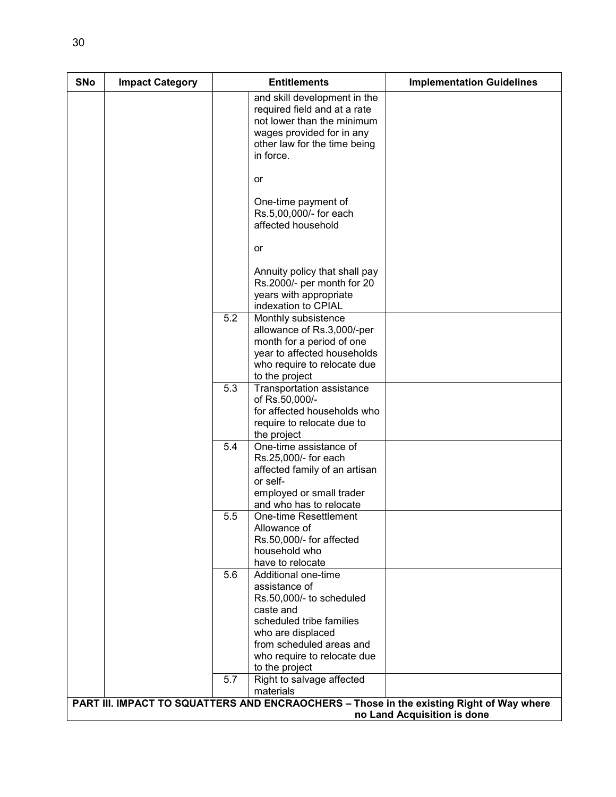| <b>SNo</b> | <b>Impact Category</b> |     | <b>Entitlements</b>                                                                                                                                                                                         | <b>Implementation Guidelines</b>                                                         |
|------------|------------------------|-----|-------------------------------------------------------------------------------------------------------------------------------------------------------------------------------------------------------------|------------------------------------------------------------------------------------------|
|            |                        |     | and skill development in the<br>required field and at a rate<br>not lower than the minimum<br>wages provided for in any<br>other law for the time being<br>in force.                                        |                                                                                          |
|            |                        |     | or                                                                                                                                                                                                          |                                                                                          |
|            |                        |     | One-time payment of<br>Rs.5,00,000/- for each<br>affected household                                                                                                                                         |                                                                                          |
|            |                        |     | or                                                                                                                                                                                                          |                                                                                          |
|            |                        |     | Annuity policy that shall pay<br>Rs.2000/- per month for 20<br>years with appropriate<br>indexation to CPIAL                                                                                                |                                                                                          |
|            |                        | 5.2 | Monthly subsistence<br>allowance of Rs.3,000/-per<br>month for a period of one<br>year to affected households<br>who require to relocate due<br>to the project                                              |                                                                                          |
|            |                        | 5.3 | Transportation assistance<br>of Rs.50,000/-<br>for affected households who<br>require to relocate due to<br>the project                                                                                     |                                                                                          |
|            |                        | 5.4 | One-time assistance of<br>Rs.25,000/- for each<br>affected family of an artisan<br>or self-<br>employed or small trader<br>and who has to relocate                                                          |                                                                                          |
|            |                        | 5.5 | One-time Resettlement<br>Allowance of<br>Rs.50,000/- for affected<br>household who<br>have to relocate                                                                                                      |                                                                                          |
|            |                        | 5.6 | Additional one-time<br>assistance of<br>Rs.50,000/- to scheduled<br>caste and<br>scheduled tribe families<br>who are displaced<br>from scheduled areas and<br>who require to relocate due<br>to the project |                                                                                          |
|            |                        | 5.7 | Right to salvage affected<br>materials                                                                                                                                                                      | PART III. IMPACT TO SQUATTERS AND ENCRAOCHERS - Those in the existing Right of Way where |
|            |                        |     |                                                                                                                                                                                                             | no Land Acquisition is done                                                              |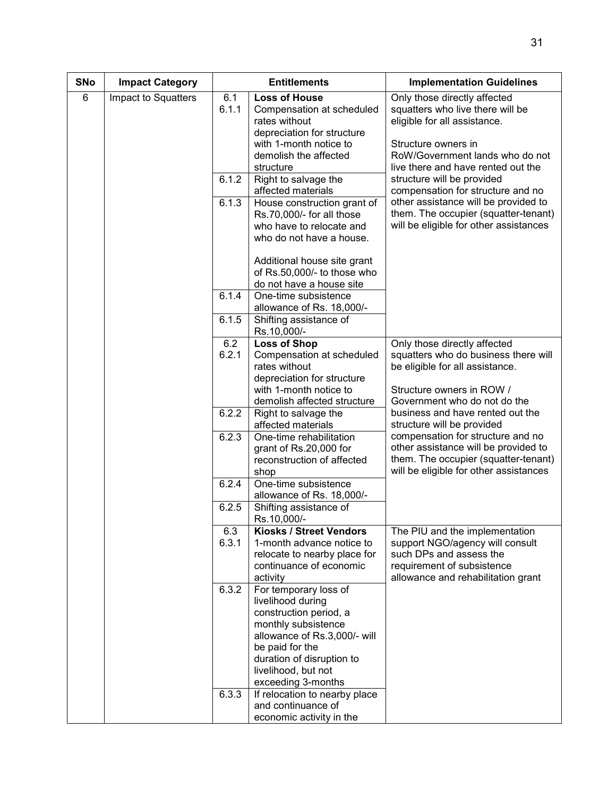| <b>SNo</b> | <b>Impact Category</b> |                    | <b>Entitlements</b>                                                                                                                                                                                                      | <b>Implementation Guidelines</b>                                                                                                                                                                 |
|------------|------------------------|--------------------|--------------------------------------------------------------------------------------------------------------------------------------------------------------------------------------------------------------------------|--------------------------------------------------------------------------------------------------------------------------------------------------------------------------------------------------|
| 6          | Impact to Squatters    | 6.1<br>6.1.1       | <b>Loss of House</b><br>Compensation at scheduled<br>rates without<br>depreciation for structure<br>with 1-month notice to<br>demolish the affected<br>structure                                                         | Only those directly affected<br>squatters who live there will be<br>eligible for all assistance.<br>Structure owners in<br>RoW/Government lands who do not<br>live there and have rented out the |
|            |                        | 6.1.2<br>6.1.3     | Right to salvage the<br>affected materials<br>House construction grant of<br>Rs.70,000/- for all those<br>who have to relocate and                                                                                       | structure will be provided<br>compensation for structure and no<br>other assistance will be provided to<br>them. The occupier (squatter-tenant)<br>will be eligible for other assistances        |
|            |                        |                    | who do not have a house.<br>Additional house site grant<br>of Rs.50,000/- to those who<br>do not have a house site                                                                                                       |                                                                                                                                                                                                  |
|            |                        | 6.1.4<br>6.1.5     | One-time subsistence<br>allowance of Rs. 18,000/-<br>Shifting assistance of                                                                                                                                              |                                                                                                                                                                                                  |
|            |                        |                    | Rs.10,000/-                                                                                                                                                                                                              |                                                                                                                                                                                                  |
|            |                        | 6.2<br>6.2.1       | <b>Loss of Shop</b><br>Compensation at scheduled<br>rates without<br>depreciation for structure                                                                                                                          | Only those directly affected<br>squatters who do business there will<br>be eligible for all assistance.                                                                                          |
|            |                        |                    | with 1-month notice to<br>demolish affected structure                                                                                                                                                                    | Structure owners in ROW /<br>Government who do not do the                                                                                                                                        |
|            |                        | 6.2.2              | Right to salvage the<br>affected materials                                                                                                                                                                               | business and have rented out the<br>structure will be provided                                                                                                                                   |
|            |                        | 6.2.3              | One-time rehabilitation<br>grant of Rs.20,000 for<br>reconstruction of affected<br>shop                                                                                                                                  | compensation for structure and no<br>other assistance will be provided to<br>them. The occupier (squatter-tenant)<br>will be eligible for other assistances                                      |
|            |                        | 6.2.4              | One-time subsistence<br>allowance of Rs. 18,000/-                                                                                                                                                                        |                                                                                                                                                                                                  |
|            |                        | 6.2.5              | Shifting assistance of<br>Rs.10,000/-                                                                                                                                                                                    |                                                                                                                                                                                                  |
|            |                        | 6.3<br>6.3.1       | Kiosks / Street Vendors<br>1-month advance notice to<br>relocate to nearby place for<br>continuance of economic<br>activity                                                                                              | The PIU and the implementation<br>support NGO/agency will consult<br>such DPs and assess the<br>requirement of subsistence<br>allowance and rehabilitation grant                                 |
|            |                        | $6.3.\overline{2}$ | For temporary loss of<br>livelihood during<br>construction period, a<br>monthly subsistence<br>allowance of Rs.3,000/- will<br>be paid for the<br>duration of disruption to<br>livelihood, but not<br>exceeding 3-months |                                                                                                                                                                                                  |
|            |                        | 6.3.3              | If relocation to nearby place<br>and continuance of<br>economic activity in the                                                                                                                                          |                                                                                                                                                                                                  |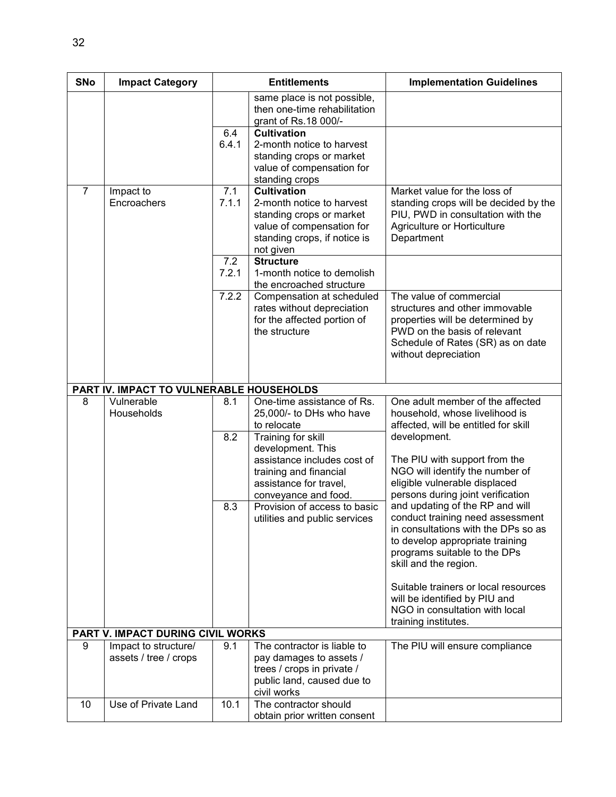| <b>SNo</b>     | <b>Impact Category</b>                        |              | <b>Entitlements</b>                                                                                                                                                                                 | <b>Implementation Guidelines</b>                                                                                                                                                                                                                                                                                  |  |  |
|----------------|-----------------------------------------------|--------------|-----------------------------------------------------------------------------------------------------------------------------------------------------------------------------------------------------|-------------------------------------------------------------------------------------------------------------------------------------------------------------------------------------------------------------------------------------------------------------------------------------------------------------------|--|--|
|                |                                               |              | same place is not possible,<br>then one-time rehabilitation<br>grant of Rs.18 000/-                                                                                                                 |                                                                                                                                                                                                                                                                                                                   |  |  |
|                |                                               | 6.4<br>6.4.1 | <b>Cultivation</b><br>2-month notice to harvest<br>standing crops or market<br>value of compensation for<br>standing crops                                                                          |                                                                                                                                                                                                                                                                                                                   |  |  |
| $\overline{7}$ | Impact to<br>Encroachers                      | 7.1<br>7.1.1 | <b>Cultivation</b><br>2-month notice to harvest<br>standing crops or market<br>value of compensation for<br>standing crops, if notice is<br>not given                                               | Market value for the loss of<br>standing crops will be decided by the<br>PIU, PWD in consultation with the<br>Agriculture or Horticulture<br>Department                                                                                                                                                           |  |  |
|                |                                               | 7.2<br>7.2.1 | <b>Structure</b><br>1-month notice to demolish<br>the encroached structure                                                                                                                          |                                                                                                                                                                                                                                                                                                                   |  |  |
|                |                                               | 7.2.2        | Compensation at scheduled<br>rates without depreciation<br>for the affected portion of<br>the structure                                                                                             | The value of commercial<br>structures and other immovable<br>properties will be determined by<br>PWD on the basis of relevant<br>Schedule of Rates (SR) as on date<br>without depreciation                                                                                                                        |  |  |
|                | PART IV. IMPACT TO VULNERABLE HOUSEHOLDS      |              |                                                                                                                                                                                                     |                                                                                                                                                                                                                                                                                                                   |  |  |
| 8              | Vulnerable<br>Households                      | 8.1<br>8.2   | One-time assistance of Rs.<br>25,000/- to DHs who have<br>to relocate<br>Training for skill<br>development. This<br>assistance includes cost of<br>training and financial<br>assistance for travel, | One adult member of the affected<br>household, whose livelihood is<br>affected, will be entitled for skill<br>development.<br>The PIU with support from the<br>NGO will identify the number of<br>eligible vulnerable displaced<br>persons during joint verification                                              |  |  |
|                |                                               | 8.3          | conveyance and food.<br>Provision of access to basic<br>utilities and public services                                                                                                               | and updating of the RP and will<br>conduct training need assessment<br>in consultations with the DPs so as<br>to develop appropriate training<br>programs suitable to the DPs<br>skill and the region.<br>Suitable trainers or local resources<br>will be identified by PIU and<br>NGO in consultation with local |  |  |
|                | PART V. IMPACT DURING CIVIL WORKS             |              |                                                                                                                                                                                                     | training institutes.                                                                                                                                                                                                                                                                                              |  |  |
| 9              | Impact to structure/<br>assets / tree / crops | 9.1          | The contractor is liable to<br>pay damages to assets /<br>trees / crops in private /<br>public land, caused due to<br>civil works                                                                   | The PIU will ensure compliance                                                                                                                                                                                                                                                                                    |  |  |
| 10             | Use of Private Land                           | 10.1         | The contractor should<br>obtain prior written consent                                                                                                                                               |                                                                                                                                                                                                                                                                                                                   |  |  |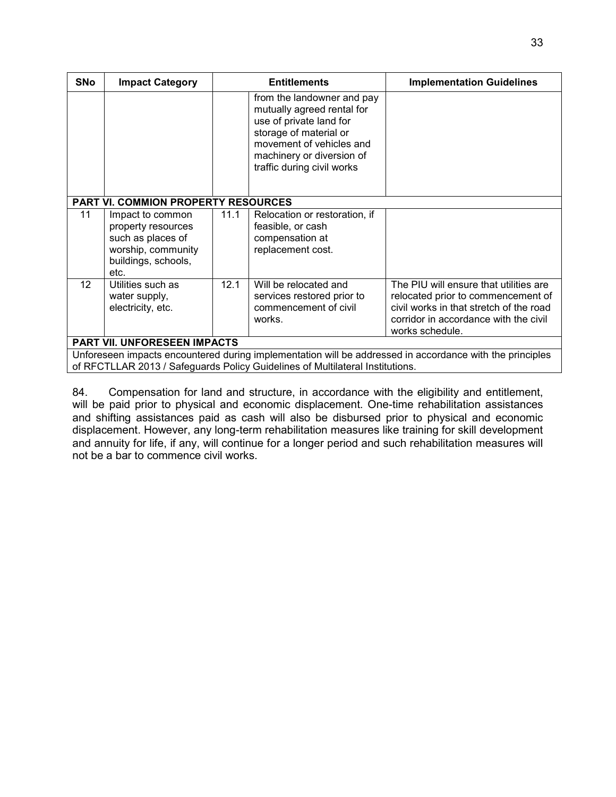| <b>SNo</b>      | <b>Impact Category</b>                                                                                           |      | <b>Entitlements</b>                                                                                                                                                                                  | <b>Implementation Guidelines</b>                                                                                                                                                    |
|-----------------|------------------------------------------------------------------------------------------------------------------|------|------------------------------------------------------------------------------------------------------------------------------------------------------------------------------------------------------|-------------------------------------------------------------------------------------------------------------------------------------------------------------------------------------|
|                 |                                                                                                                  |      | from the landowner and pay<br>mutually agreed rental for<br>use of private land for<br>storage of material or<br>movement of vehicles and<br>machinery or diversion of<br>traffic during civil works |                                                                                                                                                                                     |
|                 | <b>PART VI. COMMION PROPERTY RESOURCES</b>                                                                       |      |                                                                                                                                                                                                      |                                                                                                                                                                                     |
| 11              | Impact to common<br>property resources<br>such as places of<br>worship, community<br>buildings, schools,<br>etc. | 11.1 | Relocation or restoration, if<br>feasible, or cash<br>compensation at<br>replacement cost.                                                                                                           |                                                                                                                                                                                     |
| 12 <sup>°</sup> | Utilities such as<br>water supply,<br>electricity, etc.                                                          | 12.1 | Will be relocated and<br>services restored prior to<br>commencement of civil<br>works.                                                                                                               | The PIU will ensure that utilities are<br>relocated prior to commencement of<br>civil works in that stretch of the road<br>corridor in accordance with the civil<br>works schedule. |
|                 | PART VII. UNFORESEEN IMPACTS                                                                                     |      |                                                                                                                                                                                                      |                                                                                                                                                                                     |
|                 |                                                                                                                  |      | of RFCTLLAR 2013 / Safeguards Policy Guidelines of Multilateral Institutions.                                                                                                                        | Unforeseen impacts encountered during implementation will be addressed in accordance with the principles                                                                            |

84. Compensation for land and structure, in accordance with the eligibility and entitlement, will be paid prior to physical and economic displacement. One-time rehabilitation assistances and shifting assistances paid as cash will also be disbursed prior to physical and economic displacement. However, any long-term rehabilitation measures like training for skill development and annuity for life, if any, will continue for a longer period and such rehabilitation measures will not be a bar to commence civil works.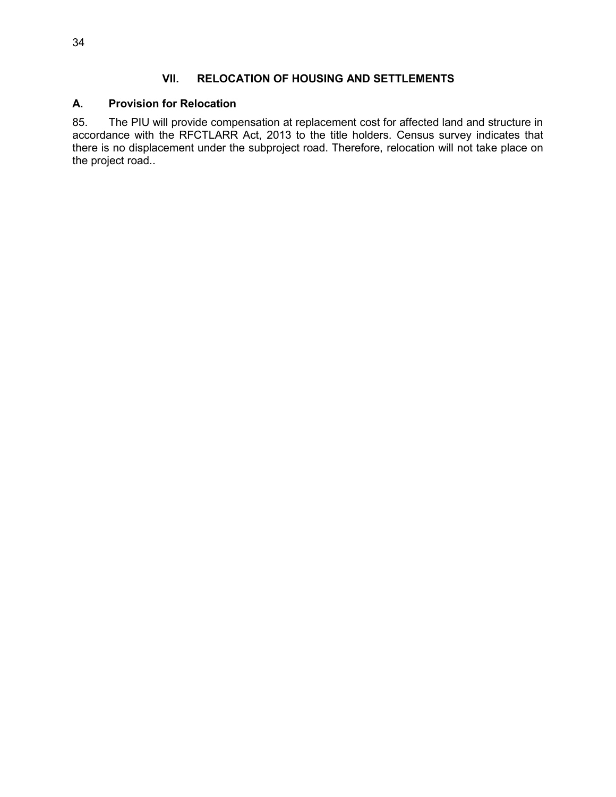#### **VII. RELOCATION OF HOUSING AND SETTLEMENTS**

#### **A. Provision for Relocation**

85. The PIU will provide compensation at replacement cost for affected land and structure in accordance with the RFCTLARR Act, 2013 to the title holders. Census survey indicates that there is no displacement under the subproject road. Therefore, relocation will not take place on the project road..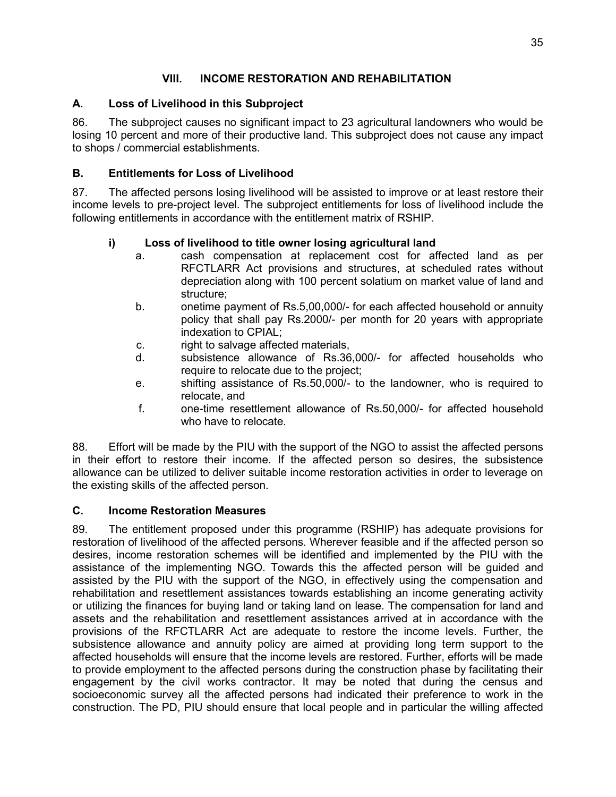# **VIII. INCOME RESTORATION AND REHABILITATION**

# **A. Loss of Livelihood in this Subproject**

86. The subproject causes no significant impact to 23 agricultural landowners who would be losing 10 percent and more of their productive land. This subproject does not cause any impact to shops / commercial establishments.

## **B. Entitlements for Loss of Livelihood**

87. The affected persons losing livelihood will be assisted to improve or at least restore their income levels to pre-project level. The subproject entitlements for loss of livelihood include the following entitlements in accordance with the entitlement matrix of RSHIP.

# **i) Loss of livelihood to title owner losing agricultural land**

- a. cash compensation at replacement cost for affected land as per RFCTLARR Act provisions and structures, at scheduled rates without depreciation along with 100 percent solatium on market value of land and structure;
- b. onetime payment of Rs.5,00,000/- for each affected household or annuity policy that shall pay Rs.2000/- per month for 20 years with appropriate indexation to CPIAL;
- c. right to salvage affected materials,
- d. subsistence allowance of Rs.36,000/- for affected households who require to relocate due to the project;
- e. shifting assistance of Rs.50,000/- to the landowner, who is required to relocate, and
- f. one-time resettlement allowance of Rs.50,000/- for affected household who have to relocate

88. Effort will be made by the PIU with the support of the NGO to assist the affected persons in their effort to restore their income. If the affected person so desires, the subsistence allowance can be utilized to deliver suitable income restoration activities in order to leverage on the existing skills of the affected person.

### **C. Income Restoration Measures**

89. The entitlement proposed under this programme (RSHIP) has adequate provisions for restoration of livelihood of the affected persons. Wherever feasible and if the affected person so desires, income restoration schemes will be identified and implemented by the PIU with the assistance of the implementing NGO. Towards this the affected person will be guided and assisted by the PIU with the support of the NGO, in effectively using the compensation and rehabilitation and resettlement assistances towards establishing an income generating activity or utilizing the finances for buying land or taking land on lease. The compensation for land and assets and the rehabilitation and resettlement assistances arrived at in accordance with the provisions of the RFCTLARR Act are adequate to restore the income levels. Further, the subsistence allowance and annuity policy are aimed at providing long term support to the affected households will ensure that the income levels are restored. Further, efforts will be made to provide employment to the affected persons during the construction phase by facilitating their engagement by the civil works contractor. It may be noted that during the census and socioeconomic survey all the affected persons had indicated their preference to work in the construction. The PD, PIU should ensure that local people and in particular the willing affected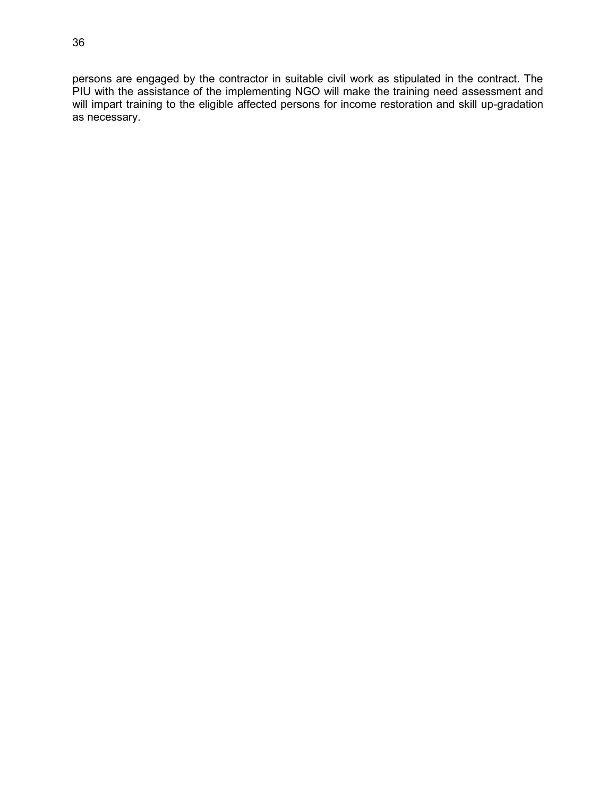persons are engaged by the contractor in suitable civil work as stipulated in the contract. The PIU with the assistance of the implementing NGO will make the training need assessment and will impart training to the eligible affected persons for income restoration and skill up-gradation as necessary.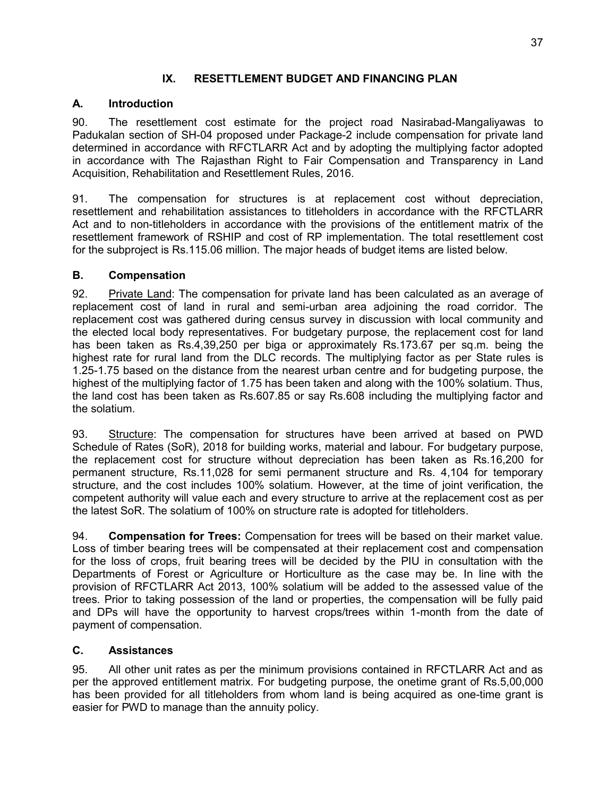### **IX. RESETTLEMENT BUDGET AND FINANCING PLAN**

### **A. Introduction**

90. The resettlement cost estimate for the project road Nasirabad-Mangaliyawas to Padukalan section of SH-04 proposed under Package-2 include compensation for private land determined in accordance with RFCTLARR Act and by adopting the multiplying factor adopted in accordance with The Rajasthan Right to Fair Compensation and Transparency in Land Acquisition, Rehabilitation and Resettlement Rules, 2016.

91. The compensation for structures is at replacement cost without depreciation, resettlement and rehabilitation assistances to titleholders in accordance with the RFCTLARR Act and to non-titleholders in accordance with the provisions of the entitlement matrix of the resettlement framework of RSHIP and cost of RP implementation. The total resettlement cost for the subproject is Rs.115.06 million. The major heads of budget items are listed below.

### **B. Compensation**

92. Private Land: The compensation for private land has been calculated as an average of replacement cost of land in rural and semi-urban area adjoining the road corridor. The replacement cost was gathered during census survey in discussion with local community and the elected local body representatives. For budgetary purpose, the replacement cost for land has been taken as Rs.4,39,250 per biga or approximately Rs.173.67 per sq.m. being the highest rate for rural land from the DLC records. The multiplying factor as per State rules is 1.25-1.75 based on the distance from the nearest urban centre and for budgeting purpose, the highest of the multiplying factor of 1.75 has been taken and along with the 100% solatium. Thus, the land cost has been taken as Rs.607.85 or say Rs.608 including the multiplying factor and the solatium.

93. Structure: The compensation for structures have been arrived at based on PWD Schedule of Rates (SoR), 2018 for building works, material and labour. For budgetary purpose, the replacement cost for structure without depreciation has been taken as Rs.16,200 for permanent structure, Rs.11,028 for semi permanent structure and Rs. 4,104 for temporary structure, and the cost includes 100% solatium. However, at the time of joint verification, the competent authority will value each and every structure to arrive at the replacement cost as per the latest SoR. The solatium of 100% on structure rate is adopted for titleholders.

94. **Compensation for Trees:** Compensation for trees will be based on their market value. Loss of timber bearing trees will be compensated at their replacement cost and compensation for the loss of crops, fruit bearing trees will be decided by the PIU in consultation with the Departments of Forest or Agriculture or Horticulture as the case may be. In line with the provision of RFCTLARR Act 2013, 100% solatium will be added to the assessed value of the trees. Prior to taking possession of the land or properties, the compensation will be fully paid and DPs will have the opportunity to harvest crops/trees within 1-month from the date of payment of compensation.

### **C. Assistances**

95. All other unit rates as per the minimum provisions contained in RFCTLARR Act and as per the approved entitlement matrix. For budgeting purpose, the onetime grant of Rs.5,00,000 has been provided for all titleholders from whom land is being acquired as one-time grant is easier for PWD to manage than the annuity policy.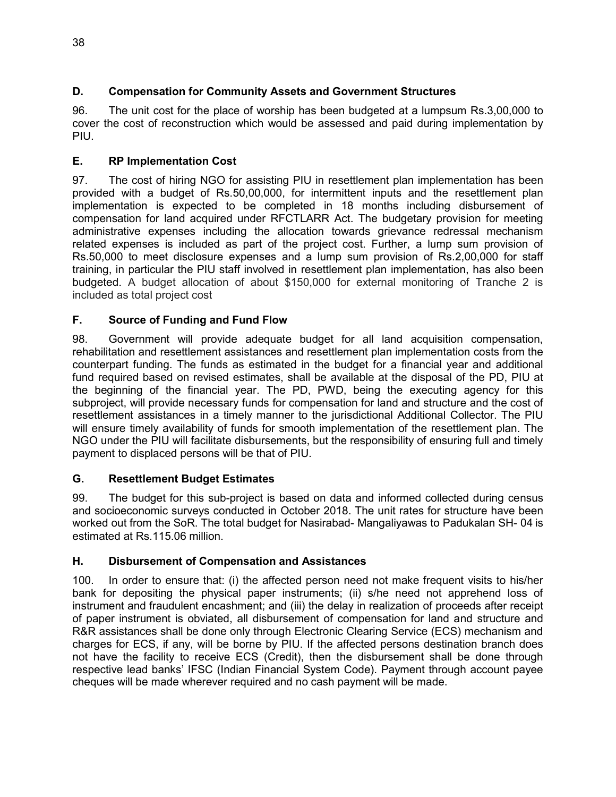# **D. Compensation for Community Assets and Government Structures**

96. The unit cost for the place of worship has been budgeted at a lumpsum Rs.3,00,000 to cover the cost of reconstruction which would be assessed and paid during implementation by PIU.

## **E. RP Implementation Cost**

97. The cost of hiring NGO for assisting PIU in resettlement plan implementation has been provided with a budget of Rs.50,00,000, for intermittent inputs and the resettlement plan implementation is expected to be completed in 18 months including disbursement of compensation for land acquired under RFCTLARR Act. The budgetary provision for meeting administrative expenses including the allocation towards grievance redressal mechanism related expenses is included as part of the project cost. Further, a lump sum provision of Rs.50,000 to meet disclosure expenses and a lump sum provision of Rs.2,00,000 for staff training, in particular the PIU staff involved in resettlement plan implementation, has also been budgeted. A budget allocation of about \$150,000 for external monitoring of Tranche 2 is included as total project cost

# **F. Source of Funding and Fund Flow**

98. Government will provide adequate budget for all land acquisition compensation, rehabilitation and resettlement assistances and resettlement plan implementation costs from the counterpart funding. The funds as estimated in the budget for a financial year and additional fund required based on revised estimates, shall be available at the disposal of the PD, PIU at the beginning of the financial year. The PD, PWD, being the executing agency for this subproject, will provide necessary funds for compensation for land and structure and the cost of resettlement assistances in a timely manner to the jurisdictional Additional Collector. The PIU will ensure timely availability of funds for smooth implementation of the resettlement plan. The NGO under the PIU will facilitate disbursements, but the responsibility of ensuring full and timely payment to displaced persons will be that of PIU.

### **G. Resettlement Budget Estimates**

99. The budget for this sub-project is based on data and informed collected during census and socioeconomic surveys conducted in October 2018. The unit rates for structure have been worked out from the SoR. The total budget for Nasirabad- Mangaliyawas to Padukalan SH- 04 is estimated at Rs.115.06 million.

### **H. Disbursement of Compensation and Assistances**

100. In order to ensure that: (i) the affected person need not make frequent visits to his/her bank for depositing the physical paper instruments; (ii) s/he need not apprehend loss of instrument and fraudulent encashment; and (iii) the delay in realization of proceeds after receipt of paper instrument is obviated, all disbursement of compensation for land and structure and R&R assistances shall be done only through Electronic Clearing Service (ECS) mechanism and charges for ECS, if any, will be borne by PIU. If the affected persons destination branch does not have the facility to receive ECS (Credit), then the disbursement shall be done through respective lead banks' IFSC (Indian Financial System Code). Payment through account payee cheques will be made wherever required and no cash payment will be made.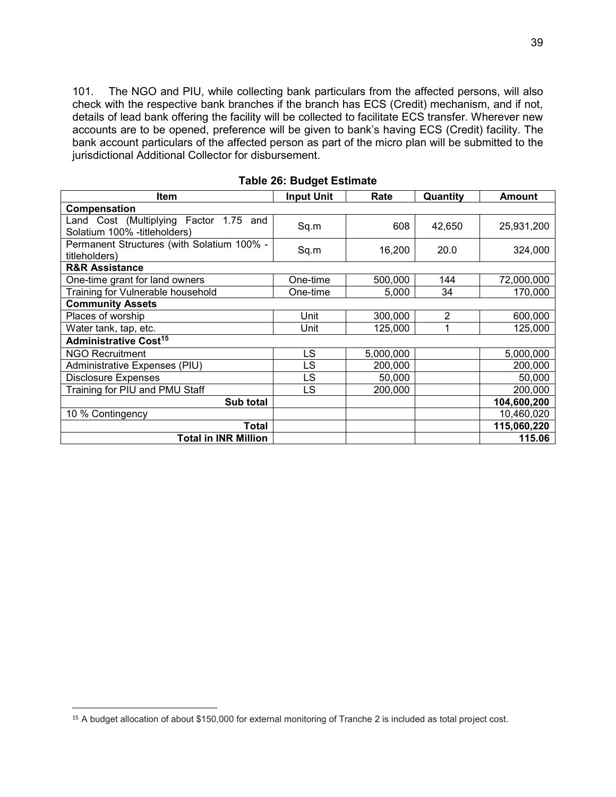101. The NGO and PIU, while collecting bank particulars from the affected persons, will also check with the respective bank branches if the branch has ECS (Credit) mechanism, and if not, details of lead bank offering the facility will be collected to facilitate ECS transfer. Wherever new accounts are to be opened, preference will be given to bank's having ECS (Credit) facility. The bank account particulars of the affected person as part of the micro plan will be submitted to the jurisdictional Additional Collector for disbursement.

| Item                                                                   | <b>Input Unit</b> | Rate      | Quantity | <b>Amount</b> |
|------------------------------------------------------------------------|-------------------|-----------|----------|---------------|
| Compensation                                                           |                   |           |          |               |
| Land Cost (Multiplying Factor 1.75 and<br>Solatium 100% -titleholders) | Sq.m              | 608       | 42,650   | 25,931,200    |
| Permanent Structures (with Solatium 100% -<br>titleholders)            | Sq.m              | 16,200    | 20.0     | 324,000       |
| <b>R&amp;R Assistance</b>                                              |                   |           |          |               |
| One-time grant for land owners                                         | One-time          | 500,000   | 144      | 72,000,000    |
| Training for Vulnerable household                                      | One-time          | 5,000     | 34       | 170,000       |
| <b>Community Assets</b>                                                |                   |           |          |               |
| Places of worship                                                      | Unit              | 300,000   | 2        | 600,000       |
| Water tank, tap, etc.                                                  | Unit              | 125,000   |          | 125.000       |
| <b>Administrative Cost<sup>15</sup></b>                                |                   |           |          |               |
| <b>NGO Recruitment</b>                                                 | <b>LS</b>         | 5,000,000 |          | 5,000,000     |
| Administrative Expenses (PIU)                                          | LS                | 200,000   |          | 200,000       |
| <b>Disclosure Expenses</b>                                             | LS.               | 50,000    |          | 50,000        |
| Training for PIU and PMU Staff                                         | LS                | 200,000   |          | 200,000       |
| Sub total                                                              |                   |           |          | 104,600,200   |
| 10 % Contingency                                                       |                   |           |          | 10,460,020    |
| <b>Total</b>                                                           |                   |           |          | 115,060,220   |
| <b>Total in INR Million</b>                                            |                   |           |          | 115.06        |

**Table 26: Budget Estimate** 

 $\overline{a}$ 

<sup>15</sup> A budget allocation of about \$150,000 for external monitoring of Tranche 2 is included as total project cost.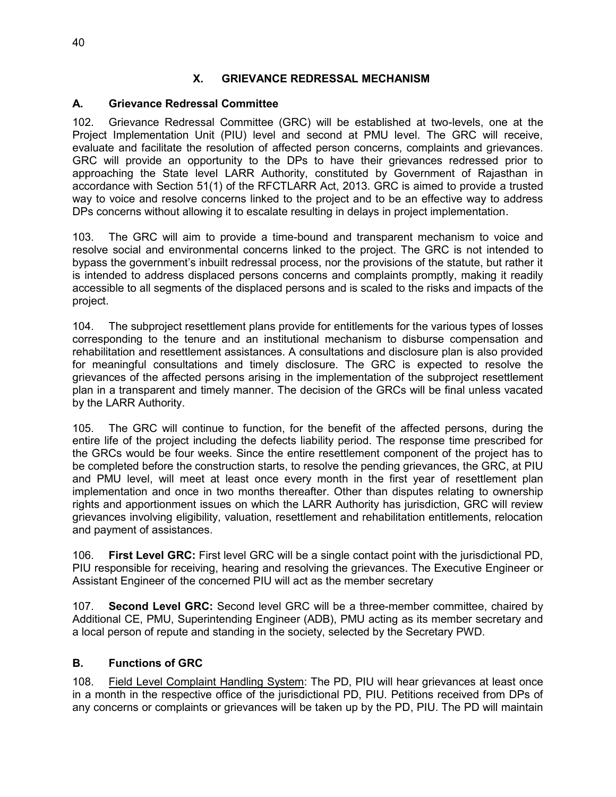#### **X. GRIEVANCE REDRESSAL MECHANISM**

#### **A. Grievance Redressal Committee**

102. Grievance Redressal Committee (GRC) will be established at two-levels, one at the Project Implementation Unit (PIU) level and second at PMU level. The GRC will receive, evaluate and facilitate the resolution of affected person concerns, complaints and grievances. GRC will provide an opportunity to the DPs to have their grievances redressed prior to approaching the State level LARR Authority, constituted by Government of Rajasthan in accordance with Section 51(1) of the RFCTLARR Act, 2013. GRC is aimed to provide a trusted way to voice and resolve concerns linked to the project and to be an effective way to address DPs concerns without allowing it to escalate resulting in delays in project implementation.

103. The GRC will aim to provide a time-bound and transparent mechanism to voice and resolve social and environmental concerns linked to the project. The GRC is not intended to bypass the government's inbuilt redressal process, nor the provisions of the statute, but rather it is intended to address displaced persons concerns and complaints promptly, making it readily accessible to all segments of the displaced persons and is scaled to the risks and impacts of the project.

104. The subproject resettlement plans provide for entitlements for the various types of losses corresponding to the tenure and an institutional mechanism to disburse compensation and rehabilitation and resettlement assistances. A consultations and disclosure plan is also provided for meaningful consultations and timely disclosure. The GRC is expected to resolve the grievances of the affected persons arising in the implementation of the subproject resettlement plan in a transparent and timely manner. The decision of the GRCs will be final unless vacated by the LARR Authority.

105. The GRC will continue to function, for the benefit of the affected persons, during the entire life of the project including the defects liability period. The response time prescribed for the GRCs would be four weeks. Since the entire resettlement component of the project has to be completed before the construction starts, to resolve the pending grievances, the GRC, at PIU and PMU level, will meet at least once every month in the first year of resettlement plan implementation and once in two months thereafter. Other than disputes relating to ownership rights and apportionment issues on which the LARR Authority has jurisdiction, GRC will review grievances involving eligibility, valuation, resettlement and rehabilitation entitlements, relocation and payment of assistances.

106. **First Level GRC:** First level GRC will be a single contact point with the jurisdictional PD, PIU responsible for receiving, hearing and resolving the grievances. The Executive Engineer or Assistant Engineer of the concerned PIU will act as the member secretary

107. **Second Level GRC:** Second level GRC will be a three-member committee, chaired by Additional CE, PMU, Superintending Engineer (ADB), PMU acting as its member secretary and a local person of repute and standing in the society, selected by the Secretary PWD.

### **B. Functions of GRC**

108. Field Level Complaint Handling System: The PD, PIU will hear grievances at least once in a month in the respective office of the jurisdictional PD, PIU. Petitions received from DPs of any concerns or complaints or grievances will be taken up by the PD, PIU. The PD will maintain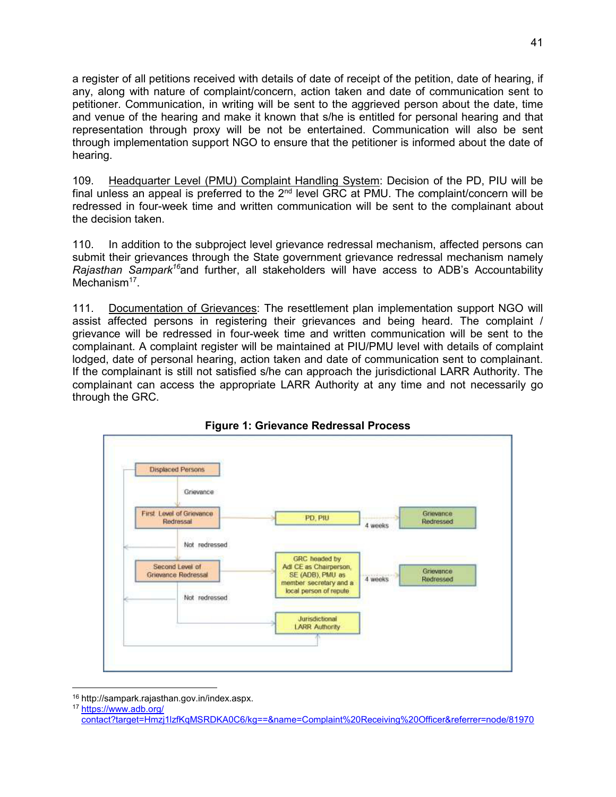a register of all petitions received with details of date of receipt of the petition, date of hearing, if any, along with nature of complaint/concern, action taken and date of communication sent to petitioner. Communication, in writing will be sent to the aggrieved person about the date, time and venue of the hearing and make it known that s/he is entitled for personal hearing and that representation through proxy will be not be entertained. Communication will also be sent through implementation support NGO to ensure that the petitioner is informed about the date of hearing.

109. Headquarter Level (PMU) Complaint Handling System: Decision of the PD, PIU will be final unless an appeal is preferred to the  $2^{nd}$  level GRC at PMU. The complaint/concern will be redressed in four-week time and written communication will be sent to the complainant about the decision taken.

110. In addition to the subproject level grievance redressal mechanism, affected persons can submit their grievances through the State government grievance redressal mechanism namely *Rajasthan Sampark<sup>16</sup>*and further, all stakeholders will have access to ADB's Accountability Mechanism<sup>17</sup>.

111. Documentation of Grievances: The resettlement plan implementation support NGO will assist affected persons in registering their grievances and being heard. The complaint / grievance will be redressed in four-week time and written communication will be sent to the complainant. A complaint register will be maintained at PIU/PMU level with details of complaint lodged, date of personal hearing, action taken and date of communication sent to complainant. If the complainant is still not satisfied s/he can approach the jurisdictional LARR Authority. The complainant can access the appropriate LARR Authority at any time and not necessarily go through the GRC.



### **Figure 1: Grievance Redressal Process**

 $\overline{a}$ 

<sup>16</sup> http://sampark.rajasthan.gov.in/index.aspx.

<sup>17</sup> https://www.adb.org/

[contact?target=Hmzj1lzfKqMSRDKA0C6/kg==&name=Complaint%20Receiving%20Officer&referrer=node/81970](https://www.adb.org/%20contact?target=Hmzj1lzfKqMSRDKA0C6/kg==&name=Complaint%20Receiving%20Officer&referrer=node/81970)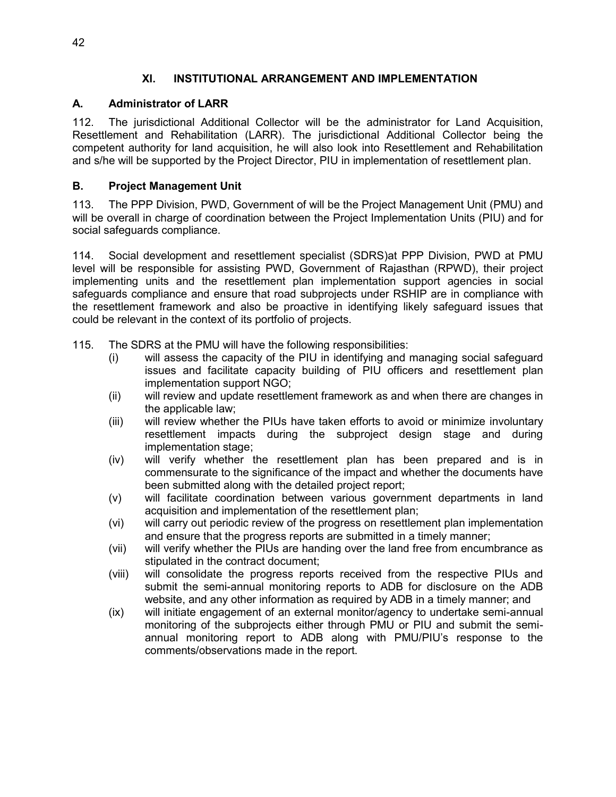### **XI. INSTITUTIONAL ARRANGEMENT AND IMPLEMENTATION**

## **A. Administrator of LARR**

112. The jurisdictional Additional Collector will be the administrator for Land Acquisition, Resettlement and Rehabilitation (LARR). The jurisdictional Additional Collector being the competent authority for land acquisition, he will also look into Resettlement and Rehabilitation and s/he will be supported by the Project Director, PIU in implementation of resettlement plan.

# **B. Project Management Unit**

113. The PPP Division, PWD, Government of will be the Project Management Unit (PMU) and will be overall in charge of coordination between the Project Implementation Units (PIU) and for social safeguards compliance.

114. Social development and resettlement specialist (SDRS)at PPP Division, PWD at PMU level will be responsible for assisting PWD, Government of Rajasthan (RPWD), their project implementing units and the resettlement plan implementation support agencies in social safeguards compliance and ensure that road subprojects under RSHIP are in compliance with the resettlement framework and also be proactive in identifying likely safeguard issues that could be relevant in the context of its portfolio of projects.

- 115. The SDRS at the PMU will have the following responsibilities:
	- (i) will assess the capacity of the PIU in identifying and managing social safeguard issues and facilitate capacity building of PIU officers and resettlement plan implementation support NGO;
	- (ii) will review and update resettlement framework as and when there are changes in the applicable law;
	- (iii) will review whether the PIUs have taken efforts to avoid or minimize involuntary resettlement impacts during the subproject design stage and during implementation stage;
	- (iv) will verify whether the resettlement plan has been prepared and is in commensurate to the significance of the impact and whether the documents have been submitted along with the detailed project report;
	- (v) will facilitate coordination between various government departments in land acquisition and implementation of the resettlement plan;
	- (vi) will carry out periodic review of the progress on resettlement plan implementation and ensure that the progress reports are submitted in a timely manner;
	- (vii) will verify whether the PIUs are handing over the land free from encumbrance as stipulated in the contract document;
	- (viii) will consolidate the progress reports received from the respective PIUs and submit the semi-annual monitoring reports to ADB for disclosure on the ADB website, and any other information as required by ADB in a timely manner; and
	- (ix) will initiate engagement of an external monitor/agency to undertake semi-annual monitoring of the subprojects either through PMU or PIU and submit the semiannual monitoring report to ADB along with PMU/PIU's response to the comments/observations made in the report.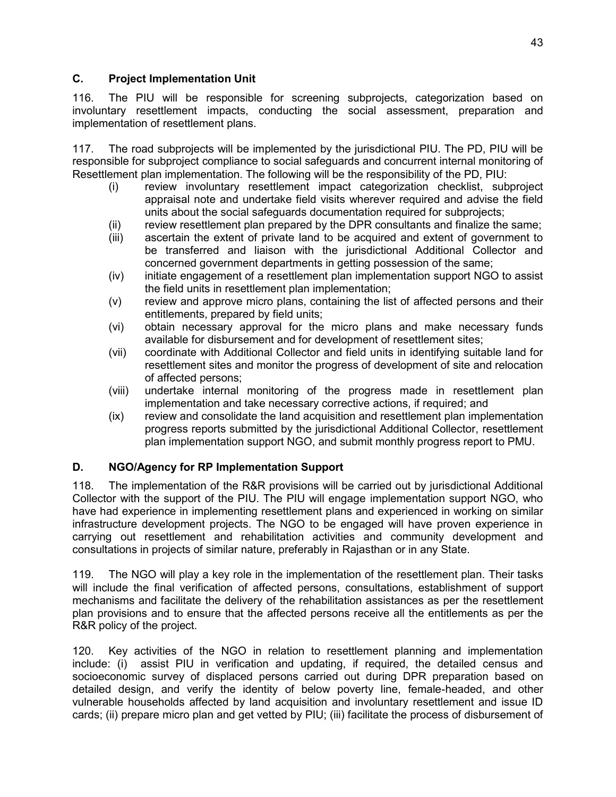#### **C. Project Implementation Unit**

116. The PIU will be responsible for screening subprojects, categorization based on involuntary resettlement impacts, conducting the social assessment, preparation and implementation of resettlement plans.

117. The road subprojects will be implemented by the jurisdictional PIU. The PD, PIU will be responsible for subproject compliance to social safeguards and concurrent internal monitoring of Resettlement plan implementation. The following will be the responsibility of the PD, PIU:

- (i) review involuntary resettlement impact categorization checklist, subproject appraisal note and undertake field visits wherever required and advise the field units about the social safeguards documentation required for subprojects;
- (ii) review resettlement plan prepared by the DPR consultants and finalize the same;
- (iii) ascertain the extent of private land to be acquired and extent of government to be transferred and liaison with the jurisdictional Additional Collector and concerned government departments in getting possession of the same;
- (iv) initiate engagement of a resettlement plan implementation support NGO to assist the field units in resettlement plan implementation;
- (v) review and approve micro plans, containing the list of affected persons and their entitlements, prepared by field units;
- (vi) obtain necessary approval for the micro plans and make necessary funds available for disbursement and for development of resettlement sites;
- (vii) coordinate with Additional Collector and field units in identifying suitable land for resettlement sites and monitor the progress of development of site and relocation of affected persons;
- (viii) undertake internal monitoring of the progress made in resettlement plan implementation and take necessary corrective actions, if required; and
- (ix) review and consolidate the land acquisition and resettlement plan implementation progress reports submitted by the jurisdictional Additional Collector, resettlement plan implementation support NGO, and submit monthly progress report to PMU.

### **D. NGO/Agency for RP Implementation Support**

118. The implementation of the R&R provisions will be carried out by jurisdictional Additional Collector with the support of the PIU. The PIU will engage implementation support NGO, who have had experience in implementing resettlement plans and experienced in working on similar infrastructure development projects. The NGO to be engaged will have proven experience in carrying out resettlement and rehabilitation activities and community development and consultations in projects of similar nature, preferably in Rajasthan or in any State.

119. The NGO will play a key role in the implementation of the resettlement plan. Their tasks will include the final verification of affected persons, consultations, establishment of support mechanisms and facilitate the delivery of the rehabilitation assistances as per the resettlement plan provisions and to ensure that the affected persons receive all the entitlements as per the R&R policy of the project.

120. Key activities of the NGO in relation to resettlement planning and implementation include: (i) assist PIU in verification and updating, if required, the detailed census and socioeconomic survey of displaced persons carried out during DPR preparation based on detailed design, and verify the identity of below poverty line, female-headed, and other vulnerable households affected by land acquisition and involuntary resettlement and issue ID cards; (ii) prepare micro plan and get vetted by PIU; (iii) facilitate the process of disbursement of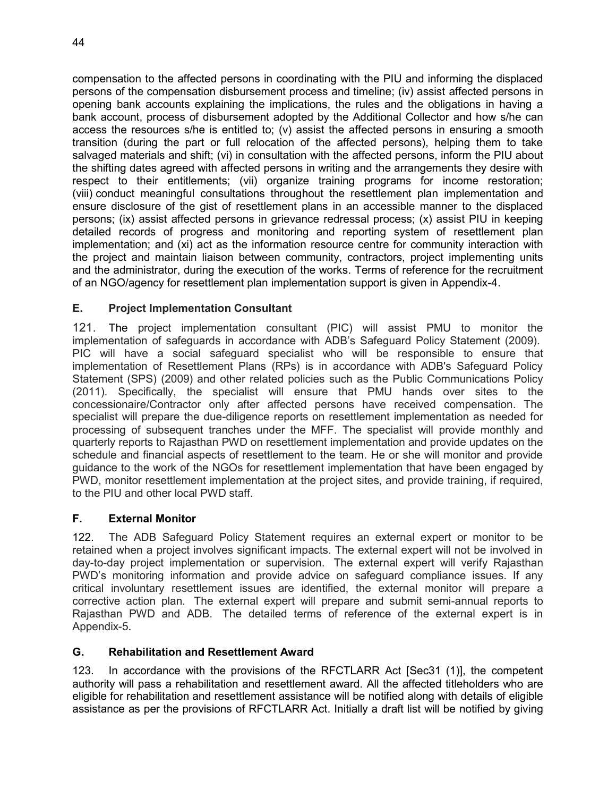compensation to the affected persons in coordinating with the PIU and informing the displaced persons of the compensation disbursement process and timeline; (iv) assist affected persons in opening bank accounts explaining the implications, the rules and the obligations in having a bank account, process of disbursement adopted by the Additional Collector and how s/he can access the resources s/he is entitled to; (v) assist the affected persons in ensuring a smooth transition (during the part or full relocation of the affected persons), helping them to take salvaged materials and shift; (vi) in consultation with the affected persons, inform the PIU about the shifting dates agreed with affected persons in writing and the arrangements they desire with respect to their entitlements; (vii) organize training programs for income restoration; (viii) conduct meaningful consultations throughout the resettlement plan implementation and ensure disclosure of the gist of resettlement plans in an accessible manner to the displaced persons; (ix) assist affected persons in grievance redressal process; (x) assist PIU in keeping detailed records of progress and monitoring and reporting system of resettlement plan implementation; and (xi) act as the information resource centre for community interaction with the project and maintain liaison between community, contractors, project implementing units and the administrator, during the execution of the works. Terms of reference for the recruitment of an NGO/agency for resettlement plan implementation support is given in Appendix-4.

### **E. Project Implementation Consultant**

121. The project implementation consultant (PIC) will assist PMU to monitor the implementation of safeguards in accordance with ADB's Safeguard Policy Statement (2009). PIC will have a social safeguard specialist who will be responsible to ensure that implementation of Resettlement Plans (RPs) is in accordance with ADB's Safeguard Policy Statement (SPS) (2009) and other related policies such as the Public Communications Policy (2011). Specifically, the specialist will ensure that PMU hands over sites to the concessionaire/Contractor only after affected persons have received compensation. The specialist will prepare the due-diligence reports on resettlement implementation as needed for processing of subsequent tranches under the MFF. The specialist will provide monthly and quarterly reports to Rajasthan PWD on resettlement implementation and provide updates on the schedule and financial aspects of resettlement to the team. He or she will monitor and provide guidance to the work of the NGOs for resettlement implementation that have been engaged by PWD, monitor resettlement implementation at the project sites, and provide training, if required, to the PIU and other local PWD staff.

#### **F. External Monitor**

122. The ADB Safeguard Policy Statement requires an external expert or monitor to be retained when a project involves significant impacts. The external expert will not be involved in day-to-day project implementation or supervision. The external expert will verify Rajasthan PWD's monitoring information and provide advice on safeguard compliance issues. If any critical involuntary resettlement issues are identified, the external monitor will prepare a corrective action plan. The external expert will prepare and submit semi-annual reports to Rajasthan PWD and ADB. The detailed terms of reference of the external expert is in Appendix-5.

#### **G. Rehabilitation and Resettlement Award**

123. In accordance with the provisions of the RFCTLARR Act [Sec31 (1)], the competent authority will pass a rehabilitation and resettlement award. All the affected titleholders who are eligible for rehabilitation and resettlement assistance will be notified along with details of eligible assistance as per the provisions of RFCTLARR Act. Initially a draft list will be notified by giving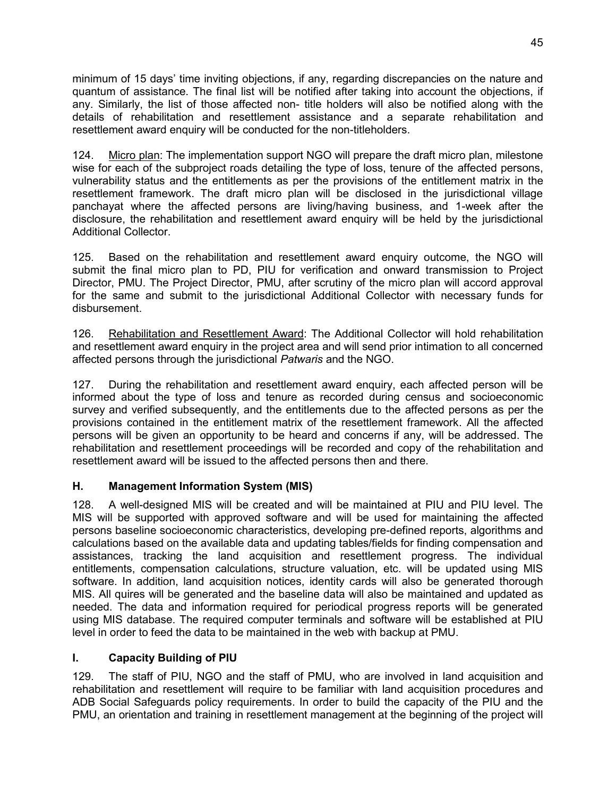minimum of 15 days' time inviting objections, if any, regarding discrepancies on the nature and quantum of assistance. The final list will be notified after taking into account the objections, if any. Similarly, the list of those affected non- title holders will also be notified along with the details of rehabilitation and resettlement assistance and a separate rehabilitation and resettlement award enquiry will be conducted for the non-titleholders.

124. Micro plan: The implementation support NGO will prepare the draft micro plan, milestone wise for each of the subproject roads detailing the type of loss, tenure of the affected persons, vulnerability status and the entitlements as per the provisions of the entitlement matrix in the resettlement framework. The draft micro plan will be disclosed in the jurisdictional village panchayat where the affected persons are living/having business, and 1-week after the disclosure, the rehabilitation and resettlement award enquiry will be held by the jurisdictional Additional Collector.

125. Based on the rehabilitation and resettlement award enquiry outcome, the NGO will submit the final micro plan to PD, PIU for verification and onward transmission to Project Director, PMU. The Project Director, PMU, after scrutiny of the micro plan will accord approval for the same and submit to the jurisdictional Additional Collector with necessary funds for disbursement.

126. Rehabilitation and Resettlement Award: The Additional Collector will hold rehabilitation and resettlement award enquiry in the project area and will send prior intimation to all concerned affected persons through the jurisdictional *Patwaris* and the NGO.

127. During the rehabilitation and resettlement award enquiry, each affected person will be informed about the type of loss and tenure as recorded during census and socioeconomic survey and verified subsequently, and the entitlements due to the affected persons as per the provisions contained in the entitlement matrix of the resettlement framework. All the affected persons will be given an opportunity to be heard and concerns if any, will be addressed. The rehabilitation and resettlement proceedings will be recorded and copy of the rehabilitation and resettlement award will be issued to the affected persons then and there.

### **H. Management Information System (MIS)**

128. A well-designed MIS will be created and will be maintained at PIU and PIU level. The MIS will be supported with approved software and will be used for maintaining the affected persons baseline socioeconomic characteristics, developing pre-defined reports, algorithms and calculations based on the available data and updating tables/fields for finding compensation and assistances, tracking the land acquisition and resettlement progress. The individual entitlements, compensation calculations, structure valuation, etc. will be updated using MIS software. In addition, land acquisition notices, identity cards will also be generated thorough MIS. All quires will be generated and the baseline data will also be maintained and updated as needed. The data and information required for periodical progress reports will be generated using MIS database. The required computer terminals and software will be established at PIU level in order to feed the data to be maintained in the web with backup at PMU.

# **I. Capacity Building of PIU**

129. The staff of PIU, NGO and the staff of PMU, who are involved in land acquisition and rehabilitation and resettlement will require to be familiar with land acquisition procedures and ADB Social Safeguards policy requirements. In order to build the capacity of the PIU and the PMU, an orientation and training in resettlement management at the beginning of the project will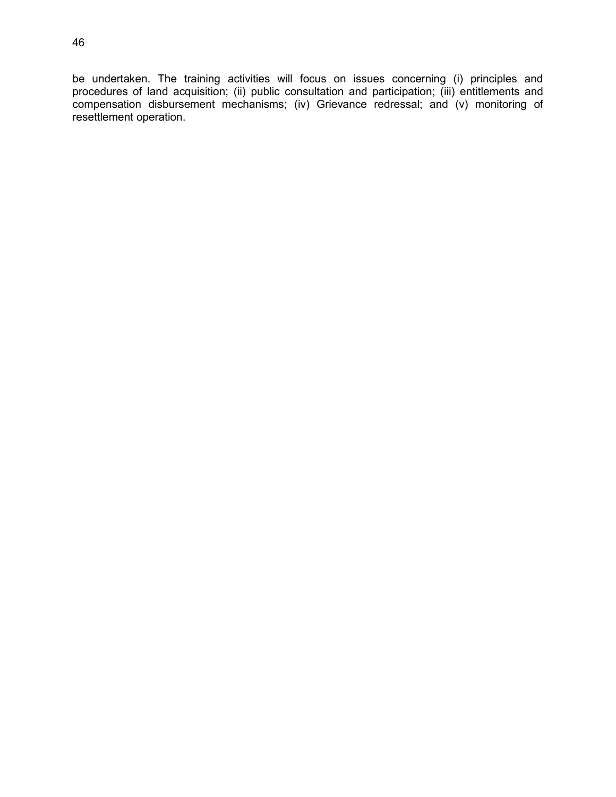be undertaken. The training activities will focus on issues concerning (i) principles and procedures of land acquisition; (ii) public consultation and participation; (iii) entitlements and compensation disbursement mechanisms; (iv) Grievance redressal; and (v) monitoring of resettlement operation.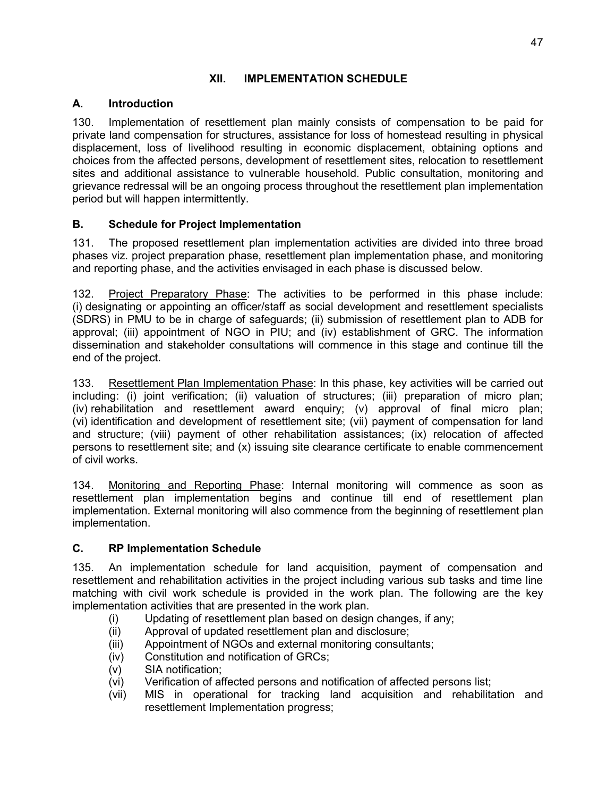## **XII. IMPLEMENTATION SCHEDULE**

# **A. Introduction**

130. Implementation of resettlement plan mainly consists of compensation to be paid for private land compensation for structures, assistance for loss of homestead resulting in physical displacement, loss of livelihood resulting in economic displacement, obtaining options and choices from the affected persons, development of resettlement sites, relocation to resettlement sites and additional assistance to vulnerable household. Public consultation, monitoring and grievance redressal will be an ongoing process throughout the resettlement plan implementation period but will happen intermittently.

# **B. Schedule for Project Implementation**

131. The proposed resettlement plan implementation activities are divided into three broad phases viz. project preparation phase, resettlement plan implementation phase, and monitoring and reporting phase, and the activities envisaged in each phase is discussed below.

132. Project Preparatory Phase: The activities to be performed in this phase include: (i) designating or appointing an officer/staff as social development and resettlement specialists (SDRS) in PMU to be in charge of safeguards; (ii) submission of resettlement plan to ADB for approval; (iii) appointment of NGO in PIU; and (iv) establishment of GRC. The information dissemination and stakeholder consultations will commence in this stage and continue till the end of the project.

133. Resettlement Plan Implementation Phase: In this phase, key activities will be carried out including: (i) joint verification; (ii) valuation of structures; (iii) preparation of micro plan; (iv) rehabilitation and resettlement award enquiry; (v) approval of final micro plan; (vi) identification and development of resettlement site; (vii) payment of compensation for land and structure; (viii) payment of other rehabilitation assistances; (ix) relocation of affected persons to resettlement site; and (x) issuing site clearance certificate to enable commencement of civil works.

134. Monitoring and Reporting Phase: Internal monitoring will commence as soon as resettlement plan implementation begins and continue till end of resettlement plan implementation. External monitoring will also commence from the beginning of resettlement plan implementation.

### **C. RP Implementation Schedule**

135. An implementation schedule for land acquisition, payment of compensation and resettlement and rehabilitation activities in the project including various sub tasks and time line matching with civil work schedule is provided in the work plan. The following are the key implementation activities that are presented in the work plan.

- (i) Updating of resettlement plan based on design changes, if any;
- (ii) Approval of updated resettlement plan and disclosure;
- (iii) Appointment of NGOs and external monitoring consultants;
- (iv) Constitution and notification of GRCs;
- (v) SIA notification;
- (vi) Verification of affected persons and notification of affected persons list;
- (vii) MIS in operational for tracking land acquisition and rehabilitation and resettlement Implementation progress;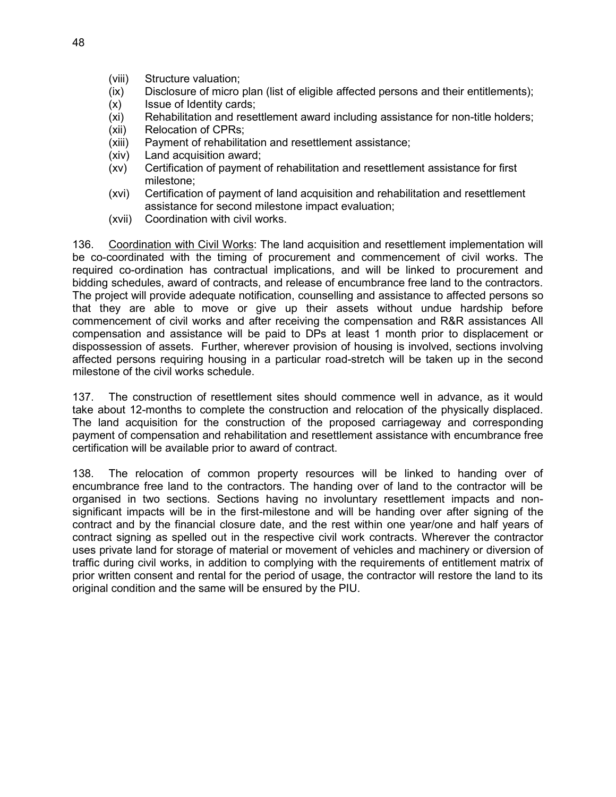- (viii) Structure valuation;
- (ix) Disclosure of micro plan (list of eligible affected persons and their entitlements);
- (x) Issue of Identity cards;
- (xi) Rehabilitation and resettlement award including assistance for non-title holders;
- (xii) Relocation of CPRs;
- (xiii) Payment of rehabilitation and resettlement assistance;
- (xiv) Land acquisition award;
- (xv) Certification of payment of rehabilitation and resettlement assistance for first milestone;
- (xvi) Certification of payment of land acquisition and rehabilitation and resettlement assistance for second milestone impact evaluation;
- (xvii) Coordination with civil works.

136. Coordination with Civil Works: The land acquisition and resettlement implementation will be co-coordinated with the timing of procurement and commencement of civil works. The required co-ordination has contractual implications, and will be linked to procurement and bidding schedules, award of contracts, and release of encumbrance free land to the contractors. The project will provide adequate notification, counselling and assistance to affected persons so that they are able to move or give up their assets without undue hardship before commencement of civil works and after receiving the compensation and R&R assistances All compensation and assistance will be paid to DPs at least 1 month prior to displacement or dispossession of assets. Further, wherever provision of housing is involved, sections involving affected persons requiring housing in a particular road-stretch will be taken up in the second milestone of the civil works schedule.

137. The construction of resettlement sites should commence well in advance, as it would take about 12-months to complete the construction and relocation of the physically displaced. The land acquisition for the construction of the proposed carriageway and corresponding payment of compensation and rehabilitation and resettlement assistance with encumbrance free certification will be available prior to award of contract.

138. The relocation of common property resources will be linked to handing over of encumbrance free land to the contractors. The handing over of land to the contractor will be organised in two sections. Sections having no involuntary resettlement impacts and nonsignificant impacts will be in the first-milestone and will be handing over after signing of the contract and by the financial closure date, and the rest within one year/one and half years of contract signing as spelled out in the respective civil work contracts. Wherever the contractor uses private land for storage of material or movement of vehicles and machinery or diversion of traffic during civil works, in addition to complying with the requirements of entitlement matrix of prior written consent and rental for the period of usage, the contractor will restore the land to its original condition and the same will be ensured by the PIU.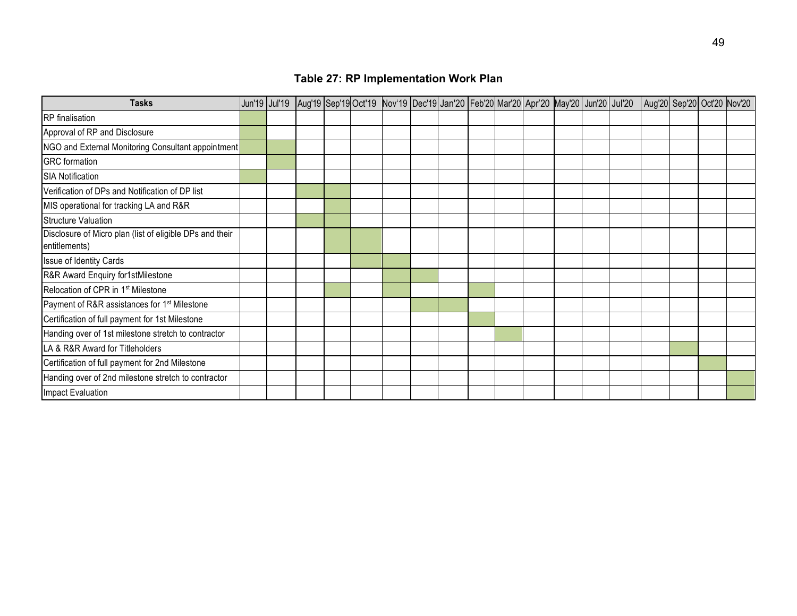| <b>Tasks</b>                                                              | Jun'19 Jul'19 |  |  |  |  | Aug'19 Sep'19 Oct'19 Nov'19 Dec'19 Jan'20 Feb'20 Mar'20 Apr'20 May'20 Jun'20 Jul'20 |  | Aug'20 Sep'20 Oct'20 Nov'20 |  |  |
|---------------------------------------------------------------------------|---------------|--|--|--|--|-------------------------------------------------------------------------------------|--|-----------------------------|--|--|
| <b>RP</b> finalisation                                                    |               |  |  |  |  |                                                                                     |  |                             |  |  |
| Approval of RP and Disclosure                                             |               |  |  |  |  |                                                                                     |  |                             |  |  |
| NGO and External Monitoring Consultant appointment                        |               |  |  |  |  |                                                                                     |  |                             |  |  |
| <b>GRC</b> formation                                                      |               |  |  |  |  |                                                                                     |  |                             |  |  |
| <b>SIA Notification</b>                                                   |               |  |  |  |  |                                                                                     |  |                             |  |  |
| Verification of DPs and Notification of DP list                           |               |  |  |  |  |                                                                                     |  |                             |  |  |
| MIS operational for tracking LA and R&R                                   |               |  |  |  |  |                                                                                     |  |                             |  |  |
| Structure Valuation                                                       |               |  |  |  |  |                                                                                     |  |                             |  |  |
| Disclosure of Micro plan (list of eligible DPs and their<br>entitlements) |               |  |  |  |  |                                                                                     |  |                             |  |  |
| Issue of Identity Cards                                                   |               |  |  |  |  |                                                                                     |  |                             |  |  |
| R&R Award Enquiry for1stMilestone                                         |               |  |  |  |  |                                                                                     |  |                             |  |  |
| Relocation of CPR in 1 <sup>st</sup> Milestone                            |               |  |  |  |  |                                                                                     |  |                             |  |  |
| Payment of R&R assistances for 1 <sup>st</sup> Milestone                  |               |  |  |  |  |                                                                                     |  |                             |  |  |
| Certification of full payment for 1st Milestone                           |               |  |  |  |  |                                                                                     |  |                             |  |  |
| Handing over of 1st milestone stretch to contractor                       |               |  |  |  |  |                                                                                     |  |                             |  |  |
| LA & R&R Award for Titleholders                                           |               |  |  |  |  |                                                                                     |  |                             |  |  |
| Certification of full payment for 2nd Milestone                           |               |  |  |  |  |                                                                                     |  |                             |  |  |
| Handing over of 2nd milestone stretch to contractor                       |               |  |  |  |  |                                                                                     |  |                             |  |  |
| Impact Evaluation                                                         |               |  |  |  |  |                                                                                     |  |                             |  |  |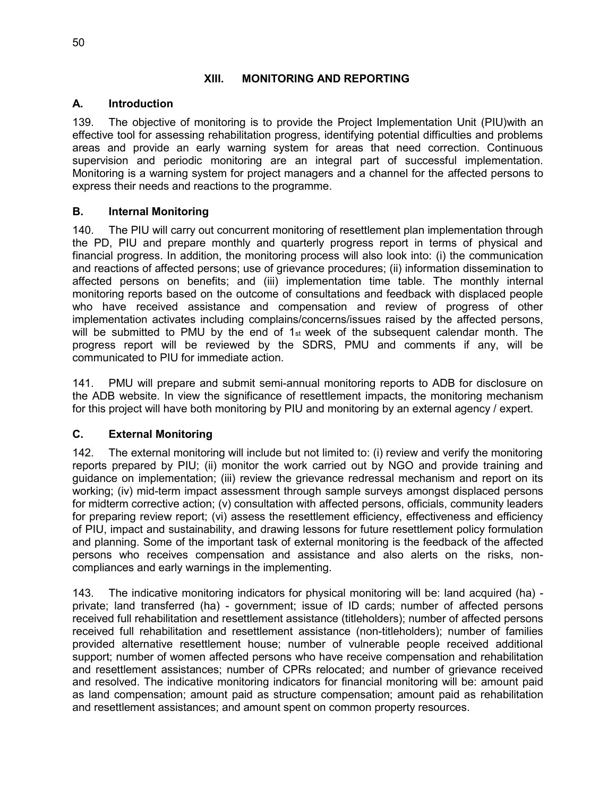#### **XIII. MONITORING AND REPORTING**

#### **A. Introduction**

139. The objective of monitoring is to provide the Project Implementation Unit (PIU)with an effective tool for assessing rehabilitation progress, identifying potential difficulties and problems areas and provide an early warning system for areas that need correction. Continuous supervision and periodic monitoring are an integral part of successful implementation. Monitoring is a warning system for project managers and a channel for the affected persons to express their needs and reactions to the programme.

#### **B. Internal Monitoring**

140. The PIU will carry out concurrent monitoring of resettlement plan implementation through the PD, PIU and prepare monthly and quarterly progress report in terms of physical and financial progress. In addition, the monitoring process will also look into: (i) the communication and reactions of affected persons; use of grievance procedures; (ii) information dissemination to affected persons on benefits; and (iii) implementation time table. The monthly internal monitoring reports based on the outcome of consultations and feedback with displaced people who have received assistance and compensation and review of progress of other implementation activates including complains/concerns/issues raised by the affected persons, will be submitted to PMU by the end of 1st week of the subsequent calendar month. The progress report will be reviewed by the SDRS, PMU and comments if any, will be communicated to PIU for immediate action.

141. PMU will prepare and submit semi-annual monitoring reports to ADB for disclosure on the ADB website. In view the significance of resettlement impacts, the monitoring mechanism for this project will have both monitoring by PIU and monitoring by an external agency / expert.

### **C. External Monitoring**

142. The external monitoring will include but not limited to: (i) review and verify the monitoring reports prepared by PIU; (ii) monitor the work carried out by NGO and provide training and guidance on implementation; (iii) review the grievance redressal mechanism and report on its working; (iv) mid-term impact assessment through sample surveys amongst displaced persons for midterm corrective action; (v) consultation with affected persons, officials, community leaders for preparing review report; (vi) assess the resettlement efficiency, effectiveness and efficiency of PIU, impact and sustainability, and drawing lessons for future resettlement policy formulation and planning. Some of the important task of external monitoring is the feedback of the affected persons who receives compensation and assistance and also alerts on the risks, noncompliances and early warnings in the implementing.

143. The indicative monitoring indicators for physical monitoring will be: land acquired (ha) private; land transferred (ha) - government; issue of ID cards; number of affected persons received full rehabilitation and resettlement assistance (titleholders); number of affected persons received full rehabilitation and resettlement assistance (non-titleholders); number of families provided alternative resettlement house; number of vulnerable people received additional support; number of women affected persons who have receive compensation and rehabilitation and resettlement assistances; number of CPRs relocated; and number of grievance received and resolved. The indicative monitoring indicators for financial monitoring will be: amount paid as land compensation; amount paid as structure compensation; amount paid as rehabilitation and resettlement assistances; and amount spent on common property resources.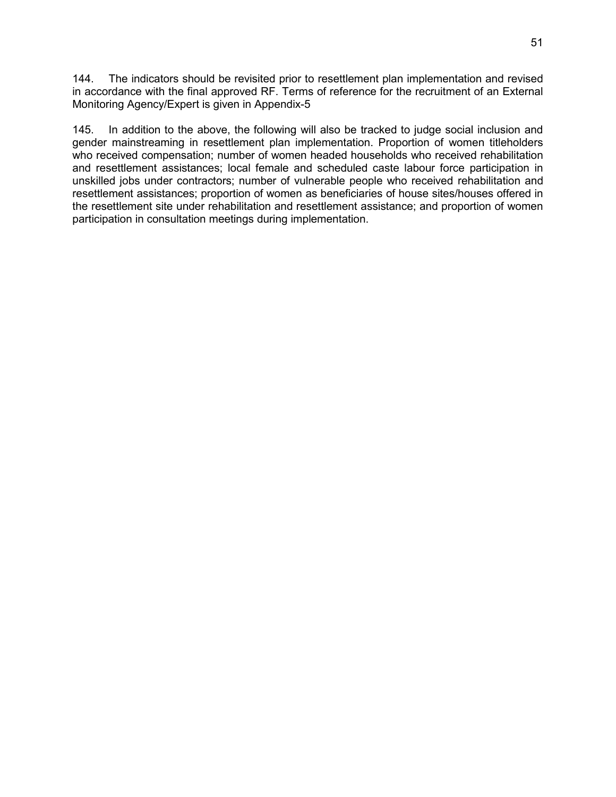144. The indicators should be revisited prior to resettlement plan implementation and revised in accordance with the final approved RF. Terms of reference for the recruitment of an External Monitoring Agency/Expert is given in Appendix-5

145. In addition to the above, the following will also be tracked to judge social inclusion and gender mainstreaming in resettlement plan implementation. Proportion of women titleholders who received compensation; number of women headed households who received rehabilitation and resettlement assistances; local female and scheduled caste labour force participation in unskilled jobs under contractors; number of vulnerable people who received rehabilitation and resettlement assistances; proportion of women as beneficiaries of house sites/houses offered in the resettlement site under rehabilitation and resettlement assistance; and proportion of women participation in consultation meetings during implementation.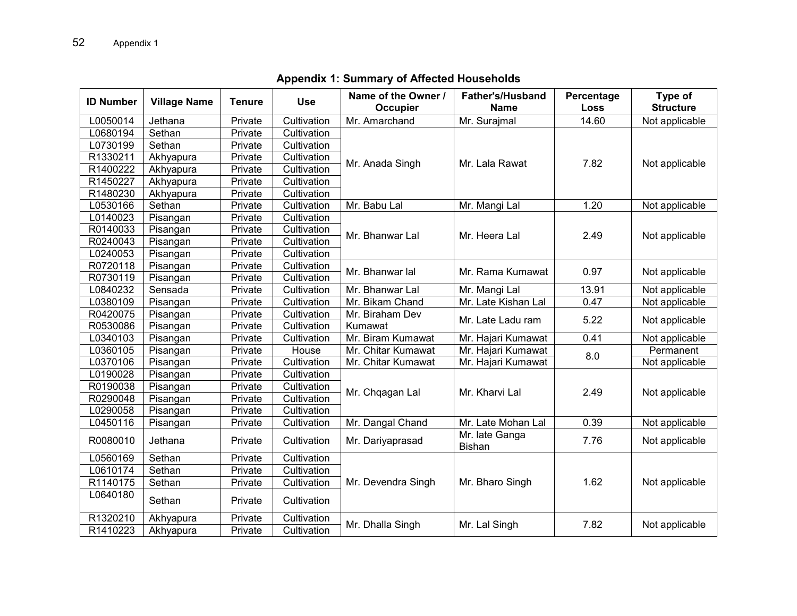| <b>ID Number</b> | <b>Village Name</b> | <b>Tenure</b> | <b>Use</b>  | Name of the Owner /<br>Occupier | <b>Father's/Husband</b><br><b>Name</b> | Percentage<br>Loss | Type of<br><b>Structure</b> |
|------------------|---------------------|---------------|-------------|---------------------------------|----------------------------------------|--------------------|-----------------------------|
| L0050014         | Jethana             | Private       | Cultivation | Mr. Amarchand                   | Mr. Surajmal                           | 14.60              | Not applicable              |
| L0680194         | Sethan              | Private       | Cultivation |                                 |                                        |                    |                             |
| L0730199         | Sethan              | Private       | Cultivation |                                 |                                        |                    |                             |
| R1330211         | Akhyapura           | Private       | Cultivation |                                 | Mr. Lala Rawat                         | 7.82               |                             |
| R1400222         | Akhyapura           | Private       | Cultivation | Mr. Anada Singh                 |                                        |                    | Not applicable              |
| R1450227         | Akhyapura           | Private       | Cultivation |                                 |                                        |                    |                             |
| R1480230         | Akhyapura           | Private       | Cultivation |                                 |                                        |                    |                             |
| L0530166         | Sethan              | Private       | Cultivation | Mr. Babu Lal                    | Mr. Mangi Lal                          | 1.20               | Not applicable              |
| L0140023         | Pisangan            | Private       | Cultivation |                                 |                                        |                    |                             |
| R0140033         | Pisangan            | Private       | Cultivation | Mr. Bhanwar Lal                 | Mr. Heera Lal                          | 2.49               | Not applicable              |
| R0240043         | Pisangan            | Private       | Cultivation |                                 |                                        |                    |                             |
| L0240053         | Pisangan            | Private       | Cultivation |                                 |                                        |                    |                             |
| R0720118         | Pisangan            | Private       | Cultivation | Mr. Bhanwar lal                 | Mr. Rama Kumawat                       | 0.97               | Not applicable              |
| R0730119         | Pisangan            | Private       | Cultivation |                                 |                                        |                    |                             |
| L0840232         | Sensada             | Private       | Cultivation | Mr. Bhanwar Lal                 | Mr. Mangi Lal                          | 13.91              | Not applicable              |
| L0380109         | Pisangan            | Private       | Cultivation | Mr. Bikam Chand                 | Mr. Late Kishan Lal                    | 0.47               | Not applicable              |
| R0420075         | Pisangan            | Private       | Cultivation | Mr. Biraham Dev                 | Mr. Late Ladu ram                      | 5.22               | Not applicable              |
| R0530086         | Pisangan            | Private       | Cultivation | Kumawat                         |                                        |                    |                             |
| L0340103         | Pisangan            | Private       | Cultivation | Mr. Biram Kumawat               | Mr. Hajari Kumawat                     | 0.41               | Not applicable              |
| L0360105         | Pisangan            | Private       | House       | Mr. Chitar Kumawat              | Mr. Hajari Kumawat                     | 8.0                | Permanent                   |
| L0370106         | Pisangan            | Private       | Cultivation | Mr. Chitar Kumawat              | Mr. Hajari Kumawat                     |                    | Not applicable              |
| L0190028         | Pisangan            | Private       | Cultivation |                                 |                                        |                    |                             |
| R0190038         | Pisangan            | Private       | Cultivation | Mr. Chqagan Lal                 | Mr. Kharvi Lal                         | 2.49               | Not applicable              |
| R0290048         | Pisangan            | Private       | Cultivation |                                 |                                        |                    |                             |
| L0290058         | Pisangan            | Private       | Cultivation |                                 |                                        |                    |                             |
| L0450116         | Pisangan            | Private       | Cultivation | Mr. Dangal Chand                | Mr. Late Mohan Lal                     | 0.39               | Not applicable              |
| R0080010         | Jethana             | Private       | Cultivation | Mr. Dariyaprasad                | Mr. late Ganga<br><b>Bishan</b>        | 7.76               | Not applicable              |
| L0560169         | Sethan              | Private       | Cultivation |                                 |                                        |                    |                             |
| L0610174         | Sethan              | Private       | Cultivation |                                 |                                        |                    |                             |
| R1140175         | Sethan              | Private       | Cultivation | Mr. Devendra Singh              | Mr. Bharo Singh                        | 1.62               | Not applicable              |
| L0640180         | Sethan              | Private       | Cultivation |                                 |                                        |                    |                             |
| R1320210         | Akhyapura           | Private       | Cultivation | Mr. Dhalla Singh                | Mr. Lal Singh                          | 7.82               | Not applicable              |
| R1410223         | Akhyapura           | Private       | Cultivation |                                 |                                        |                    |                             |

**Appendix 1: Summary of Affected Households**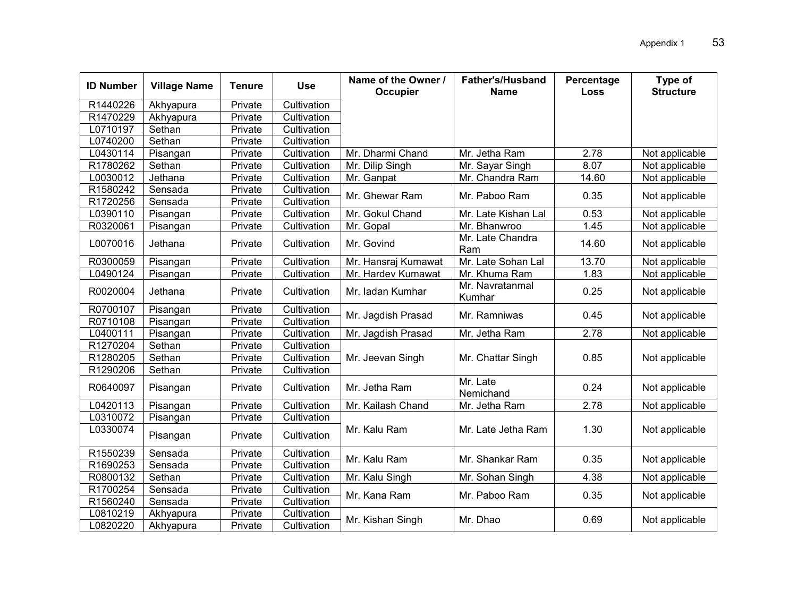| <b>ID Number</b> | <b>Village Name</b> | <b>Tenure</b> | <b>Use</b>  | Name of the Owner /<br>Occupier | <b>Father's/Husband</b><br><b>Name</b> | Percentage<br><b>Loss</b> | Type of<br><b>Structure</b> |
|------------------|---------------------|---------------|-------------|---------------------------------|----------------------------------------|---------------------------|-----------------------------|
| R1440226         | Akhyapura           | Private       | Cultivation |                                 |                                        |                           |                             |
| R1470229         | Akhyapura           | Private       | Cultivation |                                 |                                        |                           |                             |
| L0710197         | Sethan              | Private       | Cultivation |                                 |                                        |                           |                             |
| L0740200         | Sethan              | Private       | Cultivation |                                 |                                        |                           |                             |
| L0430114         | Pisangan            | Private       | Cultivation | Mr. Dharmi Chand                | Mr. Jetha Ram                          | 2.78                      | Not applicable              |
| R1780262         | Sethan              | Private       | Cultivation | Mr. Dilip Singh                 | Mr. Sayar Singh                        | 8.07                      | Not applicable              |
| L0030012         | Jethana             | Private       | Cultivation | Mr. Ganpat                      | Mr. Chandra Ram                        | 14.60                     | Not applicable              |
| R1580242         | Sensada             | Private       | Cultivation | Mr. Ghewar Ram                  | Mr. Paboo Ram                          | 0.35                      |                             |
| R1720256         | Sensada             | Private       | Cultivation |                                 |                                        |                           | Not applicable              |
| L0390110         | Pisangan            | Private       | Cultivation | Mr. Gokul Chand                 | Mr. Late Kishan Lal                    | 0.53                      | Not applicable              |
| R0320061         | Pisangan            | Private       | Cultivation | Mr. Gopal                       | Mr. Bhanwroo                           | 1.45                      | Not applicable              |
| L0070016         | Jethana             | Private       | Cultivation | Mr. Govind                      | Mr. Late Chandra<br>Ram                | 14.60                     | Not applicable              |
| R0300059         | Pisangan            | Private       | Cultivation | Mr. Hansraj Kumawat             | Mr. Late Sohan Lal                     | 13.70                     | Not applicable              |
| L0490124         | Pisangan            | Private       | Cultivation | Mr. Hardev Kumawat              | Mr. Khuma Ram                          | 1.83                      | Not applicable              |
| R0020004         | Jethana             | Private       | Cultivation | Mr. ladan Kumhar                | Mr. Navratanmal<br>Kumhar              | 0.25                      | Not applicable              |
| R0700107         | Pisangan            | Private       | Cultivation | Mr. Jagdish Prasad              | Mr. Ramniwas                           | 0.45                      | Not applicable              |
| R0710108         | Pisangan            | Private       | Cultivation |                                 |                                        |                           |                             |
| L0400111         | Pisangan            | Private       | Cultivation | Mr. Jagdish Prasad              | Mr. Jetha Ram                          | 2.78                      | Not applicable              |
| R1270204         | Sethan              | Private       | Cultivation |                                 |                                        |                           |                             |
| R1280205         | Sethan              | Private       | Cultivation | Mr. Jeevan Singh                | Mr. Chattar Singh                      | 0.85                      | Not applicable              |
| R1290206         | Sethan              | Private       | Cultivation |                                 |                                        |                           |                             |
| R0640097         | Pisangan            | Private       | Cultivation | Mr. Jetha Ram                   | Mr. Late<br>Nemichand                  | 0.24                      | Not applicable              |
| L0420113         | Pisangan            | Private       | Cultivation | Mr. Kailash Chand               | Mr. Jetha Ram                          | 2.78                      | Not applicable              |
| L0310072         | Pisangan            | Private       | Cultivation |                                 |                                        |                           |                             |
| L0330074         | Pisangan            | Private       | Cultivation | Mr. Kalu Ram                    | Mr. Late Jetha Ram                     | 1.30                      | Not applicable              |
| R1550239         | Sensada             | Private       | Cultivation | Mr. Kalu Ram                    | Mr. Shankar Ram                        | 0.35                      |                             |
| R1690253         | Sensada             | Private       | Cultivation |                                 |                                        |                           | Not applicable              |
| R0800132         | Sethan              | Private       | Cultivation | Mr. Kalu Singh                  | Mr. Sohan Singh                        | 4.38                      | Not applicable              |
| R1700254         | Sensada             | Private       | Cultivation | Mr. Kana Ram                    | Mr. Paboo Ram                          | 0.35                      | Not applicable              |
| R1560240         | Sensada             | Private       | Cultivation |                                 |                                        |                           |                             |
| L0810219         | Akhyapura           | Private       | Cultivation |                                 | Mr. Dhao                               | 0.69                      | Not applicable              |
| L0820220         | Akhyapura           | Private       | Cultivation | Mr. Kishan Singh                |                                        |                           |                             |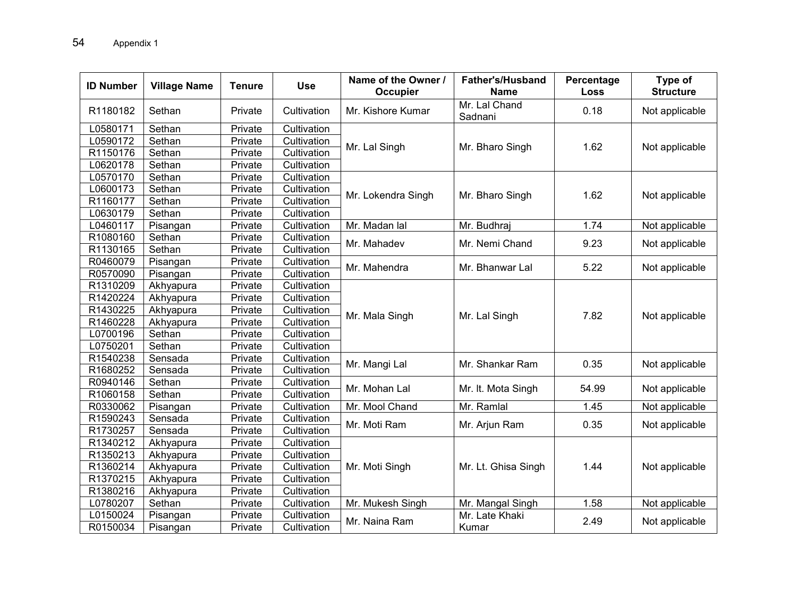| <b>ID Number</b> | <b>Village Name</b> | <b>Tenure</b> | <b>Use</b>  | Name of the Owner /<br>Occupier | <b>Father's/Husband</b><br><b>Name</b> | Percentage<br><b>Loss</b> | Type of<br><b>Structure</b> |
|------------------|---------------------|---------------|-------------|---------------------------------|----------------------------------------|---------------------------|-----------------------------|
| R1180182         | Sethan              | Private       | Cultivation | Mr. Kishore Kumar               | Mr. Lal Chand<br>Sadnani               | 0.18                      | Not applicable              |
| L0580171         | Sethan              | Private       | Cultivation |                                 |                                        |                           |                             |
| L0590172         | Sethan              | Private       | Cultivation |                                 |                                        | 1.62                      |                             |
| R1150176         | Sethan              | Private       | Cultivation | Mr. Lal Singh                   | Mr. Bharo Singh                        |                           | Not applicable              |
| L0620178         | Sethan              | Private       | Cultivation |                                 |                                        |                           |                             |
| L0570170         | Sethan              | Private       | Cultivation |                                 |                                        |                           |                             |
| L0600173         | Sethan              | Private       | Cultivation |                                 |                                        | 1.62                      |                             |
| R1160177         | Sethan              | Private       | Cultivation | Mr. Lokendra Singh              | Mr. Bharo Singh                        |                           | Not applicable              |
| L0630179         | Sethan              | Private       | Cultivation |                                 |                                        |                           |                             |
| L0460117         | Pisangan            | Private       | Cultivation | Mr. Madan lal                   | Mr. Budhraj                            | 1.74                      | Not applicable              |
| R1080160         | Sethan              | Private       | Cultivation | Mr. Mahadev                     | Mr. Nemi Chand                         | 9.23                      | Not applicable              |
| R1130165         | Sethan              | Private       | Cultivation |                                 |                                        |                           |                             |
| R0460079         | Pisangan            | Private       | Cultivation | Mr. Mahendra                    | Mr. Bhanwar Lal                        | 5.22                      | Not applicable              |
| R0570090         | Pisangan            | Private       | Cultivation |                                 |                                        |                           |                             |
| R1310209         | Akhyapura           | Private       | Cultivation |                                 |                                        |                           |                             |
| R1420224         | Akhyapura           | Private       | Cultivation |                                 |                                        |                           |                             |
| R1430225         | Akhyapura           | Private       | Cultivation | Mr. Mala Singh                  | Mr. Lal Singh                          | 7.82                      | Not applicable              |
| R1460228         | Akhyapura           | Private       | Cultivation |                                 |                                        |                           |                             |
| L0700196         | Sethan              | Private       | Cultivation |                                 |                                        |                           |                             |
| L0750201         | Sethan              | Private       | Cultivation |                                 |                                        |                           |                             |
| R1540238         | Sensada             | Private       | Cultivation | Mr. Mangi Lal                   | Mr. Shankar Ram                        | 0.35                      | Not applicable              |
| R1680252         | Sensada             | Private       | Cultivation |                                 |                                        |                           |                             |
| R0940146         | Sethan              | Private       | Cultivation | Mr. Mohan Lal                   | Mr. It. Mota Singh                     | 54.99                     | Not applicable              |
| R1060158         | Sethan              | Private       | Cultivation |                                 |                                        |                           |                             |
| R0330062         | Pisangan            | Private       | Cultivation | Mr. Mool Chand                  | Mr. Ramlal                             | 1.45                      | Not applicable              |
| R1590243         | Sensada             | Private       | Cultivation | Mr. Moti Ram                    | Mr. Arjun Ram                          | 0.35                      | Not applicable              |
| R1730257         | Sensada             | Private       | Cultivation |                                 |                                        |                           |                             |
| R1340212         | Akhyapura           | Private       | Cultivation |                                 |                                        |                           |                             |
| R1350213         | Akhyapura           | Private       | Cultivation |                                 |                                        |                           |                             |
| R1360214         | Akhyapura           | Private       | Cultivation | Mr. Moti Singh                  | Mr. Lt. Ghisa Singh                    | 1.44                      | Not applicable              |
| R1370215         | Akhyapura           | Private       | Cultivation |                                 |                                        |                           |                             |
| R1380216         | Akhyapura           | Private       | Cultivation |                                 |                                        |                           |                             |
| L0780207         | Sethan              | Private       | Cultivation | Mr. Mukesh Singh                | Mr. Mangal Singh                       | 1.58                      | Not applicable              |
| L0150024         | Pisangan            | Private       | Cultivation | Mr. Naina Ram                   | Mr. Late Khaki                         | 2.49                      | Not applicable              |
| R0150034         | Pisangan            | Private       | Cultivation |                                 | Kumar                                  |                           |                             |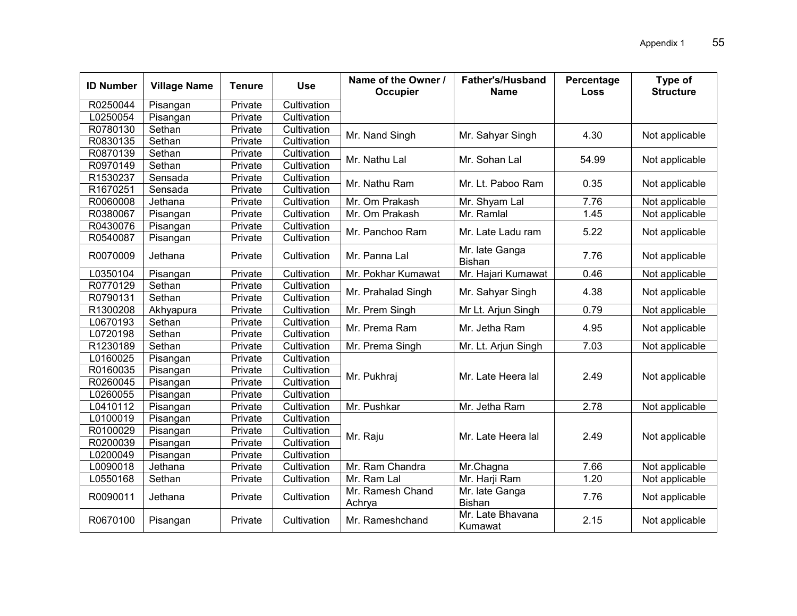| <b>ID Number</b> | <b>Village Name</b> | <b>Tenure</b> | <b>Use</b>  | Name of the Owner /<br><b>Occupier</b> | <b>Father's/Husband</b><br><b>Name</b> | Percentage<br><b>Loss</b> | Type of<br><b>Structure</b> |
|------------------|---------------------|---------------|-------------|----------------------------------------|----------------------------------------|---------------------------|-----------------------------|
| R0250044         | Pisangan            | Private       | Cultivation |                                        |                                        |                           |                             |
| L0250054         | Pisangan            | Private       | Cultivation |                                        |                                        |                           |                             |
| R0780130         | Sethan              | Private       | Cultivation | Mr. Nand Singh                         | Mr. Sahyar Singh                       | 4.30                      | Not applicable              |
| R0830135         | Sethan              | Private       | Cultivation |                                        |                                        |                           |                             |
| R0870139         | Sethan              | Private       | Cultivation | Mr. Nathu Lal                          | Mr. Sohan Lal                          | 54.99                     | Not applicable              |
| R0970149         | Sethan              | Private       | Cultivation |                                        |                                        |                           |                             |
| R1530237         | Sensada             | Private       | Cultivation | Mr. Nathu Ram                          | Mr. Lt. Paboo Ram                      | 0.35                      | Not applicable              |
| R1670251         | Sensada             | Private       | Cultivation |                                        |                                        |                           |                             |
| R0060008         | Jethana             | Private       | Cultivation | Mr. Om Prakash                         | Mr. Shyam Lal                          | 7.76                      | Not applicable              |
| R0380067         | Pisangan            | Private       | Cultivation | Mr. Om Prakash                         | Mr. Ramlal                             | 1.45                      | Not applicable              |
| R0430076         | Pisangan            | Private       | Cultivation | Mr. Panchoo Ram                        | Mr. Late Ladu ram                      | 5.22                      | Not applicable              |
| R0540087         | Pisangan            | Private       | Cultivation |                                        |                                        |                           |                             |
| R0070009         | Jethana             | Private       | Cultivation | Mr. Panna Lal                          | Mr. late Ganga<br>Bishan               | 7.76                      | Not applicable              |
| L0350104         | Pisangan            | Private       | Cultivation | Mr. Pokhar Kumawat                     | Mr. Hajari Kumawat                     | 0.46                      | Not applicable              |
| R0770129         | Sethan              | Private       | Cultivation | Mr. Prahalad Singh                     | Mr. Sahyar Singh                       | 4.38                      | Not applicable              |
| R0790131         | Sethan              | Private       | Cultivation |                                        |                                        |                           |                             |
| R1300208         | Akhyapura           | Private       | Cultivation | Mr. Prem Singh                         | Mr Lt. Arjun Singh                     | 0.79                      | Not applicable              |
| L0670193         | Sethan              | Private       | Cultivation | Mr. Prema Ram                          | Mr. Jetha Ram                          | 4.95                      | Not applicable              |
| L0720198         | Sethan              | Private       | Cultivation |                                        |                                        |                           |                             |
| R1230189         | Sethan              | Private       | Cultivation | Mr. Prema Singh                        | Mr. Lt. Arjun Singh                    | 7.03                      | Not applicable              |
| L0160025         | Pisangan            | Private       | Cultivation |                                        |                                        |                           |                             |
| R0160035         | Pisangan            | Private       | Cultivation | Mr. Pukhraj                            | Mr. Late Heera lal                     | 2.49                      | Not applicable              |
| R0260045         | Pisangan            | Private       | Cultivation |                                        |                                        |                           |                             |
| L0260055         | Pisangan            | Private       | Cultivation |                                        |                                        |                           |                             |
| L0410112         | Pisangan            | Private       | Cultivation | Mr. Pushkar                            | Mr. Jetha Ram                          | 2.78                      | Not applicable              |
| L0100019         | Pisangan            | Private       | Cultivation |                                        |                                        |                           |                             |
| R0100029         | Pisangan            | Private       | Cultivation | Mr. Raju                               | Mr. Late Heera lal                     | 2.49                      | Not applicable              |
| R0200039         | Pisangan            | Private       | Cultivation |                                        |                                        |                           |                             |
| L0200049         | Pisangan            | Private       | Cultivation |                                        |                                        |                           |                             |
| L0090018         | Jethana             | Private       | Cultivation | Mr. Ram Chandra                        | Mr.Chagna                              | 7.66                      | Not applicable              |
| L0550168         | Sethan              | Private       | Cultivation | Mr. Ram Lal                            | Mr. Harji Ram                          | 1.20                      | Not applicable              |
| R0090011         | Jethana             | Private       | Cultivation | Mr. Ramesh Chand<br>Achrya             | Mr. late Ganga<br><b>Bishan</b>        | 7.76                      | Not applicable              |
| R0670100         | Pisangan            | Private       | Cultivation | Mr. Rameshchand                        | Mr. Late Bhavana<br>Kumawat            | 2.15                      | Not applicable              |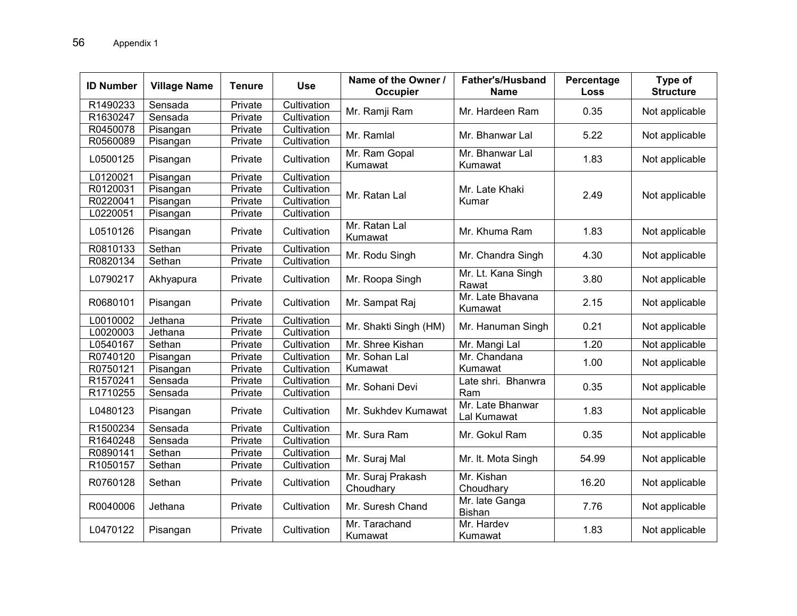| <b>ID Number</b> | <b>Village Name</b> | <b>Tenure</b> | <b>Use</b>  | Name of the Owner /<br><b>Occupier</b> | <b>Father's/Husband</b><br><b>Name</b> | Percentage<br><b>Loss</b> | Type of<br><b>Structure</b> |
|------------------|---------------------|---------------|-------------|----------------------------------------|----------------------------------------|---------------------------|-----------------------------|
| R1490233         | Sensada             | Private       | Cultivation | Mr. Ramji Ram                          | Mr. Hardeen Ram                        | 0.35                      | Not applicable              |
| R1630247         | Sensada             | Private       | Cultivation |                                        |                                        |                           |                             |
| R0450078         | Pisangan            | Private       | Cultivation | Mr. Ramlal                             | Mr. Bhanwar Lal                        | 5.22                      | Not applicable              |
| R0560089         | Pisangan            | Private       | Cultivation |                                        |                                        |                           |                             |
| L0500125         | Pisangan            | Private       | Cultivation | Mr. Ram Gopal<br>Kumawat               | Mr. Bhanwar Lal<br>Kumawat             | 1.83                      | Not applicable              |
| L0120021         | Pisangan            | Private       | Cultivation |                                        |                                        |                           |                             |
| R0120031         | Pisangan            | Private       | Cultivation | Mr. Ratan Lal                          | Mr. Late Khaki                         | 2.49                      | Not applicable              |
| R0220041         | Pisangan            | Private       | Cultivation |                                        | Kumar                                  |                           |                             |
| L0220051         | Pisangan            | Private       | Cultivation |                                        |                                        |                           |                             |
| L0510126         | Pisangan            | Private       | Cultivation | Mr. Ratan Lal<br>Kumawat               | Mr. Khuma Ram                          | 1.83                      | Not applicable              |
| R0810133         | Sethan              | Private       | Cultivation | Mr. Rodu Singh                         | Mr. Chandra Singh                      | 4.30                      | Not applicable              |
| R0820134         | Sethan              | Private       | Cultivation |                                        |                                        |                           |                             |
| L0790217         | Akhyapura           | Private       | Cultivation | Mr. Roopa Singh                        | Mr. Lt. Kana Singh<br>Rawat            | 3.80                      | Not applicable              |
| R0680101         | Pisangan            | Private       | Cultivation | Mr. Sampat Raj                         | Mr. Late Bhavana<br>Kumawat            | 2.15                      | Not applicable              |
| L0010002         | Jethana             | Private       | Cultivation | Mr. Shakti Singh (HM)                  | Mr. Hanuman Singh                      | 0.21                      | Not applicable              |
| L0020003         | Jethana             | Private       | Cultivation |                                        |                                        |                           |                             |
| L0540167         | Sethan              | Private       | Cultivation | Mr. Shree Kishan                       | Mr. Mangi Lal                          | 1.20                      | Not applicable              |
| R0740120         | Pisangan            | Private       | Cultivation | Mr. Sohan Lal                          | Mr. Chandana<br>Kumawat                | 1.00                      | Not applicable              |
| R0750121         | Pisangan            | Private       | Cultivation | Kumawat                                |                                        |                           |                             |
| R1570241         | Sensada             | Private       | Cultivation | Mr. Sohani Devi                        | Late shri. Bhanwra                     | 0.35                      | Not applicable              |
| R1710255         | Sensada             | Private       | Cultivation |                                        | Ram                                    |                           |                             |
| L0480123         | Pisangan            | Private       | Cultivation | Mr. Sukhdev Kumawat                    | Mr. Late Bhanwar<br>Lal Kumawat        | 1.83                      | Not applicable              |
| R1500234         | Sensada             | Private       | Cultivation | Mr. Sura Ram                           | Mr. Gokul Ram                          | 0.35                      | Not applicable              |
| R1640248         | Sensada             | Private       | Cultivation |                                        |                                        |                           |                             |
| R0890141         | Sethan              | Private       | Cultivation |                                        | Mr. It. Mota Singh                     | 54.99                     | Not applicable              |
| R1050157         | Sethan              | Private       | Cultivation | Mr. Suraj Mal                          |                                        |                           |                             |
| R0760128         | Sethan              | Private       | Cultivation | Mr. Suraj Prakash<br>Choudhary         | Mr. Kishan<br>Choudhary                | 16.20                     | Not applicable              |
| R0040006         | Jethana             | Private       | Cultivation | Mr. Suresh Chand                       | Mr. late Ganga<br><b>Bishan</b>        | 7.76                      | Not applicable              |
| L0470122         | Pisangan            | Private       | Cultivation | Mr. Tarachand<br>Kumawat               | Mr. Hardev<br>Kumawat                  | 1.83                      | Not applicable              |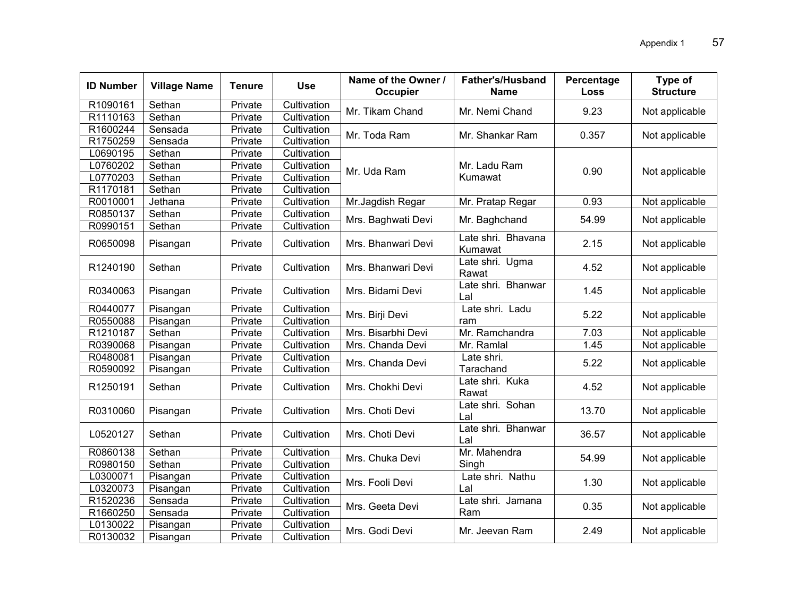| <b>ID Number</b> | <b>Village Name</b> | <b>Tenure</b> | <b>Use</b>  | Name of the Owner /<br>Occupier | <b>Father's/Husband</b><br><b>Name</b> | Percentage<br><b>Loss</b> | Type of<br><b>Structure</b> |
|------------------|---------------------|---------------|-------------|---------------------------------|----------------------------------------|---------------------------|-----------------------------|
| R1090161         | Sethan              | Private       | Cultivation | Mr. Tikam Chand                 | Mr. Nemi Chand                         | 9.23                      | Not applicable              |
| R1110163         | Sethan              | Private       | Cultivation |                                 |                                        |                           |                             |
| R1600244         | Sensada             | Private       | Cultivation | Mr. Toda Ram                    | Mr. Shankar Ram                        | 0.357                     | Not applicable              |
| R1750259         | Sensada             | Private       | Cultivation |                                 |                                        |                           |                             |
| L0690195         | Sethan              | Private       | Cultivation |                                 |                                        |                           |                             |
| L0760202         | Sethan              | Private       | Cultivation | Mr. Uda Ram                     | Mr. Ladu Ram                           | 0.90                      | Not applicable              |
| L0770203         | Sethan              | Private       | Cultivation |                                 | Kumawat                                |                           |                             |
| R1170181         | Sethan              | Private       | Cultivation |                                 |                                        |                           |                             |
| R0010001         | Jethana             | Private       | Cultivation | Mr.Jagdish Regar                | Mr. Pratap Regar                       | 0.93                      | Not applicable              |
| R0850137         | Sethan              | Private       | Cultivation |                                 |                                        | 54.99                     |                             |
| R0990151         | Sethan              | Private       | Cultivation | Mrs. Baghwati Devi              | Mr. Baghchand                          |                           | Not applicable              |
| R0650098         | Pisangan            | Private       | Cultivation | Mrs. Bhanwari Devi              | Late shri. Bhavana<br>Kumawat          | 2.15                      | Not applicable              |
| R1240190         | Sethan              | Private       | Cultivation | Mrs. Bhanwari Devi              | Late shri. Ugma<br>Rawat               | 4.52                      | Not applicable              |
| R0340063         | Pisangan            | Private       | Cultivation | Mrs. Bidami Devi                | Late shri. Bhanwar<br>Lal              | 1.45                      | Not applicable              |
| R0440077         | Pisangan            | Private       | Cultivation |                                 | Late shri. Ladu                        | 5.22                      |                             |
| R0550088         | Pisangan            | Private       | Cultivation | Mrs. Birji Devi                 | ram                                    |                           | Not applicable              |
| R1210187         | Sethan              | Private       | Cultivation | Mrs. Bisarbhi Devi              | Mr. Ramchandra                         | 7.03                      | Not applicable              |
| R0390068         | Pisangan            | Private       | Cultivation | Mrs. Chanda Devi                | Mr. Ramlal                             | 1.45                      | Not applicable              |
| R0480081         | Pisangan            | Private       | Cultivation | Mrs. Chanda Devi                | Late shri.                             | 5.22                      | Not applicable              |
| R0590092         | Pisangan            | Private       | Cultivation |                                 | Tarachand                              |                           |                             |
| R1250191         | Sethan              | Private       | Cultivation | Mrs. Chokhi Devi                | Late shri. Kuka<br>Rawat               | 4.52                      | Not applicable              |
| R0310060         | Pisangan            | Private       | Cultivation | Mrs. Choti Devi                 | Late shri. Sohan<br>Lal                | 13.70                     | Not applicable              |
| L0520127         | Sethan              | Private       | Cultivation | Mrs. Choti Devi                 | Late shri. Bhanwar<br>Lal              | 36.57                     | Not applicable              |
| R0860138         | Sethan              | Private       | Cultivation |                                 | Mr. Mahendra                           |                           |                             |
| R0980150         | Sethan              | Private       | Cultivation | Mrs. Chuka Devi                 | Singh                                  | 54.99                     | Not applicable              |
| L0300071         | Pisangan            | Private       | Cultivation |                                 | Late shri. Nathu                       |                           |                             |
| L0320073         | Pisangan            | Private       | Cultivation | Mrs. Fooli Devi                 | Lal                                    | 1.30                      | Not applicable              |
| R1520236         | Sensada             | Private       | Cultivation |                                 | Late shri. Jamana                      |                           |                             |
| R1660250         | Sensada             | Private       | Cultivation | Mrs. Geeta Devi                 | Ram                                    | 0.35                      | Not applicable              |
| L0130022         | Pisangan            | Private       | Cultivation | Mrs. Godi Devi                  |                                        | 2.49                      |                             |
| R0130032         | Pisangan            | Private       | Cultivation |                                 | Mr. Jeevan Ram                         |                           | Not applicable              |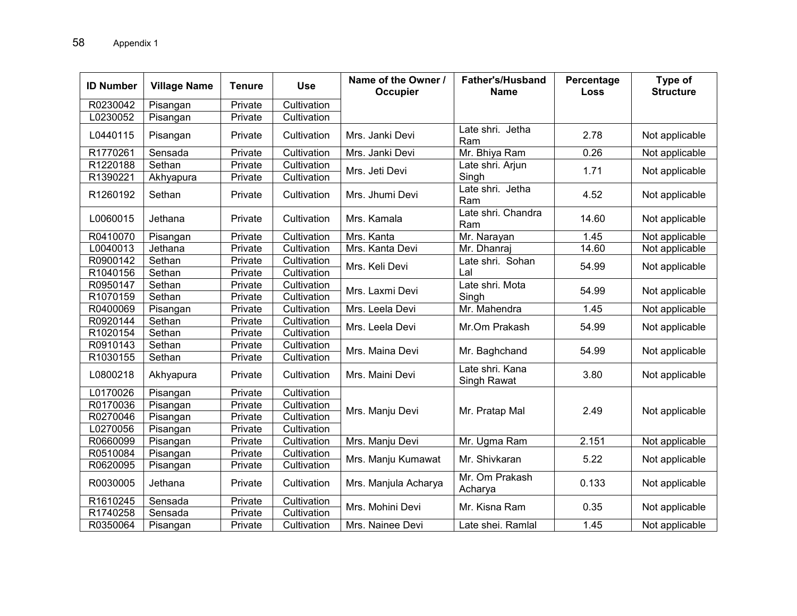| <b>ID Number</b> | <b>Village Name</b> | <b>Tenure</b> | <b>Use</b>  | Name of the Owner /<br><b>Occupier</b> | <b>Father's/Husband</b><br><b>Name</b> | Percentage<br>Loss | Type of<br><b>Structure</b> |
|------------------|---------------------|---------------|-------------|----------------------------------------|----------------------------------------|--------------------|-----------------------------|
| R0230042         | Pisangan            | Private       | Cultivation |                                        |                                        |                    |                             |
| L0230052         | Pisangan            | Private       | Cultivation |                                        |                                        |                    |                             |
| L0440115         | Pisangan            | Private       | Cultivation | Mrs. Janki Devi                        | Late shri. Jetha<br>Ram                | 2.78               | Not applicable              |
| R1770261         | Sensada             | Private       | Cultivation | Mrs. Janki Devi                        | Mr. Bhiya Ram                          | 0.26               | Not applicable              |
| R1220188         | Sethan              | Private       | Cultivation | Mrs. Jeti Devi                         | Late shri. Arjun                       | 1.71               | Not applicable              |
| R1390221         | Akhyapura           | Private       | Cultivation |                                        | Singh                                  |                    |                             |
| R1260192         | Sethan              | Private       | Cultivation | Mrs. Jhumi Devi                        | Late shri. Jetha<br>Ram                | 4.52               | Not applicable              |
| L0060015         | Jethana             | Private       | Cultivation | Mrs. Kamala                            | Late shri. Chandra<br>Ram              | 14.60              | Not applicable              |
| R0410070         | Pisangan            | Private       | Cultivation | Mrs. Kanta                             | Mr. Narayan                            | 1.45               | Not applicable              |
| L0040013         | Jethana             | Private       | Cultivation | Mrs. Kanta Devi                        | Mr. Dhanraj                            | 14.60              | Not applicable              |
| R0900142         | Sethan              | Private       | Cultivation | Mrs. Keli Devi                         | Late shri. Sohan<br>Lal                | 54.99              | Not applicable              |
| R1040156         | Sethan              | Private       | Cultivation |                                        |                                        |                    |                             |
| R0950147         | Sethan              | Private       | Cultivation | Mrs. Laxmi Devi                        | Late shri. Mota                        | 54.99              | Not applicable              |
| R1070159         | Sethan              | Private       | Cultivation |                                        | Singh                                  |                    |                             |
| R0400069         | Pisangan            | Private       | Cultivation | Mrs. Leela Devi                        | Mr. Mahendra                           | 1.45               | Not applicable              |
| R0920144         | Sethan              | Private       | Cultivation | Mrs. Leela Devi                        | Mr.Om Prakash                          | 54.99              | Not applicable              |
| R1020154         | Sethan              | Private       | Cultivation |                                        |                                        |                    |                             |
| R0910143         | Sethan              | Private       | Cultivation | Mrs. Maina Devi                        | Mr. Baghchand                          | 54.99              | Not applicable              |
| R1030155         | Sethan              | Private       | Cultivation |                                        |                                        |                    |                             |
| L0800218         | Akhyapura           | Private       | Cultivation | Mrs. Maini Devi                        | Late shri. Kana<br>Singh Rawat         | 3.80               | Not applicable              |
| L0170026         | Pisangan            | Private       | Cultivation |                                        |                                        |                    |                             |
| R0170036         | Pisangan            | Private       | Cultivation | Mrs. Manju Devi                        | Mr. Pratap Mal                         | 2.49               |                             |
| R0270046         | Pisangan            | Private       | Cultivation |                                        |                                        |                    | Not applicable              |
| L0270056         | Pisangan            | Private       | Cultivation |                                        |                                        |                    |                             |
| R0660099         | Pisangan            | Private       | Cultivation | Mrs. Manju Devi                        | Mr. Ugma Ram                           | 2.151              | Not applicable              |
| R0510084         | Pisangan            | Private       | Cultivation |                                        | Mr. Shivkaran                          | 5.22               | Not applicable              |
| R0620095         | Pisangan            | Private       | Cultivation | Mrs. Manju Kumawat                     |                                        |                    |                             |
| R0030005         | Jethana             | Private       | Cultivation | Mrs. Manjula Acharya                   | Mr. Om Prakash<br>Acharya              | 0.133              | Not applicable              |
| R1610245         | Sensada             | Private       | Cultivation | Mrs. Mohini Devi                       | Mr. Kisna Ram                          |                    |                             |
| R1740258         | Sensada             | Private       | Cultivation |                                        |                                        | 0.35               | Not applicable              |
| R0350064         | Pisangan            | Private       | Cultivation | Mrs. Nainee Devi                       | Late shei. Ramlal                      | 1.45               | Not applicable              |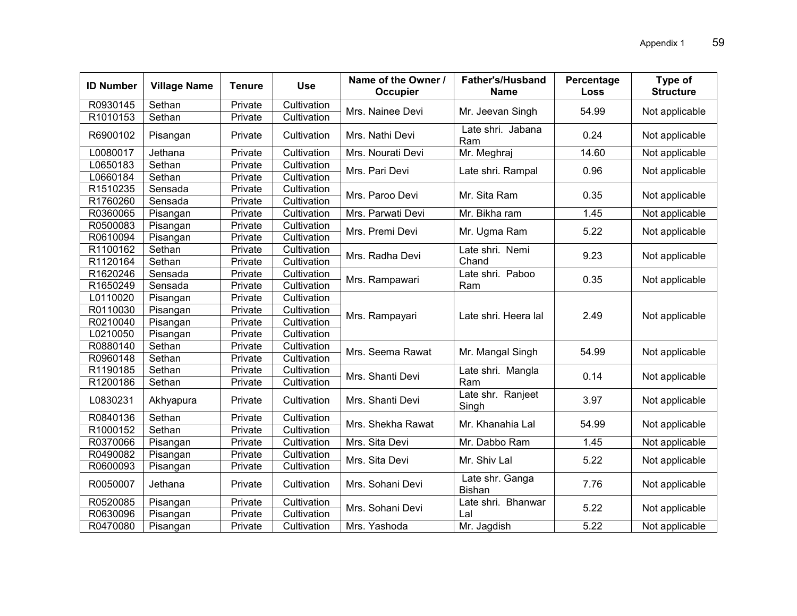| <b>ID Number</b> | <b>Village Name</b> | <b>Tenure</b> | <b>Use</b>  | Name of the Owner /<br>Occupier | <b>Father's/Husband</b><br><b>Name</b> | Percentage<br><b>Loss</b> | Type of<br><b>Structure</b> |
|------------------|---------------------|---------------|-------------|---------------------------------|----------------------------------------|---------------------------|-----------------------------|
| R0930145         | Sethan              | Private       | Cultivation | Mrs. Nainee Devi                | Mr. Jeevan Singh                       | 54.99                     | Not applicable              |
| R1010153         | Sethan              | Private       | Cultivation |                                 |                                        |                           |                             |
| R6900102         | Pisangan            | Private       | Cultivation | Mrs. Nathi Devi                 | Late shri. Jabana<br>Ram               | 0.24                      | Not applicable              |
| L0080017         | Jethana             | Private       | Cultivation | Mrs. Nourati Devi               | Mr. Meghraj                            | 14.60                     | Not applicable              |
| L0650183         | Sethan              | Private       | Cultivation | Mrs. Pari Devi                  | Late shri. Rampal                      | 0.96                      | Not applicable              |
| L0660184         | Sethan              | Private       | Cultivation |                                 |                                        |                           |                             |
| R1510235         | Sensada             | Private       | Cultivation | Mrs. Paroo Devi                 | Mr. Sita Ram                           | 0.35                      | Not applicable              |
| R1760260         | Sensada             | Private       | Cultivation |                                 |                                        |                           |                             |
| R0360065         | Pisangan            | Private       | Cultivation | Mrs. Parwati Devi               | Mr. Bikha ram                          | 1.45                      | Not applicable              |
| R0500083         | Pisangan            | Private       | Cultivation | Mrs. Premi Devi                 | Mr. Ugma Ram                           | 5.22                      | Not applicable              |
| R0610094         | Pisangan            | Private       | Cultivation |                                 |                                        |                           |                             |
| R1100162         | Sethan              | Private       | Cultivation | Mrs. Radha Devi                 | Late shri. Nemi                        | 9.23                      | Not applicable              |
| R1120164         | Sethan              | Private       | Cultivation |                                 | Chand                                  |                           |                             |
| R1620246         | Sensada             | Private       | Cultivation | Mrs. Rampawari                  | Late shri. Paboo<br>Ram                | 0.35                      | Not applicable              |
| R1650249         | Sensada             | Private       | Cultivation |                                 |                                        |                           |                             |
| L0110020         | Pisangan            | Private       | Cultivation |                                 | Late shri. Heera lal                   |                           | Not applicable              |
| R0110030         | Pisangan            | Private       | Cultivation | Mrs. Rampayari                  |                                        | 2.49                      |                             |
| R0210040         | Pisangan            | Private       | Cultivation |                                 |                                        |                           |                             |
| L0210050         | Pisangan            | Private       | Cultivation |                                 |                                        |                           |                             |
| R0880140         | Sethan              | Private       | Cultivation | Mrs. Seema Rawat                | Mr. Mangal Singh                       | 54.99                     | Not applicable              |
| R0960148         | Sethan              | Private       | Cultivation |                                 |                                        |                           |                             |
| R1190185         | Sethan              | Private       | Cultivation | Mrs. Shanti Devi                | Late shri. Mangla                      | 0.14                      | Not applicable              |
| R1200186         | Sethan              | Private       | Cultivation |                                 | Ram                                    |                           |                             |
| L0830231         | Akhyapura           | Private       | Cultivation | Mrs. Shanti Devi                | Late shr. Ranjeet<br>Singh             | 3.97                      | Not applicable              |
| R0840136         | Sethan              | Private       | Cultivation | Mrs. Shekha Rawat               | Mr. Khanahia Lal                       | 54.99                     | Not applicable              |
| R1000152         | Sethan              | Private       | Cultivation |                                 |                                        |                           |                             |
| R0370066         | Pisangan            | Private       | Cultivation | Mrs. Sita Devi                  | Mr. Dabbo Ram                          | 1.45                      | Not applicable              |
| R0490082         | Pisangan            | Private       | Cultivation | Mrs. Sita Devi                  | Mr. Shiv Lal                           | 5.22                      | Not applicable              |
| R0600093         | Pisangan            | Private       | Cultivation |                                 |                                        |                           |                             |
| R0050007         | Jethana             | Private       | Cultivation | Mrs. Sohani Devi                | Late shr. Ganga<br>Bishan              | 7.76                      | Not applicable              |
| R0520085         | Pisangan            | Private       | Cultivation | Mrs. Sohani Devi                | Late shri. Bhanwar                     |                           |                             |
| R0630096         | Pisangan            | Private       | Cultivation |                                 | Lal                                    | 5.22                      | Not applicable              |
| R0470080         | Pisangan            | Private       | Cultivation | Mrs. Yashoda                    | Mr. Jagdish                            | 5.22                      | Not applicable              |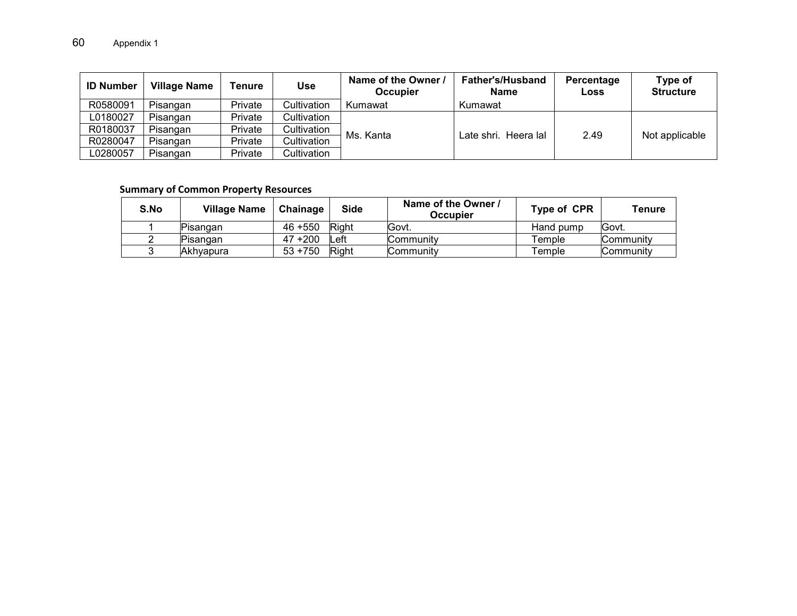| <b>ID Number</b> | Village Name | Tenure  | <b>Use</b>  | Name of the Owner /<br>Occupier | <b>Father's/Husband</b><br>Name | Percentage<br>Loss | Type of<br><b>Structure</b> |
|------------------|--------------|---------|-------------|---------------------------------|---------------------------------|--------------------|-----------------------------|
| R0580091         | Pisangan     | Private | Cultivation | Kumawat                         | Kumawat                         |                    |                             |
| L0180027         | Pisangan     | Private | Cultivation |                                 |                                 |                    |                             |
| R0180037         | Pisangan     | Private | Cultivation | Ms. Kanta                       | Late shri. Heera lal            | 2.49               | Not applicable              |
| R0280047         | Pisangan     | Private | Cultivation |                                 |                                 |                    |                             |
| L0280057         | Pisangan     | Private | Cultivation |                                 |                                 |                    |                             |

#### **Summary of Common Property Resources**

| S.No | <b>Village Name</b> | Chainage   | <b>Side</b> | Name of the Owner /<br>Occupier | Type of CPR | Tenure    |
|------|---------------------|------------|-------------|---------------------------------|-------------|-----------|
|      | Pisangan            | $46 + 550$ | Right       | Govt.                           | Hand pump   | Govt.     |
|      | lPisanɑan           | $47 + 200$ | .eft        | Communitv                       | Temple      | Communitv |
|      | Akhvapura           | $53 + 750$ | Right       | Community                       | Гemple      | Communitv |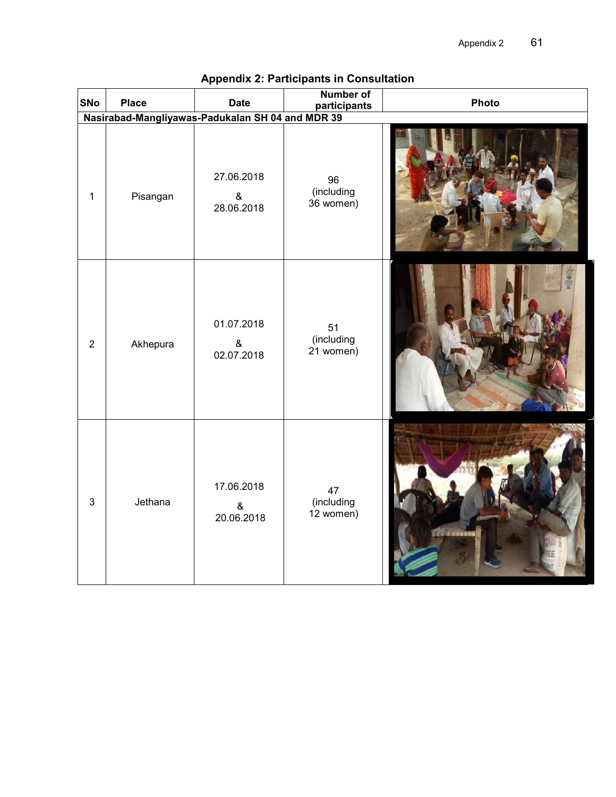| SNo                                              | <b>Place</b> | <b>Date</b>                      | <b>Number of</b><br>participants | Photo         |  |  |  |  |  |  |
|--------------------------------------------------|--------------|----------------------------------|----------------------------------|---------------|--|--|--|--|--|--|
| Nasirabad-Mangliyawas-Padukalan SH 04 and MDR 39 |              |                                  |                                  |               |  |  |  |  |  |  |
| $\mathbf{1}$                                     | Pisangan     | 27.06.2018<br>$\&$<br>28.06.2018 | 96<br>(including<br>36 women)    |               |  |  |  |  |  |  |
| $\overline{2}$                                   | Akhepura     | 01.07.2018<br>$\&$<br>02.07.2018 | 51<br>(including<br>$21$ women)  |               |  |  |  |  |  |  |
| $\mathbf{3}$                                     | Jethana      | 17.06.2018<br>&<br>20.06.2018    | 47<br>(including<br>12 women)    | Tre it design |  |  |  |  |  |  |

# **Appendix 2: Participants in Consultation**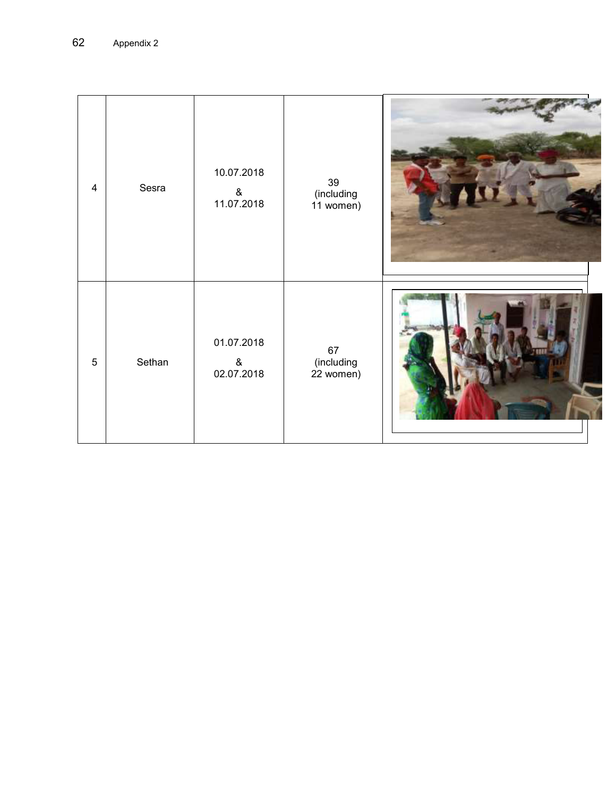| $\overline{4}$ | Sesra  | 10.07.2018<br>&<br>11.07.2018 | 39<br>(including<br>11 women) |  |
|----------------|--------|-------------------------------|-------------------------------|--|
| $\overline{5}$ | Sethan | 01.07.2018<br>&<br>02.07.2018 | 67<br>(including<br>22 women) |  |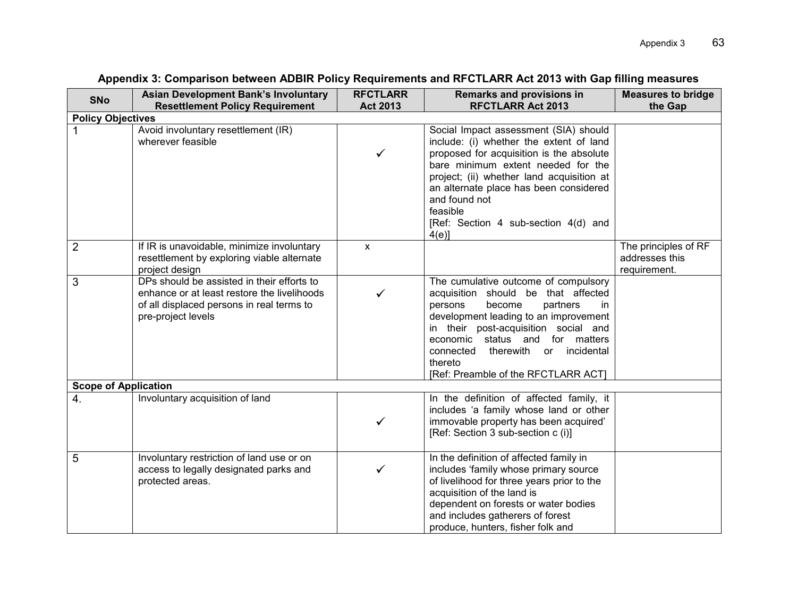| <b>SNo</b>                  | <b>Asian Development Bank's Involuntary</b><br><b>Resettlement Policy Requirement</b>                                                                        | <b>RFCTLARR</b><br><b>Act 2013</b> | <b>Remarks and provisions in</b><br><b>RFCTLARR Act 2013</b>                                                                                                                                                                                                                                                                                      | <b>Measures to bridge</b><br>the Gap                   |
|-----------------------------|--------------------------------------------------------------------------------------------------------------------------------------------------------------|------------------------------------|---------------------------------------------------------------------------------------------------------------------------------------------------------------------------------------------------------------------------------------------------------------------------------------------------------------------------------------------------|--------------------------------------------------------|
| <b>Policy Objectives</b>    |                                                                                                                                                              |                                    |                                                                                                                                                                                                                                                                                                                                                   |                                                        |
|                             | Avoid involuntary resettlement (IR)<br>wherever feasible                                                                                                     | ✓                                  | Social Impact assessment (SIA) should<br>include: (i) whether the extent of land<br>proposed for acquisition is the absolute<br>bare minimum extent needed for the<br>project; (ii) whether land acquisition at<br>an alternate place has been considered<br>and found not<br>feasible<br>[Ref: Section 4 sub-section 4(d) and<br>$4(e)$ ]        |                                                        |
| $\overline{2}$              | If IR is unavoidable, minimize involuntary<br>resettlement by exploring viable alternate<br>project design                                                   | $\mathsf{x}$                       |                                                                                                                                                                                                                                                                                                                                                   | The principles of RF<br>addresses this<br>requirement. |
| 3                           | DPs should be assisted in their efforts to<br>enhance or at least restore the livelihoods<br>of all displaced persons in real terms to<br>pre-project levels |                                    | The cumulative outcome of compulsory<br>acquisition should be that affected<br>persons<br>become<br>partners<br>in.<br>development leading to an improvement<br>in their post-acquisition social and<br>economic status and<br>for matters<br>therewith<br>incidental<br>connected<br><b>or</b><br>thereto<br>[Ref: Preamble of the RFCTLARR ACT] |                                                        |
| <b>Scope of Application</b> |                                                                                                                                                              |                                    |                                                                                                                                                                                                                                                                                                                                                   |                                                        |
| 4.                          | Involuntary acquisition of land                                                                                                                              | ✓                                  | In the definition of affected family, it<br>includes 'a family whose land or other<br>immovable property has been acquired'<br>[Ref: Section 3 sub-section c (i)]                                                                                                                                                                                 |                                                        |
| 5                           | Involuntary restriction of land use or on<br>access to legally designated parks and<br>protected areas.                                                      |                                    | In the definition of affected family in<br>includes 'family whose primary source<br>of livelihood for three years prior to the<br>acquisition of the land is<br>dependent on forests or water bodies<br>and includes gatherers of forest<br>produce, hunters, fisher folk and                                                                     |                                                        |

# **Appendix 3: Comparison between ADBIR Policy Requirements and RFCTLARR Act 2013 with Gap filling measures**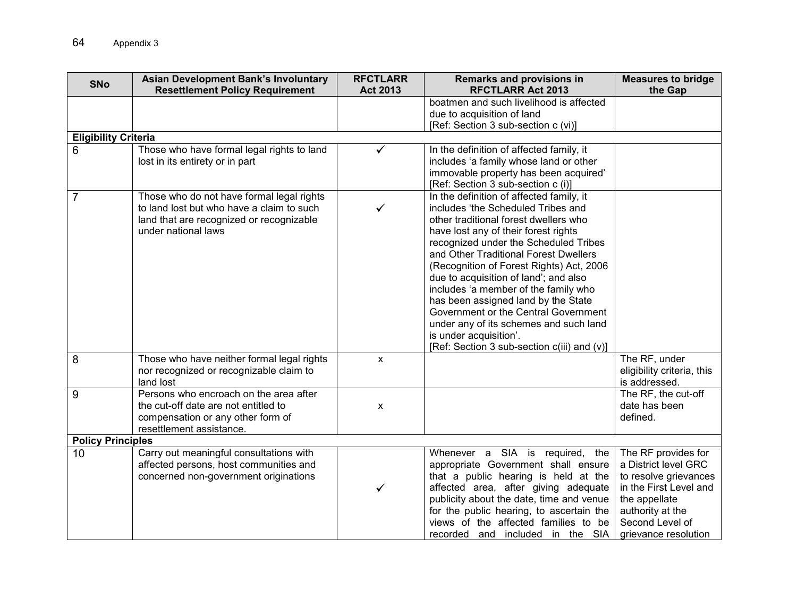| <b>SNo</b>                  | <b>Asian Development Bank's Involuntary</b>                                                                                                               | <b>RFCTLARR</b>    | Remarks and provisions in                                                                                                                                                                                                                                                                                                                                                                                                                                                                                                                                                        | <b>Measures to bridge</b>                                                                                                                                                      |
|-----------------------------|-----------------------------------------------------------------------------------------------------------------------------------------------------------|--------------------|----------------------------------------------------------------------------------------------------------------------------------------------------------------------------------------------------------------------------------------------------------------------------------------------------------------------------------------------------------------------------------------------------------------------------------------------------------------------------------------------------------------------------------------------------------------------------------|--------------------------------------------------------------------------------------------------------------------------------------------------------------------------------|
|                             | <b>Resettlement Policy Requirement</b>                                                                                                                    | <b>Act 2013</b>    | <b>RFCTLARR Act 2013</b>                                                                                                                                                                                                                                                                                                                                                                                                                                                                                                                                                         | the Gap                                                                                                                                                                        |
|                             |                                                                                                                                                           |                    | boatmen and such livelihood is affected<br>due to acquisition of land                                                                                                                                                                                                                                                                                                                                                                                                                                                                                                            |                                                                                                                                                                                |
|                             |                                                                                                                                                           |                    | [Ref: Section 3 sub-section c (vi)]                                                                                                                                                                                                                                                                                                                                                                                                                                                                                                                                              |                                                                                                                                                                                |
| <b>Eligibility Criteria</b> |                                                                                                                                                           |                    |                                                                                                                                                                                                                                                                                                                                                                                                                                                                                                                                                                                  |                                                                                                                                                                                |
| 6                           | Those who have formal legal rights to land<br>lost in its entirety or in part                                                                             | ✓                  | In the definition of affected family, it<br>includes 'a family whose land or other<br>immovable property has been acquired'<br>[Ref: Section 3 sub-section c (i)]                                                                                                                                                                                                                                                                                                                                                                                                                |                                                                                                                                                                                |
| $\overline{7}$              | Those who do not have formal legal rights<br>to land lost but who have a claim to such<br>land that are recognized or recognizable<br>under national laws | ✓                  | In the definition of affected family, it<br>includes 'the Scheduled Tribes and<br>other traditional forest dwellers who<br>have lost any of their forest rights<br>recognized under the Scheduled Tribes<br>and Other Traditional Forest Dwellers<br>(Recognition of Forest Rights) Act, 2006<br>due to acquisition of land'; and also<br>includes 'a member of the family who<br>has been assigned land by the State<br>Government or the Central Government<br>under any of its schemes and such land<br>is under acquisition'.<br>[Ref: Section 3 sub-section c(iii) and (v)] |                                                                                                                                                                                |
| 8                           | Those who have neither formal legal rights<br>nor recognized or recognizable claim to<br>land lost                                                        | $\pmb{\mathsf{X}}$ |                                                                                                                                                                                                                                                                                                                                                                                                                                                                                                                                                                                  | The RF, under<br>eligibility criteria, this<br>is addressed.                                                                                                                   |
| 9                           | Persons who encroach on the area after<br>the cut-off date are not entitled to<br>compensation or any other form of<br>resettlement assistance.           | $\pmb{\chi}$       |                                                                                                                                                                                                                                                                                                                                                                                                                                                                                                                                                                                  | The RF, the cut-off<br>date has been<br>defined.                                                                                                                               |
| <b>Policy Principles</b>    |                                                                                                                                                           |                    |                                                                                                                                                                                                                                                                                                                                                                                                                                                                                                                                                                                  |                                                                                                                                                                                |
| 10                          | Carry out meaningful consultations with<br>affected persons, host communities and<br>concerned non-government originations                                |                    | Whenever a SIA is required, the<br>appropriate Government shall ensure<br>that a public hearing is held at the<br>affected area, after giving adequate<br>publicity about the date, time and venue<br>for the public hearing, to ascertain the<br>views of the affected families to be<br>recorded and included in the SIA                                                                                                                                                                                                                                                       | The RF provides for<br>a District level GRC<br>to resolve grievances<br>in the First Level and<br>the appellate<br>authority at the<br>Second Level of<br>grievance resolution |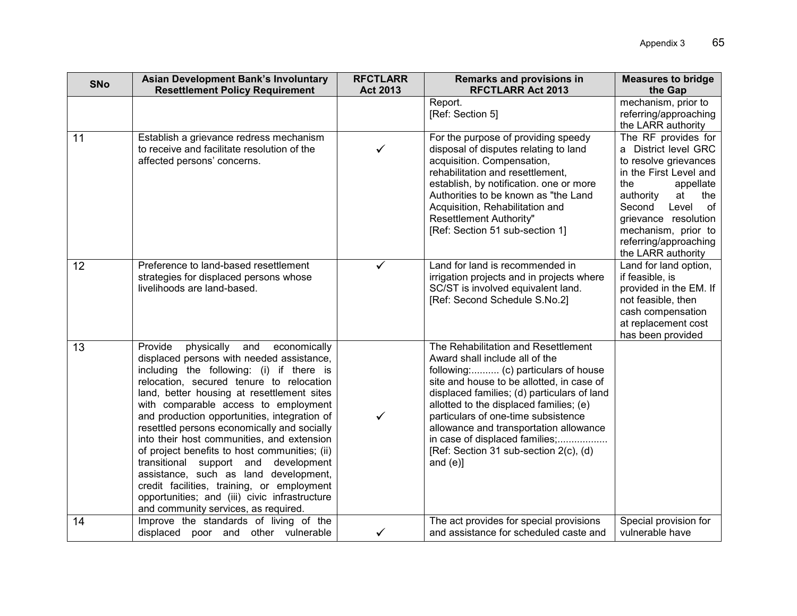| <b>SNo</b> | <b>Asian Development Bank's Involuntary</b>                                                                                                                                                                                                                                                                                                                                                                                                                                                                                                                                                                                                                                                      | <b>RFCTLARR</b> | <b>Remarks and provisions in</b>                                                                                                                                                                                                                                                                                                                                                                                                | <b>Measures to bridge</b>                                                                                                                                                                                                                                           |
|------------|--------------------------------------------------------------------------------------------------------------------------------------------------------------------------------------------------------------------------------------------------------------------------------------------------------------------------------------------------------------------------------------------------------------------------------------------------------------------------------------------------------------------------------------------------------------------------------------------------------------------------------------------------------------------------------------------------|-----------------|---------------------------------------------------------------------------------------------------------------------------------------------------------------------------------------------------------------------------------------------------------------------------------------------------------------------------------------------------------------------------------------------------------------------------------|---------------------------------------------------------------------------------------------------------------------------------------------------------------------------------------------------------------------------------------------------------------------|
|            | <b>Resettlement Policy Requirement</b>                                                                                                                                                                                                                                                                                                                                                                                                                                                                                                                                                                                                                                                           | <b>Act 2013</b> | <b>RFCTLARR Act 2013</b>                                                                                                                                                                                                                                                                                                                                                                                                        | the Gap                                                                                                                                                                                                                                                             |
|            |                                                                                                                                                                                                                                                                                                                                                                                                                                                                                                                                                                                                                                                                                                  |                 | Report.<br>[Ref: Section 5]                                                                                                                                                                                                                                                                                                                                                                                                     | mechanism, prior to<br>referring/approaching<br>the LARR authority                                                                                                                                                                                                  |
| 11         | Establish a grievance redress mechanism<br>to receive and facilitate resolution of the<br>affected persons' concerns.                                                                                                                                                                                                                                                                                                                                                                                                                                                                                                                                                                            |                 | For the purpose of providing speedy<br>disposal of disputes relating to land<br>acquisition. Compensation,<br>rehabilitation and resettlement,<br>establish, by notification. one or more<br>Authorities to be known as "the Land<br>Acquisition, Rehabilitation and<br>Resettlement Authority"<br>[Ref: Section 51 sub-section 1]                                                                                              | The RF provides for<br>a District level GRC<br>to resolve grievances<br>in the First Level and<br>the<br>appellate<br>authority<br>at<br>the<br>Second<br>Level<br>of<br>grievance resolution<br>mechanism, prior to<br>referring/approaching<br>the LARR authority |
| 12         | Preference to land-based resettlement<br>strategies for displaced persons whose<br>livelihoods are land-based.                                                                                                                                                                                                                                                                                                                                                                                                                                                                                                                                                                                   | $\checkmark$    | Land for land is recommended in<br>irrigation projects and in projects where<br>SC/ST is involved equivalent land.<br>[Ref: Second Schedule S.No.2]                                                                                                                                                                                                                                                                             | Land for land option,<br>if feasible, is<br>provided in the EM. If<br>not feasible, then<br>cash compensation<br>at replacement cost<br>has been provided                                                                                                           |
| 13         | Provide<br>physically<br>and<br>economically<br>displaced persons with needed assistance,<br>including the following: (i) if there is<br>relocation, secured tenure to relocation<br>land, better housing at resettlement sites<br>with comparable access to employment<br>and production opportunities, integration of<br>resettled persons economically and socially<br>into their host communities, and extension<br>of project benefits to host communities; (ii)<br>transitional support and<br>development<br>assistance, such as land development,<br>credit facilities, training, or employment<br>opportunities; and (iii) civic infrastructure<br>and community services, as required. | $\checkmark$    | The Rehabilitation and Resettlement<br>Award shall include all of the<br>following: (c) particulars of house<br>site and house to be allotted, in case of<br>displaced families; (d) particulars of land<br>allotted to the displaced families; (e)<br>particulars of one-time subsistence<br>allowance and transportation allowance<br>in case of displaced families;<br>[Ref: Section 31 sub-section 2(c), (d)<br>and $(e)$ ] |                                                                                                                                                                                                                                                                     |
| 14         | Improve the standards of living of the<br>displaced poor and other vulnerable                                                                                                                                                                                                                                                                                                                                                                                                                                                                                                                                                                                                                    | ✓               | The act provides for special provisions<br>and assistance for scheduled caste and                                                                                                                                                                                                                                                                                                                                               | Special provision for<br>vulnerable have                                                                                                                                                                                                                            |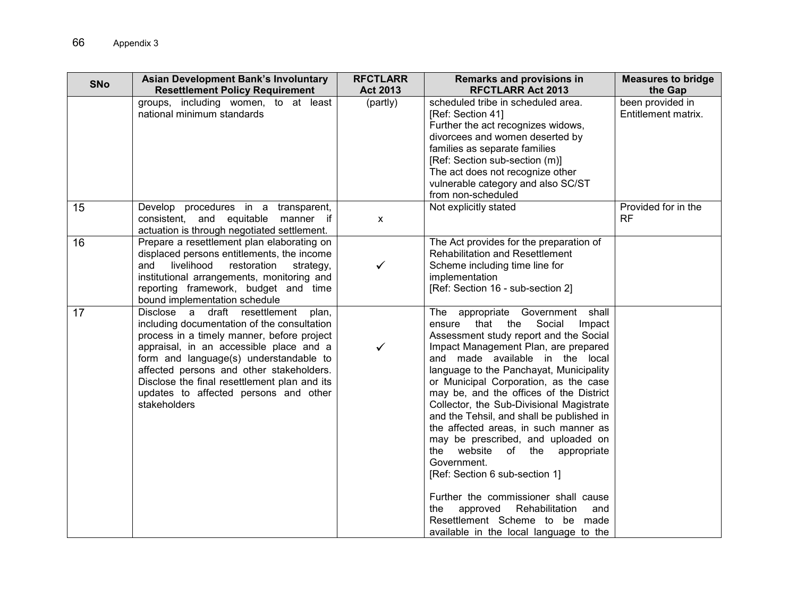| <b>SNo</b> | <b>Asian Development Bank's Involuntary</b><br><b>Resettlement Policy Requirement</b>                                                                                                                                                                                                                                                                                         | <b>RFCTLARR</b><br><b>Act 2013</b> | Remarks and provisions in<br><b>RFCTLARR Act 2013</b>                                                                                                                                                                                                                                                                                                                                                                                                                                                                                                                                                                                                                                                                                                     | <b>Measures to bridge</b><br>the Gap    |
|------------|-------------------------------------------------------------------------------------------------------------------------------------------------------------------------------------------------------------------------------------------------------------------------------------------------------------------------------------------------------------------------------|------------------------------------|-----------------------------------------------------------------------------------------------------------------------------------------------------------------------------------------------------------------------------------------------------------------------------------------------------------------------------------------------------------------------------------------------------------------------------------------------------------------------------------------------------------------------------------------------------------------------------------------------------------------------------------------------------------------------------------------------------------------------------------------------------------|-----------------------------------------|
|            | groups, including women, to at least<br>national minimum standards                                                                                                                                                                                                                                                                                                            | (partly)                           | scheduled tribe in scheduled area.<br>[Ref: Section 41]<br>Further the act recognizes widows,<br>divorcees and women deserted by<br>families as separate families<br>[Ref: Section sub-section (m)]<br>The act does not recognize other<br>vulnerable category and also SC/ST<br>from non-scheduled                                                                                                                                                                                                                                                                                                                                                                                                                                                       | been provided in<br>Entitlement matrix. |
| 15         | Develop procedures in a transparent,<br>consistent, and equitable manner if<br>actuation is through negotiated settlement.                                                                                                                                                                                                                                                    | $\mathsf{x}$                       | Not explicitly stated                                                                                                                                                                                                                                                                                                                                                                                                                                                                                                                                                                                                                                                                                                                                     | Provided for in the<br><b>RF</b>        |
| 16         | Prepare a resettlement plan elaborating on<br>displaced persons entitlements, the income<br>livelihood<br>restoration<br>and<br>strategy,<br>institutional arrangements, monitoring and<br>reporting framework, budget and time<br>bound implementation schedule                                                                                                              | ✓                                  | The Act provides for the preparation of<br><b>Rehabilitation and Resettlement</b><br>Scheme including time line for<br>implementation<br>[Ref: Section 16 - sub-section 2]                                                                                                                                                                                                                                                                                                                                                                                                                                                                                                                                                                                |                                         |
| 17         | Disclose a draft resettlement<br>plan,<br>including documentation of the consultation<br>process in a timely manner, before project<br>appraisal, in an accessible place and a<br>form and language(s) understandable to<br>affected persons and other stakeholders.<br>Disclose the final resettlement plan and its<br>updates to affected persons and other<br>stakeholders | ✓                                  | The appropriate Government shall<br>Social<br>that the<br>Impact<br>ensure<br>Assessment study report and the Social<br>Impact Management Plan, are prepared<br>and made available in the local<br>language to the Panchayat, Municipality<br>or Municipal Corporation, as the case<br>may be, and the offices of the District<br>Collector, the Sub-Divisional Magistrate<br>and the Tehsil, and shall be published in<br>the affected areas, in such manner as<br>may be prescribed, and uploaded on<br>the website of the appropriate<br>Government.<br>[Ref: Section 6 sub-section 1]<br>Further the commissioner shall cause<br>approved<br>Rehabilitation<br>the<br>and<br>Resettlement Scheme to be made<br>available in the local language to the |                                         |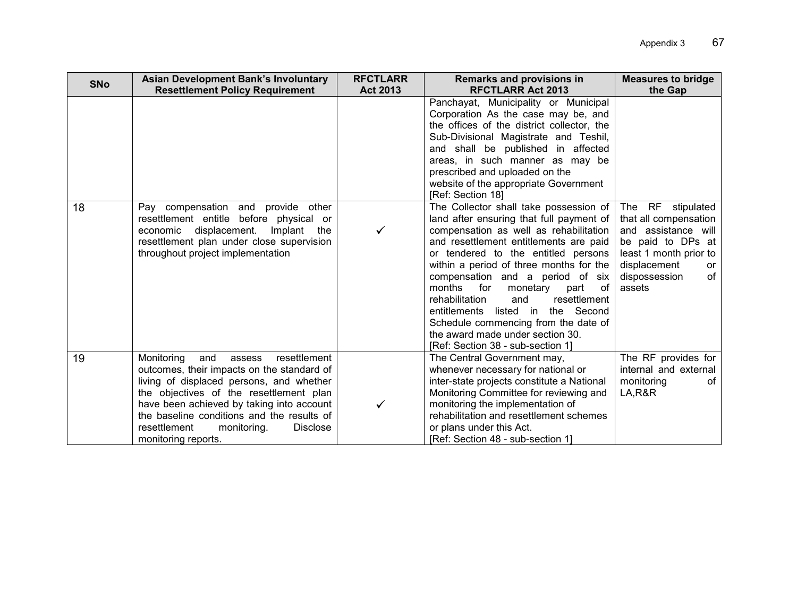| <b>SNo</b> | <b>Asian Development Bank's Involuntary</b>                                                                                                                                                                                                                                                                                                          | <b>RFCTLARR</b> | <b>Remarks and provisions in</b>                                                                                                                                                                                                                                                                                                                                                                                                                                                                                                                                                                                                                                                                                                                                                                                                                                                                               | <b>Measures to bridge</b>                                                                                                                                                          |
|------------|------------------------------------------------------------------------------------------------------------------------------------------------------------------------------------------------------------------------------------------------------------------------------------------------------------------------------------------------------|-----------------|----------------------------------------------------------------------------------------------------------------------------------------------------------------------------------------------------------------------------------------------------------------------------------------------------------------------------------------------------------------------------------------------------------------------------------------------------------------------------------------------------------------------------------------------------------------------------------------------------------------------------------------------------------------------------------------------------------------------------------------------------------------------------------------------------------------------------------------------------------------------------------------------------------------|------------------------------------------------------------------------------------------------------------------------------------------------------------------------------------|
| 18         | <b>Resettlement Policy Requirement</b><br>Pay compensation and provide other<br>resettlement entitle before physical or<br>displacement.<br>economic<br>Implant<br>the<br>resettlement plan under close supervision<br>throughout project implementation                                                                                             | <b>Act 2013</b> | <b>RFCTLARR Act 2013</b><br>Panchayat, Municipality or Municipal<br>Corporation As the case may be, and<br>the offices of the district collector, the<br>Sub-Divisional Magistrate and Teshil,<br>and shall be published in affected<br>areas, in such manner as may be<br>prescribed and uploaded on the<br>website of the appropriate Government<br>[Ref: Section 18]<br>The Collector shall take possession of<br>land after ensuring that full payment of<br>compensation as well as rehabilitation<br>and resettlement entitlements are paid<br>or tendered to the entitled persons<br>within a period of three months for the<br>compensation and a period of six<br>for<br>months<br>monetary part<br>0f<br>resettlement<br>rehabilitation<br>and<br>entitlements listed in the Second<br>Schedule commencing from the date of<br>the award made under section 30.<br>[Ref: Section 38 - sub-section 1] | the Gap<br>The RF stipulated<br>that all compensation<br>and assistance will<br>be paid to DPs at<br>least 1 month prior to<br>displacement<br>or<br>of<br>dispossession<br>assets |
| 19         | resettlement<br>Monitoring<br>and<br>assess<br>outcomes, their impacts on the standard of<br>living of displaced persons, and whether<br>the objectives of the resettlement plan<br>have been achieved by taking into account<br>the baseline conditions and the results of<br>resettlement<br>monitoring.<br><b>Disclose</b><br>monitoring reports. |                 | The Central Government may,<br>whenever necessary for national or<br>inter-state projects constitute a National<br>Monitoring Committee for reviewing and<br>monitoring the implementation of<br>rehabilitation and resettlement schemes<br>or plans under this Act.<br>[Ref: Section 48 - sub-section 1]                                                                                                                                                                                                                                                                                                                                                                                                                                                                                                                                                                                                      | The RF provides for<br>internal and external<br>monitoring<br>0f<br>LA, R&R                                                                                                        |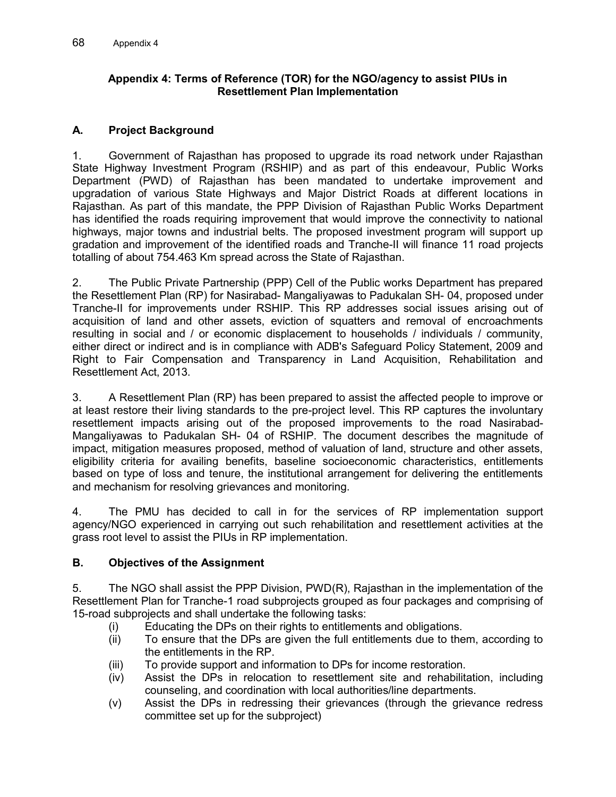## **Appendix 4: Terms of Reference (TOR) for the NGO/agency to assist PIUs in Resettlement Plan Implementation**

## **A. Project Background**

1. Government of Rajasthan has proposed to upgrade its road network under Rajasthan State Highway Investment Program (RSHIP) and as part of this endeavour, Public Works Department (PWD) of Rajasthan has been mandated to undertake improvement and upgradation of various State Highways and Major District Roads at different locations in Rajasthan. As part of this mandate, the PPP Division of Rajasthan Public Works Department has identified the roads requiring improvement that would improve the connectivity to national highways, major towns and industrial belts. The proposed investment program will support up gradation and improvement of the identified roads and Tranche-II will finance 11 road projects totalling of about 754.463 Km spread across the State of Rajasthan.

2. The Public Private Partnership (PPP) Cell of the Public works Department has prepared the Resettlement Plan (RP) for Nasirabad- Mangaliyawas to Padukalan SH- 04, proposed under Tranche-II for improvements under RSHIP. This RP addresses social issues arising out of acquisition of land and other assets, eviction of squatters and removal of encroachments resulting in social and / or economic displacement to households / individuals / community, either direct or indirect and is in compliance with ADB's Safeguard Policy Statement, 2009 and Right to Fair Compensation and Transparency in Land Acquisition, Rehabilitation and Resettlement Act, 2013.

3. A Resettlement Plan (RP) has been prepared to assist the affected people to improve or at least restore their living standards to the pre-project level. This RP captures the involuntary resettlement impacts arising out of the proposed improvements to the road Nasirabad-Mangaliyawas to Padukalan SH- 04 of RSHIP. The document describes the magnitude of impact, mitigation measures proposed, method of valuation of land, structure and other assets, eligibility criteria for availing benefits, baseline socioeconomic characteristics, entitlements based on type of loss and tenure, the institutional arrangement for delivering the entitlements and mechanism for resolving grievances and monitoring.

4. The PMU has decided to call in for the services of RP implementation support agency/NGO experienced in carrying out such rehabilitation and resettlement activities at the grass root level to assist the PIUs in RP implementation.

## **B. Objectives of the Assignment**

5. The NGO shall assist the PPP Division, PWD(R), Rajasthan in the implementation of the Resettlement Plan for Tranche-1 road subprojects grouped as four packages and comprising of 15-road subprojects and shall undertake the following tasks:

- (i) Educating the DPs on their rights to entitlements and obligations.
- (ii) To ensure that the DPs are given the full entitlements due to them, according to the entitlements in the RP.
- (iii) To provide support and information to DPs for income restoration.
- (iv) Assist the DPs in relocation to resettlement site and rehabilitation, including counseling, and coordination with local authorities/line departments.
- (v) Assist the DPs in redressing their grievances (through the grievance redress committee set up for the subproject)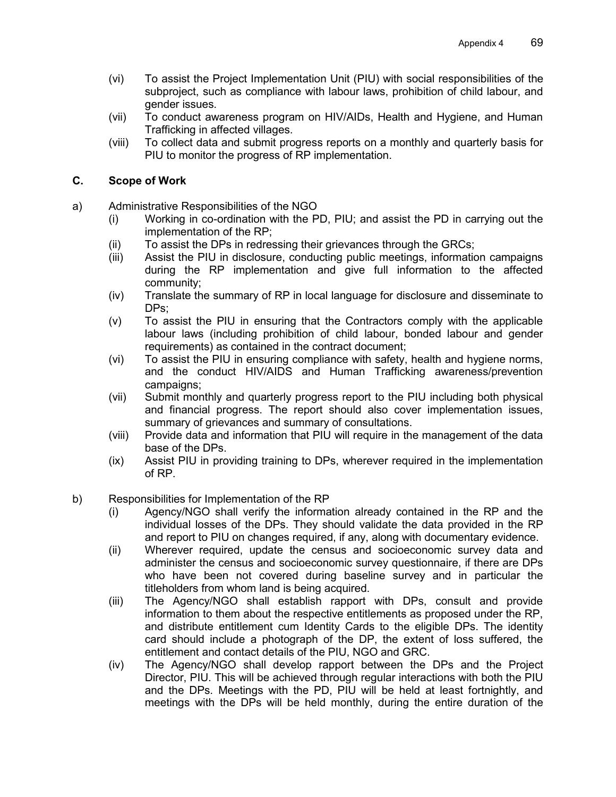- (vi) To assist the Project Implementation Unit (PIU) with social responsibilities of the subproject, such as compliance with labour laws, prohibition of child labour, and gender issues.
- (vii) To conduct awareness program on HIV/AIDs, Health and Hygiene, and Human Trafficking in affected villages.
- (viii) To collect data and submit progress reports on a monthly and quarterly basis for PIU to monitor the progress of RP implementation.

#### **C. Scope of Work**

- a) Administrative Responsibilities of the NGO
	- (i) Working in co-ordination with the PD, PIU; and assist the PD in carrying out the implementation of the RP;
	- (ii) To assist the DPs in redressing their grievances through the GRCs;
	- (iii) Assist the PIU in disclosure, conducting public meetings, information campaigns during the RP implementation and give full information to the affected community;
	- (iv) Translate the summary of RP in local language for disclosure and disseminate to DPs;
	- (v) To assist the PIU in ensuring that the Contractors comply with the applicable labour laws (including prohibition of child labour, bonded labour and gender requirements) as contained in the contract document;
	- (vi) To assist the PIU in ensuring compliance with safety, health and hygiene norms, and the conduct HIV/AIDS and Human Trafficking awareness/prevention campaigns;
	- (vii) Submit monthly and quarterly progress report to the PIU including both physical and financial progress. The report should also cover implementation issues, summary of grievances and summary of consultations.
	- (viii) Provide data and information that PIU will require in the management of the data base of the DPs.
	- (ix) Assist PIU in providing training to DPs, wherever required in the implementation of RP.
- b) Responsibilities for Implementation of the RP
	- (i) Agency/NGO shall verify the information already contained in the RP and the individual losses of the DPs. They should validate the data provided in the RP and report to PIU on changes required, if any, along with documentary evidence.
	- (ii) Wherever required, update the census and socioeconomic survey data and administer the census and socioeconomic survey questionnaire, if there are DPs who have been not covered during baseline survey and in particular the titleholders from whom land is being acquired.
	- (iii) The Agency/NGO shall establish rapport with DPs, consult and provide information to them about the respective entitlements as proposed under the RP, and distribute entitlement cum Identity Cards to the eligible DPs. The identity card should include a photograph of the DP, the extent of loss suffered, the entitlement and contact details of the PIU, NGO and GRC.
	- (iv) The Agency/NGO shall develop rapport between the DPs and the Project Director, PIU. This will be achieved through regular interactions with both the PIU and the DPs. Meetings with the PD, PIU will be held at least fortnightly, and meetings with the DPs will be held monthly, during the entire duration of the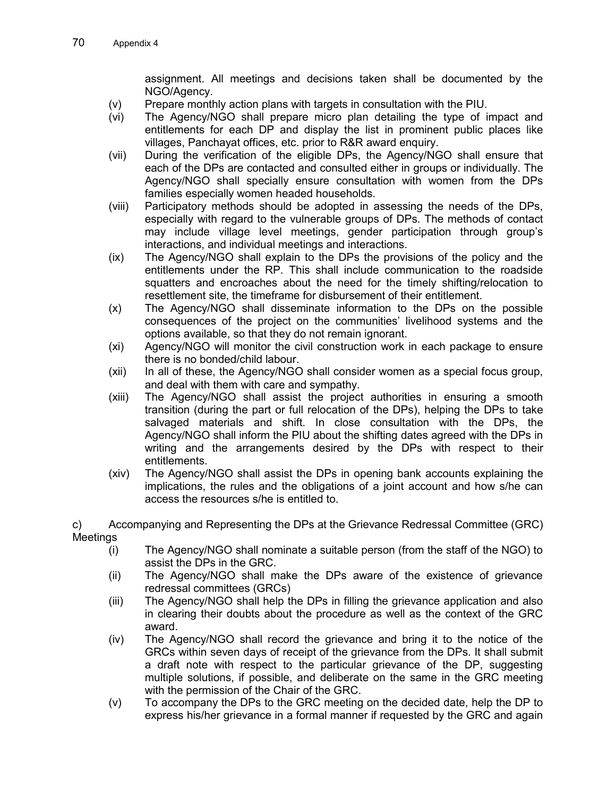assignment. All meetings and decisions taken shall be documented by the NGO/Agency.

- (v) Prepare monthly action plans with targets in consultation with the PIU.
- (vi) The Agency/NGO shall prepare micro plan detailing the type of impact and entitlements for each DP and display the list in prominent public places like villages, Panchayat offices, etc. prior to R&R award enquiry.
- (vii) During the verification of the eligible DPs, the Agency/NGO shall ensure that each of the DPs are contacted and consulted either in groups or individually. The Agency/NGO shall specially ensure consultation with women from the DPs families especially women headed households.
- (viii) Participatory methods should be adopted in assessing the needs of the DPs, especially with regard to the vulnerable groups of DPs. The methods of contact may include village level meetings, gender participation through group's interactions, and individual meetings and interactions.
- (ix) The Agency/NGO shall explain to the DPs the provisions of the policy and the entitlements under the RP. This shall include communication to the roadside squatters and encroaches about the need for the timely shifting/relocation to resettlement site, the timeframe for disbursement of their entitlement.
- (x) The Agency/NGO shall disseminate information to the DPs on the possible consequences of the project on the communities' livelihood systems and the options available, so that they do not remain ignorant.
- (xi) Agency/NGO will monitor the civil construction work in each package to ensure there is no bonded/child labour.
- (xii) In all of these, the Agency/NGO shall consider women as a special focus group, and deal with them with care and sympathy.
- (xiii) The Agency/NGO shall assist the project authorities in ensuring a smooth transition (during the part or full relocation of the DPs), helping the DPs to take salvaged materials and shift. In close consultation with the DPs, the Agency/NGO shall inform the PIU about the shifting dates agreed with the DPs in writing and the arrangements desired by the DPs with respect to their entitlements.
- (xiv) The Agency/NGO shall assist the DPs in opening bank accounts explaining the implications, the rules and the obligations of a joint account and how s/he can access the resources s/he is entitled to.
- c) Accompanying and Representing the DPs at the Grievance Redressal Committee (GRC) Meetings
	- (i) The Agency/NGO shall nominate a suitable person (from the staff of the NGO) to assist the DPs in the GRC.
	- (ii) The Agency/NGO shall make the DPs aware of the existence of grievance redressal committees (GRCs)
	- (iii) The Agency/NGO shall help the DPs in filling the grievance application and also in clearing their doubts about the procedure as well as the context of the GRC award.
	- (iv) The Agency/NGO shall record the grievance and bring it to the notice of the GRCs within seven days of receipt of the grievance from the DPs. It shall submit a draft note with respect to the particular grievance of the DP, suggesting multiple solutions, if possible, and deliberate on the same in the GRC meeting with the permission of the Chair of the GRC.
	- (v) To accompany the DPs to the GRC meeting on the decided date, help the DP to express his/her grievance in a formal manner if requested by the GRC and again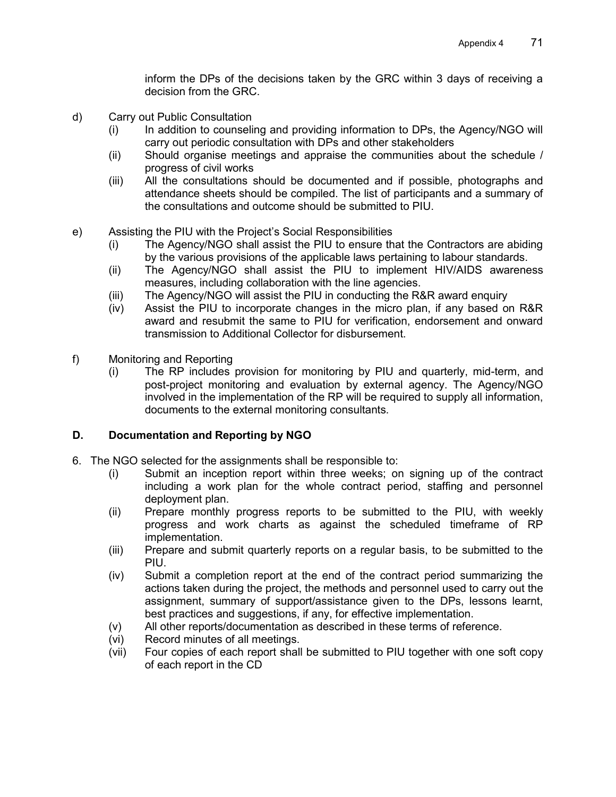inform the DPs of the decisions taken by the GRC within 3 days of receiving a decision from the GRC.

- d) Carry out Public Consultation
	- (i) In addition to counseling and providing information to DPs, the Agency/NGO will carry out periodic consultation with DPs and other stakeholders
	- (ii) Should organise meetings and appraise the communities about the schedule / progress of civil works
	- (iii) All the consultations should be documented and if possible, photographs and attendance sheets should be compiled. The list of participants and a summary of the consultations and outcome should be submitted to PIU.
- e) Assisting the PIU with the Project's Social Responsibilities
	- (i) The Agency/NGO shall assist the PIU to ensure that the Contractors are abiding by the various provisions of the applicable laws pertaining to labour standards.
	- (ii) The Agency/NGO shall assist the PIU to implement HIV/AIDS awareness measures, including collaboration with the line agencies.
	- (iii) The Agency/NGO will assist the PIU in conducting the R&R award enquiry
	- (iv) Assist the PIU to incorporate changes in the micro plan, if any based on R&R award and resubmit the same to PIU for verification, endorsement and onward transmission to Additional Collector for disbursement.
- f) Monitoring and Reporting
	- (i) The RP includes provision for monitoring by PIU and quarterly, mid-term, and post-project monitoring and evaluation by external agency. The Agency/NGO involved in the implementation of the RP will be required to supply all information, documents to the external monitoring consultants.

## **D. Documentation and Reporting by NGO**

- 6. The NGO selected for the assignments shall be responsible to:
	- (i) Submit an inception report within three weeks; on signing up of the contract including a work plan for the whole contract period, staffing and personnel deployment plan.
	- (ii) Prepare monthly progress reports to be submitted to the PIU, with weekly progress and work charts as against the scheduled timeframe of RP implementation.
	- (iii) Prepare and submit quarterly reports on a regular basis, to be submitted to the PIU.
	- (iv) Submit a completion report at the end of the contract period summarizing the actions taken during the project, the methods and personnel used to carry out the assignment, summary of support/assistance given to the DPs, lessons learnt, best practices and suggestions, if any, for effective implementation.
	- (v) All other reports/documentation as described in these terms of reference.
	- (vi) Record minutes of all meetings.
	- (vii) Four copies of each report shall be submitted to PIU together with one soft copy of each report in the CD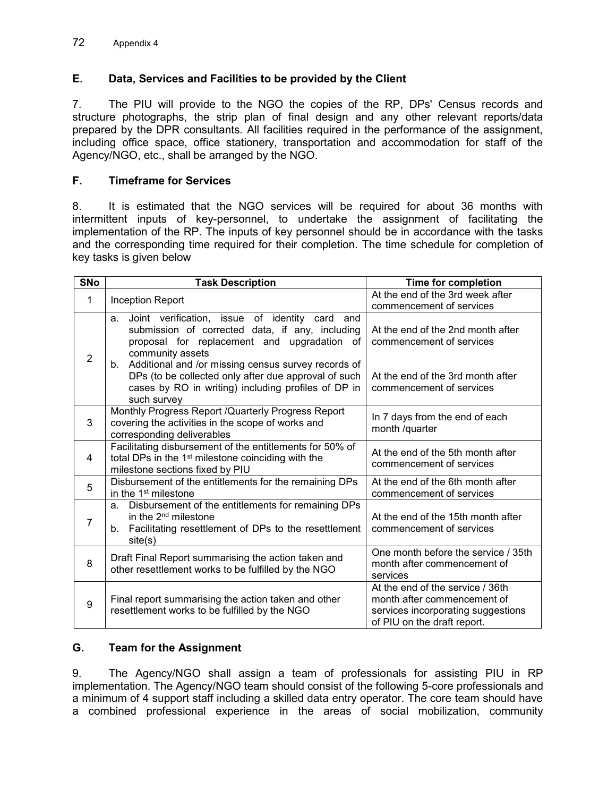## **E. Data, Services and Facilities to be provided by the Client**

7. The PIU will provide to the NGO the copies of the RP, DPs' Census records and structure photographs, the strip plan of final design and any other relevant reports/data prepared by the DPR consultants. All facilities required in the performance of the assignment, including office space, office stationery, transportation and accommodation for staff of the Agency/NGO, etc., shall be arranged by the NGO.

#### **F. Timeframe for Services**

8. It is estimated that the NGO services will be required for about 36 months with intermittent inputs of key-personnel, to undertake the assignment of facilitating the implementation of the RP. The inputs of key personnel should be in accordance with the tasks and the corresponding time required for their completion. The time schedule for completion of key tasks is given below

| <b>SNo</b>     | <b>Task Description</b>                                                                                                                                                                 | <b>Time for completion</b>                                                                                                           |  |
|----------------|-----------------------------------------------------------------------------------------------------------------------------------------------------------------------------------------|--------------------------------------------------------------------------------------------------------------------------------------|--|
| 1              | Inception Report                                                                                                                                                                        | At the end of the 3rd week after<br>commencement of services                                                                         |  |
| $\overline{2}$ | Joint verification, issue of identity card<br>a.<br>and<br>submission of corrected data, if any, including<br>proposal for replacement and upgradation of<br>community assets           | At the end of the 2nd month after<br>commencement of services                                                                        |  |
|                | Additional and /or missing census survey records of<br>b.<br>DPs (to be collected only after due approval of such<br>cases by RO in writing) including profiles of DP in<br>such survey | At the end of the 3rd month after<br>commencement of services                                                                        |  |
| 3              | Monthly Progress Report / Quarterly Progress Report<br>covering the activities in the scope of works and<br>corresponding deliverables                                                  | In 7 days from the end of each<br>month /quarter                                                                                     |  |
| 4              | Facilitating disbursement of the entitlements for 50% of<br>total DPs in the 1 <sup>st</sup> milestone coinciding with the<br>milestone sections fixed by PIU                           | At the end of the 5th month after<br>commencement of services                                                                        |  |
| 5              | Disbursement of the entitlements for the remaining DPs<br>in the 1 <sup>st</sup> milestone                                                                                              | At the end of the 6th month after<br>commencement of services                                                                        |  |
| $\overline{7}$ | Disbursement of the entitlements for remaining DPs<br>a.<br>in the $2nd$ milestone<br>Facilitating resettlement of DPs to the resettlement<br>b.<br>site(s)                             | At the end of the 15th month after<br>commencement of services                                                                       |  |
| 8              | Draft Final Report summarising the action taken and<br>other resettlement works to be fulfilled by the NGO                                                                              | One month before the service / 35th<br>month after commencement of<br>services                                                       |  |
| 9              | Final report summarising the action taken and other<br>resettlement works to be fulfilled by the NGO                                                                                    | At the end of the service / 36th<br>month after commencement of<br>services incorporating suggestions<br>of PIU on the draft report. |  |

## **G. Team for the Assignment**

9. The Agency/NGO shall assign a team of professionals for assisting PIU in RP implementation. The Agency/NGO team should consist of the following 5-core professionals and a minimum of 4 support staff including a skilled data entry operator. The core team should have a combined professional experience in the areas of social mobilization, community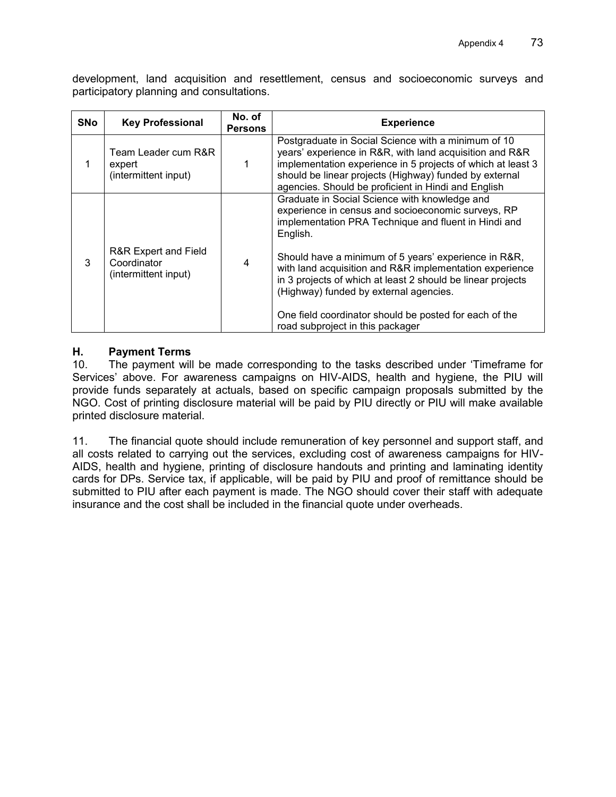development, land acquisition and resettlement, census and socioeconomic surveys and participatory planning and consultations.

| <b>SNo</b> | <b>Key Professional</b>                                     | No. of<br><b>Persons</b> | <b>Experience</b>                                                                                                                                                                                                                                                                                                                                                                                                                                                                                 |
|------------|-------------------------------------------------------------|--------------------------|---------------------------------------------------------------------------------------------------------------------------------------------------------------------------------------------------------------------------------------------------------------------------------------------------------------------------------------------------------------------------------------------------------------------------------------------------------------------------------------------------|
|            | Team Leader cum R&R<br>expert<br>(intermittent input)       |                          | Postgraduate in Social Science with a minimum of 10<br>years' experience in R&R, with land acquisition and R&R<br>implementation experience in 5 projects of which at least 3<br>should be linear projects (Highway) funded by external<br>agencies. Should be proficient in Hindi and English                                                                                                                                                                                                    |
| 3          | R&R Expert and Field<br>Coordinator<br>(intermittent input) | 4                        | Graduate in Social Science with knowledge and<br>experience in census and socioeconomic surveys, RP<br>implementation PRA Technique and fluent in Hindi and<br>English.<br>Should have a minimum of 5 years' experience in R&R,<br>with land acquisition and R&R implementation experience<br>in 3 projects of which at least 2 should be linear projects<br>(Highway) funded by external agencies.<br>One field coordinator should be posted for each of the<br>road subproject in this packager |

## **H. Payment Terms**

10. The payment will be made corresponding to the tasks described under 'Timeframe for Services' above. For awareness campaigns on HIV-AIDS, health and hygiene, the PIU will provide funds separately at actuals, based on specific campaign proposals submitted by the NGO. Cost of printing disclosure material will be paid by PIU directly or PIU will make available printed disclosure material.

11. The financial quote should include remuneration of key personnel and support staff, and all costs related to carrying out the services, excluding cost of awareness campaigns for HIV-AIDS, health and hygiene, printing of disclosure handouts and printing and laminating identity cards for DPs. Service tax, if applicable, will be paid by PIU and proof of remittance should be submitted to PIU after each payment is made. The NGO should cover their staff with adequate insurance and the cost shall be included in the financial quote under overheads.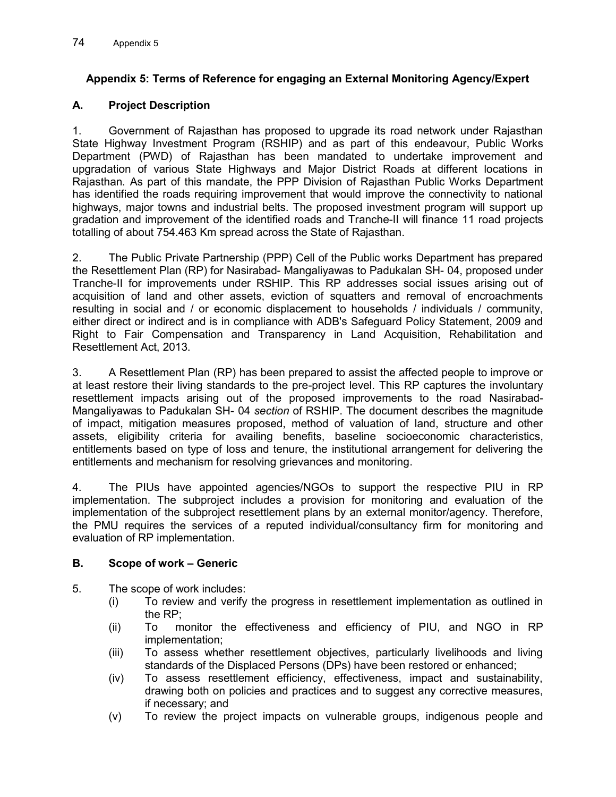# **Appendix 5: Terms of Reference for engaging an External Monitoring Agency/Expert**

## **A. Project Description**

1. Government of Rajasthan has proposed to upgrade its road network under Rajasthan State Highway Investment Program (RSHIP) and as part of this endeavour, Public Works Department (PWD) of Rajasthan has been mandated to undertake improvement and upgradation of various State Highways and Major District Roads at different locations in Rajasthan. As part of this mandate, the PPP Division of Rajasthan Public Works Department has identified the roads requiring improvement that would improve the connectivity to national highways, major towns and industrial belts. The proposed investment program will support up gradation and improvement of the identified roads and Tranche-II will finance 11 road projects totalling of about 754.463 Km spread across the State of Rajasthan.

2. The Public Private Partnership (PPP) Cell of the Public works Department has prepared the Resettlement Plan (RP) for Nasirabad- Mangaliyawas to Padukalan SH- 04, proposed under Tranche-II for improvements under RSHIP. This RP addresses social issues arising out of acquisition of land and other assets, eviction of squatters and removal of encroachments resulting in social and / or economic displacement to households / individuals / community, either direct or indirect and is in compliance with ADB's Safeguard Policy Statement, 2009 and Right to Fair Compensation and Transparency in Land Acquisition, Rehabilitation and Resettlement Act, 2013.

3. A Resettlement Plan (RP) has been prepared to assist the affected people to improve or at least restore their living standards to the pre-project level. This RP captures the involuntary resettlement impacts arising out of the proposed improvements to the road Nasirabad-Mangaliyawas to Padukalan SH- 04 *section* of RSHIP. The document describes the magnitude of impact, mitigation measures proposed, method of valuation of land, structure and other assets, eligibility criteria for availing benefits, baseline socioeconomic characteristics, entitlements based on type of loss and tenure, the institutional arrangement for delivering the entitlements and mechanism for resolving grievances and monitoring.

4. The PIUs have appointed agencies/NGOs to support the respective PIU in RP implementation. The subproject includes a provision for monitoring and evaluation of the implementation of the subproject resettlement plans by an external monitor/agency. Therefore, the PMU requires the services of a reputed individual/consultancy firm for monitoring and evaluation of RP implementation.

## **B. Scope of work – Generic**

- 5. The scope of work includes:
	- (i) To review and verify the progress in resettlement implementation as outlined in the RP;
	- (ii) To monitor the effectiveness and efficiency of PIU, and NGO in RP implementation;
	- (iii) To assess whether resettlement objectives, particularly livelihoods and living standards of the Displaced Persons (DPs) have been restored or enhanced;
	- (iv) To assess resettlement efficiency, effectiveness, impact and sustainability, drawing both on policies and practices and to suggest any corrective measures, if necessary; and
	- (v) To review the project impacts on vulnerable groups, indigenous people and